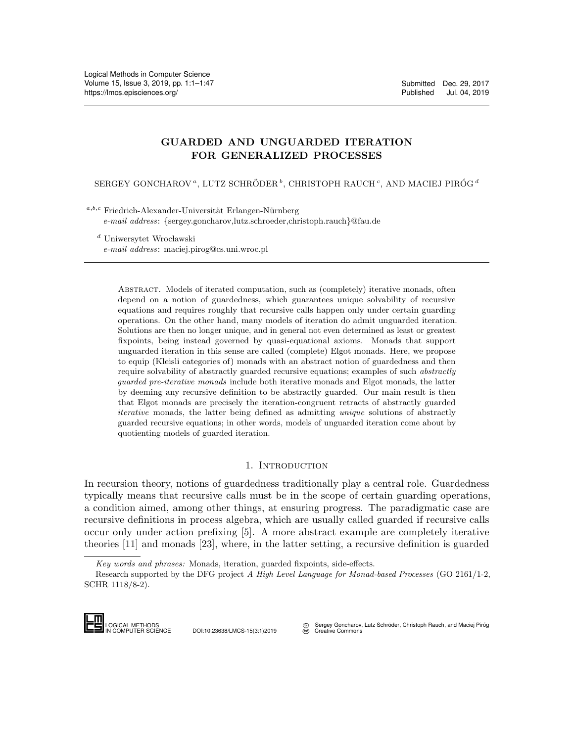# GUARDED AND UNGUARDED ITERATION FOR GENERALIZED PROCESSES

SERGEY GONCHAROV<sup> $a$ </sup>, LUTZ SCHRÖDER $^b,$  CHRISTOPH RAUCH  $^c,$  AND MACIEJ PIRÓG  $^d$ 

 $a,b,c$  Friedrich-Alexander-Universität Erlangen-Nürnberg

e-mail address: {sergey.goncharov,lutz.schroeder,christoph.rauch}@fau.de

 $\real^d$ Uniwersytet Wrocławski

e-mail address: maciej.pirog@cs.uni.wroc.pl

Abstract. Models of iterated computation, such as (completely) iterative monads, often depend on a notion of guardedness, which guarantees unique solvability of recursive equations and requires roughly that recursive calls happen only under certain guarding operations. On the other hand, many models of iteration do admit unguarded iteration. Solutions are then no longer unique, and in general not even determined as least or greatest fixpoints, being instead governed by quasi-equational axioms. Monads that support unguarded iteration in this sense are called (complete) Elgot monads. Here, we propose to equip (Kleisli categories of) monads with an abstract notion of guardedness and then require solvability of abstractly guarded recursive equations; examples of such abstractly guarded pre-iterative monads include both iterative monads and Elgot monads, the latter by deeming any recursive definition to be abstractly guarded. Our main result is then that Elgot monads are precisely the iteration-congruent retracts of abstractly guarded iterative monads, the latter being defined as admitting unique solutions of abstractly guarded recursive equations; in other words, models of unguarded iteration come about by quotienting models of guarded iteration.

## 1. INTRODUCTION

In recursion theory, notions of guardedness traditionally play a central role. Guardedness typically means that recursive calls must be in the scope of certain guarding operations, a condition aimed, among other things, at ensuring progress. The paradigmatic case are recursive definitions in process algebra, which are usually called guarded if recursive calls occur only under action prefixing [\[5\]](#page-41-0). A more abstract example are completely iterative theories [\[11\]](#page-42-0) and monads [\[23\]](#page-42-1), where, in the latter setting, a recursive definition is guarded recursive definiti<br>
occur only under<br>
theories [11] and<br> *Key words and p*<br>
Research support<br>
SCHR 1118/8-2).<br> **LOGICAL METHODS**<br>
LOGICAL METHODS

Research supported by the DFG project A High Level Language for Monad-based Processes (GO 2161/1-2, SCHR 1118/8-2).



Sergey Goncharov, Lutz Schröder, Christoph Rauch, and Maciej Piróg **CC** [Creative Commons](http://creativecommons.org/about/licenses)

Key words and phrases: Monads, iteration, guarded fixpoints, side-effects.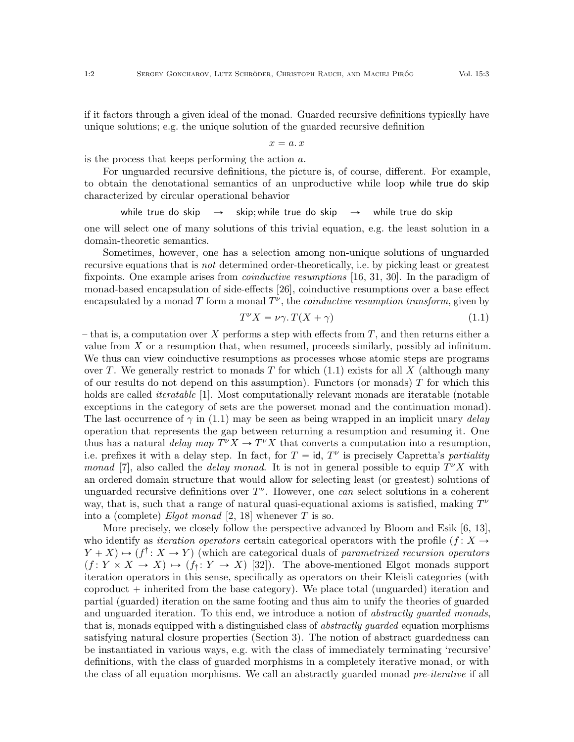if it factors through a given ideal of the monad. Guarded recursive definitions typically have unique solutions; e.g. the unique solution of the guarded recursive definition

$$
x=a\ldotp x
$$

is the process that keeps performing the action a.

For unguarded recursive definitions, the picture is, of course, different. For example, to obtain the denotational semantics of an unproductive while loop while true do skip characterized by circular operational behavior

while true do skip  $\rightarrow$  skip; while true do skip  $\rightarrow$  while true do skip

one will select one of many solutions of this trivial equation, e.g. the least solution in a domain-theoretic semantics.

Sometimes, however, one has a selection among non-unique solutions of unguarded recursive equations that is not determined order-theoretically, i.e. by picking least or greatest fixpoints. One example arises from *coinductive resumptions* [\[16,](#page-42-2) [31,](#page-42-3) [30\]](#page-42-4). In the paradigm of monad-based encapsulation of side-effects [\[26\]](#page-42-5), coinductive resumptions over a base effect encapsulated by a monad T form a monad  $T^{\nu}$ , the *coinductive resumption transform*, given by

<span id="page-1-0"></span>
$$
T^{\nu}X = \nu\gamma \cdot T(X + \gamma) \tag{1.1}
$$

– that is, a computation over X performs a step with effects from  $T$ , and then returns either a value from  $X$  or a resumption that, when resumed, proceeds similarly, possibly ad infinitum. We thus can view coinductive resumptions as processes whose atomic steps are programs over T. We generally restrict to monads T for which  $(1.1)$  exists for all X (although many of our results do not depend on this assumption). Functors (or monads)  $T$  for which this holds are called *iteratable* [\[1\]](#page-41-1). Most computationally relevant monads are iteratable (notable exceptions in the category of sets are the powerset monad and the continuation monad). The last occurrence of  $\gamma$  in [\(1.1\)](#page-1-0) may be seen as being wrapped in an implicit unary delay operation that represents the gap between returning a resumption and resuming it. One thus has a natural *delay map*  $T^{\nu}X \to T^{\nu}X$  that converts a computation into a resumption, i.e. prefixes it with a delay step. In fact, for  $T = id$ ,  $T^{\nu}$  is precisely Capretta's partiality monad [\[7\]](#page-41-2), also called the *delay monad*. It is not in general possible to equip  $T^{\nu}X$  with an ordered domain structure that would allow for selecting least (or greatest) solutions of unguarded recursive definitions over  $T^{\nu}$ . However, one can select solutions in a coherent way, that is, such that a range of natural quasi-equational axioms is satisfied, making  $T^{\nu}$ into a (complete) Elgot monad [\[2,](#page-41-3) [18\]](#page-42-6) whenever T is so.

More precisely, we closely follow the perspective advanced by Bloom and Esik [\[6,](#page-41-4) [13\]](#page-42-7), who identify as *iteration operators* certain categorical operators with the profile  $(f : X \rightarrow$  $Y + X \rightarrow (f^{\dagger} : X \rightarrow Y)$  (which are categorical duals of parametrized recursion operators  $(f: Y \times X \to X) \mapsto (f_i: Y \to X)$  [\[32\]](#page-42-8)). The above-mentioned Elgot monads support iteration operators in this sense, specifically as operators on their Kleisli categories (with coproduct  $+$  inherited from the base category). We place total (unguarded) iteration and partial (guarded) iteration on the same footing and thus aim to unify the theories of guarded and unguarded iteration. To this end, we introduce a notion of *abstractly guarded monads*, that is, monads equipped with a distinguished class of *abstractly quarded* equation morphisms satisfying natural closure properties (Section [3\)](#page-4-0). The notion of abstract guardedness can be instantiated in various ways, e.g. with the class of immediately terminating 'recursive' definitions, with the class of guarded morphisms in a completely iterative monad, or with the class of all equation morphisms. We call an abstractly guarded monad *pre-iterative* if all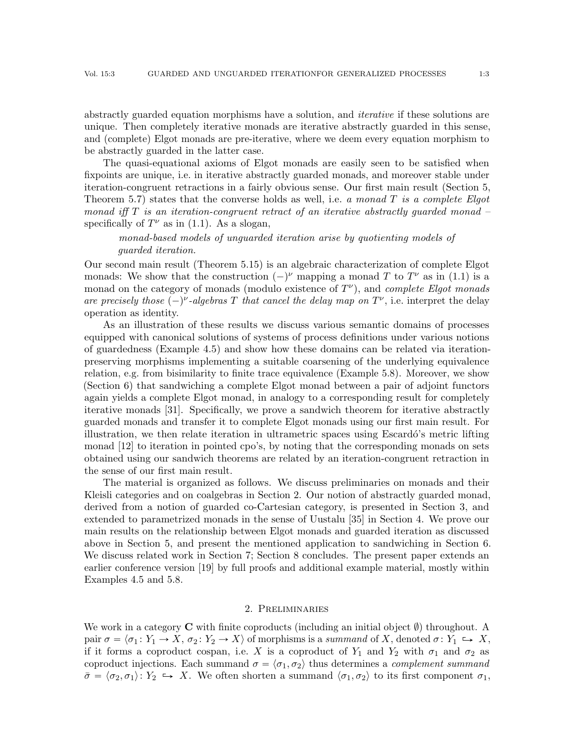abstractly guarded equation morphisms have a solution, and iterative if these solutions are unique. Then completely iterative monads are iterative abstractly guarded in this sense, and (complete) Elgot monads are pre-iterative, where we deem every equation morphism to be abstractly guarded in the latter case.

The quasi-equational axioms of Elgot monads are easily seen to be satisfied when fixpoints are unique, i.e. in iterative abstractly guarded monads, and moreover stable under iteration-congruent retractions in a fairly obvious sense. Our first main result (Section [5,](#page-20-0) Theorem [5.7\)](#page-26-0) states that the converse holds as well, i.e. a monad  $T$  is a complete Elgot monad iff  $T$  is an iteration-congruent retract of an iterative abstractly guarded monad  $$ specifically of  $T^{\nu}$  as in [\(1.1\)](#page-1-0). As a slogan,

monad-based models of unguarded iteration arise by quotienting models of guarded iteration.

Our second main result (Theorem [5.15\)](#page-34-0) is an algebraic characterization of complete Elgot monads: We show that the construction  $(-)^\nu$  mapping a monad T to  $T^{\nu}$  as in [\(1.1\)](#page-1-0) is a monad on the category of monads (modulo existence of  $T^{\nu}$ ), and *complete Elgot monads* are precisely those  $(-)^{\nu}$ -algebras T that cancel the delay map on  $T^{\nu}$ , i.e. interpret the delay operation as identity.

As an illustration of these results we discuss various semantic domains of processes equipped with canonical solutions of systems of process definitions under various notions of guardedness (Example [4.5\)](#page-18-0) and show how these domains can be related via iterationpreserving morphisms implementing a suitable coarsening of the underlying equivalence relation, e.g. from bisimilarity to finite trace equivalence (Example [5.8\)](#page-27-0). Moreover, we show (Section [6\)](#page-38-0) that sandwiching a complete Elgot monad between a pair of adjoint functors again yields a complete Elgot monad, in analogy to a corresponding result for completely iterative monads [\[31\]](#page-42-3). Specifically, we prove a sandwich theorem for iterative abstractly guarded monads and transfer it to complete Elgot monads using our first main result. For illustration, we then relate iteration in ultrametric spaces using Escardó's metric lifting monad [\[12\]](#page-42-9) to iteration in pointed cpo's, by noting that the corresponding monads on sets obtained using our sandwich theorems are related by an iteration-congruent retraction in the sense of our first main result.

The material is organized as follows. We discuss preliminaries on monads and their Kleisli categories and on coalgebras in Section [2.](#page-2-0) Our notion of abstractly guarded monad, derived from a notion of guarded co-Cartesian category, is presented in Section [3,](#page-4-0) and extended to parametrized monads in the sense of Uustalu [\[35\]](#page-42-10) in Section [4.](#page-12-0) We prove our main results on the relationship between Elgot monads and guarded iteration as discussed above in Section [5,](#page-20-0) and present the mentioned application to sandwiching in Section [6.](#page-38-0) We discuss related work in Section [7;](#page-40-0) Section [8](#page-40-1) concludes. The present paper extends an earlier conference version [\[19\]](#page-42-11) by full proofs and additional example material, mostly within Examples [4.5](#page-18-0) and [5.8.](#page-27-0)

### 2. Preliminaries

<span id="page-2-0"></span>We work in a category  $\bf{C}$  with finite coproducts (including an initial object  $\emptyset$ ) throughout. A pair  $\sigma = \langle \sigma_1 : Y_1 \to X, \sigma_2 : Y_2 \to X \rangle$  of morphisms is a summand of X, denoted  $\sigma : Y_1 \hookrightarrow X$ , if it forms a coproduct cospan, i.e. X is a coproduct of  $Y_1$  and  $Y_2$  with  $\sigma_1$  and  $\sigma_2$  as coproduct injections. Each summand  $\sigma = \langle \sigma_1, \sigma_2 \rangle$  thus determines a *complement summand*  $\bar{\sigma} = \langle \sigma_2, \sigma_1 \rangle : Y_2 \hookrightarrow X$ . We often shorten a summand  $\langle \sigma_1, \sigma_2 \rangle$  to its first component  $\sigma_1$ ,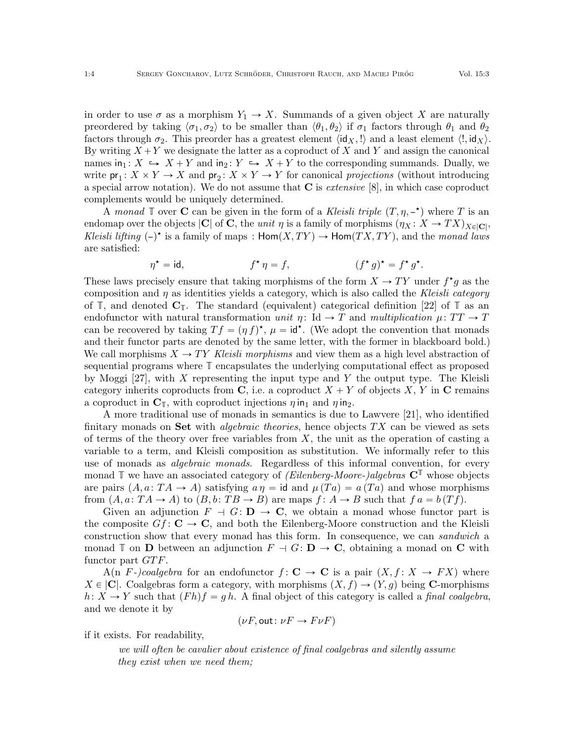in order to use  $\sigma$  as a morphism  $Y_1 \to X$ . Summands of a given object X are naturally preordered by taking  $\langle \sigma_1, \sigma_2 \rangle$  to be smaller than  $\langle \theta_1, \theta_2 \rangle$  if  $\sigma_1$  factors through  $\theta_1$  and  $\theta_2$ factors through  $\sigma_2$ . This preorder has a greatest element  $\langle id_X, ! \rangle$  and a least element  $\langle !, id_X \rangle$ . By writing  $X + Y$  we designate the latter as a coproduct of X and Y and assign the canonical names in<sub>1</sub>:  $X \hookrightarrow X + Y$  and in<sub>2</sub>:  $Y \hookrightarrow X + Y$  to the corresponding summands. Dually, we write  $pr_1: X \times Y \to X$  and  $pr_2: X \times Y \to Y$  for canonical projections (without introducing a special arrow notation). We do not assume that  $C$  is *extensive* [\[8\]](#page-41-5), in which case coproduct complements would be uniquely determined.

A monad  $\mathbb T$  over C can be given in the form of a Kleisli triple  $(T, \eta, -\star)$  where T is an endomap over the objects  $|C|$  of C, the *unit*  $\eta$  is a family of morphisms  $(\eta_X : X \to TX)_{X \in |C|}$ , Kleisli lifting  $(-)^*$  is a family of maps :  $\text{Hom}(X, TY) \to \text{Hom}(TX, TY)$ , and the monad laws are satisfied:

$$
\eta^* = id, \qquad f^* \eta = f, \qquad (f^* g)^* = f^* g^*.
$$

These laws precisely ensure that taking morphisms of the form  $X \to TY$  under  $f^{\star}g$  as the composition and  $\eta$  as identities yields a category, which is also called the Kleisli category of  $\mathbb{T}$ , and denoted  $\mathbb{C}_{\mathbb{T}}$ . The standard (equivalent) categorical definition [\[22\]](#page-42-12) of  $\mathbb{T}$  as an endofunctor with natural transformation unit  $\eta: \text{Id} \to T$  and multiplication  $\mu: TT \to T$ can be recovered by taking  $Tf = (\eta f)^{\star}, \mu = id^{\star}$ . (We adopt the convention that monads and their functor parts are denoted by the same letter, with the former in blackboard bold.) We call morphisms  $X \to TY$  Kleisli morphisms and view them as a high level abstraction of sequential programs where **T** encapsulates the underlying computational effect as proposed by Moggi  $[27]$ , with X representing the input type and Y the output type. The Kleisli category inherits coproducts from C, i.e. a coproduct  $X + Y$  of objects X, Y in C remains a coproduct in  $\mathbf{C}_{\mathbb{T}}$ , with coproduct injections  $\eta$  in<sub>1</sub> and  $\eta$  in<sub>2</sub>.

A more traditional use of monads in semantics is due to Lawvere [\[21\]](#page-42-14), who identified finitary monads on Set with *algebraic theories*, hence objects  $TX$  can be viewed as sets of terms of the theory over free variables from  $X$ , the unit as the operation of casting a variable to a term, and Kleisli composition as substitution. We informally refer to this use of monads as *algebraic monads*. Regardless of this informal convention, for every monad  $\mathbb{T}$  we have an associated category of *(Eilenberg-Moore-)algebras*  $\mathbb{C}^{\mathbb{T}}$  whose objects are pairs  $(A, a: TA \rightarrow A)$  satisfying  $a \eta = id$  and  $\mu(Ta) = a(Ta)$  and whose morphisms from  $(A, a: TA \rightarrow A)$  to  $(B, b: TB \rightarrow B)$  are maps  $f: A \rightarrow B$  such that  $f a = b(Tf)$ .

Given an adjunction  $F \dashv G: \mathbf{D} \to \mathbf{C}$ , we obtain a monad whose functor part is the composite  $Gf: \mathbf{C} \to \mathbf{C}$ , and both the Eilenberg-Moore construction and the Kleisli construction show that every monad has this form. In consequence, we can sandwich a monad **T** on **D** between an adjunction  $F \dashv G: \mathbf{D} \to \mathbf{C}$ , obtaining a monad on **C** with functor part  $GTF$ .

A(n F-)coalgebra for an endofunctor  $f: \mathbf{C} \to \mathbf{C}$  is a pair  $(X, f: X \to FX)$  where  $X \in |C|$ . Coalgebras form a category, with morphisms  $(X, f) \rightarrow (Y, g)$  being C-morphisms  $h: X \to Y$  such that  $(Fh)f = gh$ . A final object of this category is called a *final coalgebra*, and we denote it by

$$
(\nu F, \text{out}: \nu F \to F \nu F)
$$

if it exists. For readability,

we will often be cavalier about existence of final coalgebras and silently assume they exist when we need them;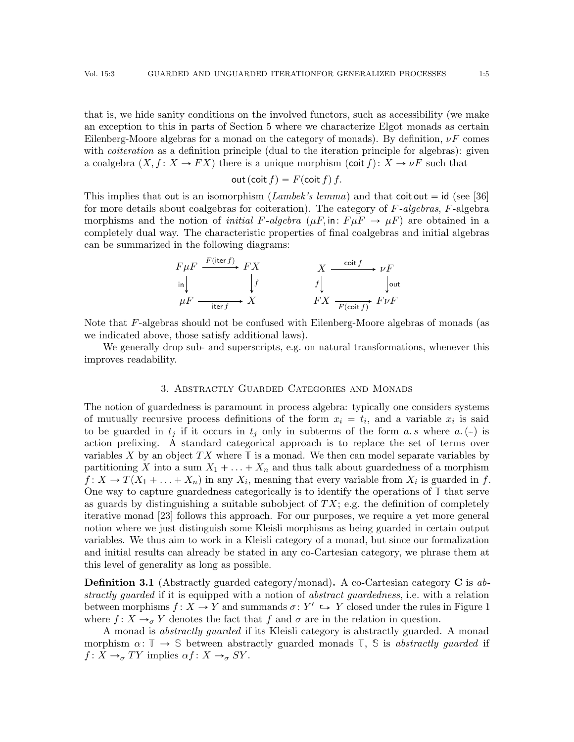that is, we hide sanity conditions on the involved functors, such as accessibility (we make an exception to this in parts of Section [5](#page-20-0) where we characterize Elgot monads as certain Eilenberg-Moore algebras for a monad on the category of monads). By definition,  $\nu F$  comes with *coiteration* as a definition principle (dual to the iteration principle for algebras): given a coalgebra  $(X, f : X \to FX)$  there is a unique morphism  $(cot f): X \to \nu F$  such that

$$
out (coit f) = F(coit f) f.
$$

This implies that out is an isomorphism (Lambek's lemma) and that coit out  $= id$  (see [\[36\]](#page-43-0) for more details about coalgebras for coiteration). The category of  $F$ -algebras,  $F$ -algebra morphisms and the notion of *initial F-algebra*  $(\mu F, \text{in}: F \mu F \rightarrow \mu F)$  are obtained in a completely dual way. The characteristic properties of final coalgebras and initial algebras can be summarized in the following diagrams:

$$
F \mu F \xrightarrow{F(\text{iter } f)} FX
$$
\n
$$
\begin{array}{ccc}\n\downarrow & & X & \xrightarrow{\text{coit } f} & \nu F \\
\downarrow & & & f \downarrow & & \downarrow\n\end{array}
$$
\n
$$
\mu F \xrightarrow{\text{iter } f} X
$$
\n
$$
F X \xrightarrow{F(\text{coit } f)} F \nu F
$$

Note that F-algebras should not be confused with Eilenberg-Moore algebras of monads (as we indicated above, those satisfy additional laws).

We generally drop sub- and superscripts, e.g. on natural transformations, whenever this improves readability.

#### 3. Abstractly Guarded Categories and Monads

<span id="page-4-0"></span>The notion of guardedness is paramount in process algebra: typically one considers systems of mutually recursive process definitions of the form  $x_i = t_i$ , and a variable  $x_i$  is said to be guarded in  $t_j$  if it occurs in  $t_j$  only in subterms of the form a. s where a. (-) is action prefixing. A standard categorical approach is to replace the set of terms over variables X by an object  $TX$  where  $\mathbb T$  is a monad. We then can model separate variables by partitioning X into a sum  $X_1 + \ldots + X_n$  and thus talk about guardedness of a morphism  $f: X \to T(X_1 + \ldots + X_n)$  in any  $X_i$ , meaning that every variable from  $X_i$  is guarded in f. One way to capture guardedness categorically is to identify the operations of **T** that serve as guards by distinguishing a suitable subobject of  $TX$ ; e.g. the definition of completely iterative monad [\[23\]](#page-42-1) follows this approach. For our purposes, we require a yet more general notion where we just distinguish some Kleisli morphisms as being guarded in certain output variables. We thus aim to work in a Kleisli category of a monad, but since our formalization and initial results can already be stated in any co-Cartesian category, we phrase them at this level of generality as long as possible.

<span id="page-4-1"></span>**Definition 3.1** (Abstractly guarded category/monad). A co-Cartesian category  $\bf{C}$  is abstractly quarded if it is equipped with a notion of abstract quardedness, i.e. with a relation between morphisms  $f: X \to Y$  and summands  $\sigma: Y' \hookrightarrow Y$  closed under the rules in Figure [1](#page-5-0) where  $f: X \rightarrow_{\sigma} Y$  denotes the fact that f and  $\sigma$  are in the relation in question.

A monad is abstractly guarded if its Kleisli category is abstractly guarded. A monad morphism  $\alpha: \mathbb{T} \to \mathbb{S}$  between abstractly guarded monads  $\mathbb{T}$ ,  $\mathbb{S}$  is abstractly guarded if  $f: X \rightarrow_{\sigma} TY$  implies  $\alpha f: X \rightarrow_{\sigma} SY$ .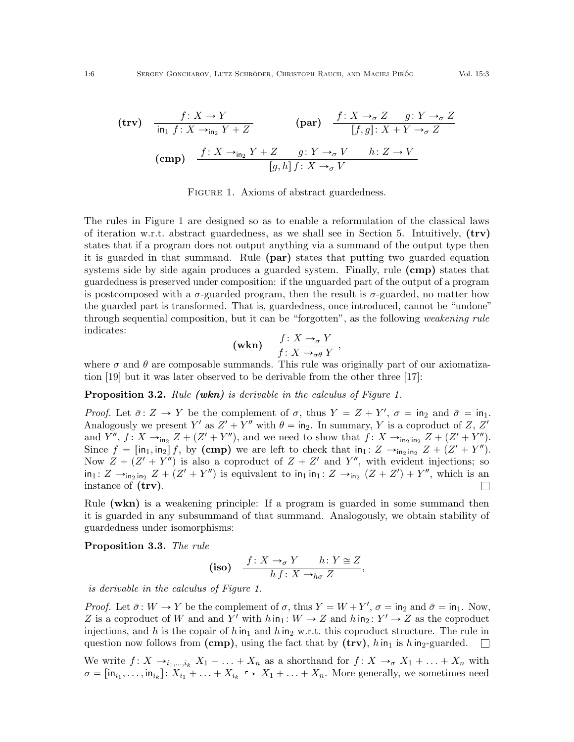$$
\begin{array}{ll}\n\text{(trv)} & \frac{f: X \to Y}{\text{in}_1 f: X \to_{\text{in}_2} Y + Z} \\
\text{(par)} & \frac{f: X \to_{\sigma} Z \quad g: Y \to_{\sigma} Z}{[f, g]: X + Y \to_{\sigma} Z} \\
\text{(cmp)} & \frac{f: X \to_{\text{in}_2} Y + Z \quad g: Y \to_{\sigma} V \quad h: Z \to V}{[g, h] \, f: X \to_{\sigma} V}\n\end{array}
$$

FIGURE 1. Axioms of abstract guardedness.

The rules in Figure [1](#page-5-0) are designed so as to enable a reformulation of the classical laws of iteration w.r.t. abstract guardedness, as we shall see in Section [5.](#page-20-0) Intuitively, (trv) states that if a program does not output anything via a summand of the output type then it is guarded in that summand. Rule (par) states that putting two guarded equation systems side by side again produces a guarded system. Finally, rule (cmp) states that guardedness is preserved under composition: if the unguarded part of the output of a program is postcomposed with a  $\sigma$ -guarded program, then the result is  $\sigma$ -guarded, no matter how the guarded part is transformed. That is, guardedness, once introduced, cannot be "undone" through sequential composition, but it can be "forgotten", as the following weakening rule indicates:

$$
\text{(wkn)} \quad \frac{f \colon X \to_{\sigma} Y}{f \colon X \to_{\sigma} \theta \ Y},
$$

where  $\sigma$  and  $\theta$  are composable summands. This rule was originally part of our axiomatization [\[19\]](#page-42-11) but it was later observed to be derivable from the other three [\[17\]](#page-42-15):

**Proposition 3.2.** Rule (wkn) is derivable in the calculus of Figure [1.](#page-5-0)

Proof. Let  $\bar{\sigma} \colon Z \to Y$  be the complement of  $\sigma$ , thus  $Y = Z + Y'$ ,  $\sigma = \text{in}_2$  and  $\bar{\sigma} = \text{in}_1$ . Analogously we present Y' as  $Z' + Y''$  with  $\theta = \text{in}_2$ . In summary, Y is a coproduct of Z, Z' and Y'',  $f: X \rightarrow_{\text{in}_2} Z + (Z' + Y'')$ , and we need to show that  $f: X \rightarrow_{\text{in}_2 \text{in}_2} Z + (Z' + Y'')$ . Since  $f = \left[ \text{in}_1, \text{in}_2 \right] f$ , by  $(\text{cmp})$  we are left to check that  $\text{in}_1 : Z \rightarrow_{\text{in}_2 \text{in}_2} Z + (Z' + Y'')$ . Now  $Z + (Z' + Y'')$  is also a coproduct of  $Z + Z'$  and  $Y''$ , with evident injections; so  $\text{in}_1: Z \to_{\text{in}_2 \text{in}_2} Z + (Z' + Y'')$  is equivalent to  $\text{in}_1 \text{in}_1: Z \to_{\text{in}_2} (Z + Z') + Y''$ , which is an instance of (trv).  $\Box$ 

Rule (wkn) is a weakening principle: If a program is guarded in some summand then it is guarded in any subsummand of that summand. Analogously, we obtain stability of guardedness under isomorphisms:

Proposition 3.3. The rule

$$
\textbf{(iso)} \quad \frac{f \colon X \to_{\sigma} Y \quad h \colon Y \cong Z}{h \, f \colon X \to_{h\sigma} Z},
$$

is derivable in the calculus of Figure [1.](#page-5-0)

*Proof.* Let  $\bar{\sigma}$ :  $W \to Y$  be the complement of  $\sigma$ , thus  $Y = W + Y'$ ,  $\sigma = \text{in}_2$  and  $\bar{\sigma} = \text{in}_1$ . Now, Z is a coproduct of W and and Y' with  $h \in \mathbb{R}$  in  $: W \to Z$  and  $h \in \mathbb{R}$ :  $Y' \to Z$  as the coproduct injections, and h is the copair of h in<sub>1</sub> and h in<sub>2</sub> w.r.t. this coproduct structure. The rule in question now follows from (cmp), using the fact that by (trv),  $h \in \mathbb{R}^n$  is h in<sub>2</sub>-guarded.  $\sim$  10  $\pm$ 

We write  $f: X \rightarrow_{i_1,\dots,i_k} X_1 + \ldots + X_n$  as a shorthand for  $f: X \rightarrow_{\sigma} X_1 + \ldots + X_n$  with  $\sigma = [\mathsf{in}_{i_1}, \ldots, \mathsf{in}_{i_k}] \colon X_{i_1} + \ldots + X_{i_k} \hookrightarrow X_1 + \ldots + X_n$ . More generally, we sometimes need

<span id="page-5-0"></span>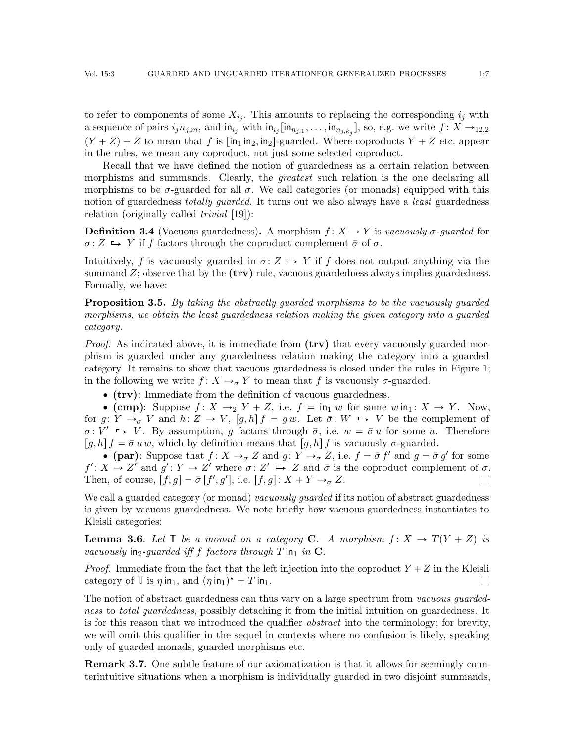to refer to components of some  $X_{i_j}$ . This amounts to replacing the corresponding  $i_j$  with a sequence of pairs  $i_j n_{j,m}$ , and  $\text{in}_{i_j}$  with  $\text{in}_{i_j}[\text{in}_{n_{j,1}},\ldots,\text{in}_{n_{j,k_j}}]$ , so, e.g. we write  $f: X \rightarrow_{12,2}$  $(Y + Z) + Z$  to mean that f is  $\lceil \ln_1 \ln_2, \ln_2 \rceil$ -guarded. Where coproducts  $Y + Z$  etc. appear in the rules, we mean any coproduct, not just some selected coproduct.

Recall that we have defined the notion of guardedness as a certain relation between morphisms and summands. Clearly, the *greatest* such relation is the one declaring all morphisms to be  $\sigma$ -guarded for all  $\sigma$ . We call categories (or monads) equipped with this notion of guardedness *totally quarded*. It turns out we also always have a *least* guardedness relation (originally called *trivial* [\[19\]](#page-42-11)):

**Definition 3.4** (Vacuous guardedness). A morphism  $f: X \rightarrow Y$  is vacuously  $\sigma$ -guarded for  $\sigma: Z \hookrightarrow Y$  if f factors through the coproduct complement  $\bar{\sigma}$  of  $\sigma$ .

Intuitively, f is vacuously guarded in  $\sigma: Z \hookrightarrow Y$  if f does not output anything via the summand  $Z$ ; observe that by the  $(trv)$  rule, vacuous guardedness always implies guardedness. Formally, we have:

**Proposition 3.5.** By taking the abstractly guarded morphisms to be the vacuously guarded morphisms, we obtain the least guardedness relation making the given category into a guarded category.

*Proof.* As indicated above, it is immediate from  $(trv)$  that every vacuously guarded morphism is guarded under any guardedness relation making the category into a guarded category. It remains to show that vacuous guardedness is closed under the rules in Figure [1;](#page-5-0) in the following we write  $f: X \rightarrow_{\sigma} Y$  to mean that f is vacuously  $\sigma$ -guarded.

 $\bullet$  (trv): Immediate from the definition of vacuous guardedness.

• (cmp): Suppose  $f: X \rightarrow_2 Y + Z$ , i.e.  $f = \text{in}_1 w$  for some  $w \text{ in}_1 : X \rightarrow Y$ . Now, for  $g: Y \to_{\sigma} V$  and  $h: Z \to V$ ,  $[g, h] f = g w$ . Let  $\bar{\sigma}: W \hookrightarrow V$  be the complement of  $\sigma: V' \rightarrow V$ . By assumption, g factors through  $\bar{\sigma}$ , i.e.  $w = \bar{\sigma} u$  for some u. Therefore  $[g, h] f = \bar{\sigma} u w$ , which by definition means that  $[g, h] f$  is vacuously  $\sigma$ -guarded.

• (par): Suppose that  $f: X \to_{\sigma} Z$  and  $g: Y \to_{\sigma} Z$ , i.e.  $f = \bar{\sigma} f'$  and  $g = \bar{\sigma} g'$  for some  $f' : X \to Z'$  and  $g' : Y \to Z'$  where  $\sigma : Z' \to Z$  and  $\bar{\sigma}$  is the coproduct complement of  $\sigma$ . Then, of course,  $[f, g] = \bar{\sigma}[f', g'],$  i.e.  $[f, g]: X + Y \rightarrow_{\sigma} Z$ .  $\Box$ 

We call a guarded category (or monad) vacuously guarded if its notion of abstract guardedness is given by vacuous guardedness. We note briefly how vacuous guardedness instantiates to Kleisli categories:

**Lemma 3.6.** Let  $\mathbb{T}$  be a monad on a category C. A morphism  $f: X \to T(Y + Z)$  is vacuously in<sub>2</sub>-quarded iff f factors through T in<sub>1</sub> in  $\mathbf{C}$ .

*Proof.* Immediate from the fact that the left injection into the coproduct  $Y + Z$  in the Kleisli category of  $\mathbb T$  is  $\eta$  in<sub>1</sub>, and  $(\eta \text{ in}_1)^* = T \text{ in}_1$ .  $\Box$ 

The notion of abstract guardedness can thus vary on a large spectrum from *vacuous quarded*ness to *total guardedness*, possibly detaching it from the initial intuition on guardedness. It is for this reason that we introduced the qualifier *abstract* into the terminology; for brevity, we will omit this qualifier in the sequel in contexts where no confusion is likely, speaking only of guarded monads, guarded morphisms etc.

<span id="page-6-0"></span>**Remark 3.7.** One subtle feature of our axiomatization is that it allows for seemingly counterintuitive situations when a morphism is individually guarded in two disjoint summands,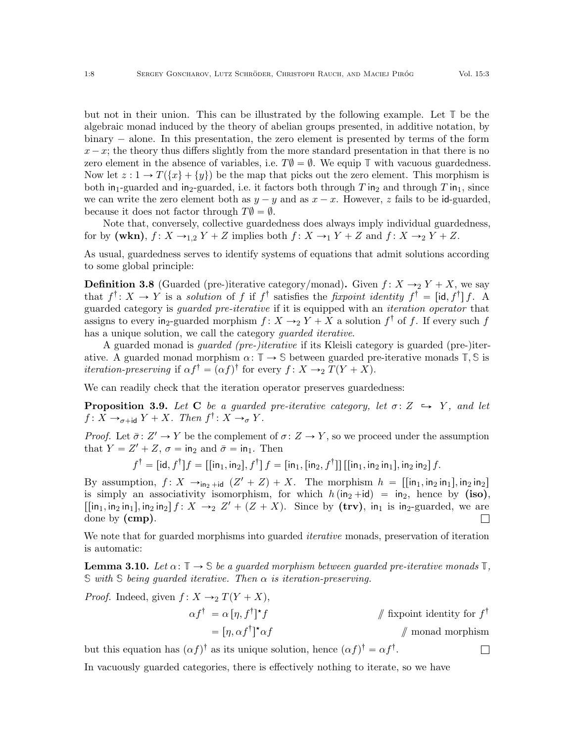$\Box$ 

but not in their union. This can be illustrated by the following example. Let **T** be the algebraic monad induced by the theory of abelian groups presented, in additive notation, by  $binary - alone.$  In this presentation, the zero element is presented by terms of the form  $x-x$ ; the theory thus differs slightly from the more standard presentation in that there is no zero element in the absence of variables, i.e.  $T\varnothing = \varnothing$ . We equip  $\mathbb T$  with vacuous guardedness. Now let  $z : 1 \to T({x} + {y})$  be the map that picks out the zero element. This morphism is both in<sub>1</sub>-guarded and in<sub>2</sub>-guarded, i.e. it factors both through T in<sub>2</sub> and through T in<sub>1</sub>, since we can write the zero element both as  $y - y$  and as  $x - x$ . However, z fails to be id-guarded, because it does not factor through  $T\emptyset = \emptyset$ .

Note that, conversely, collective guardedness does always imply individual guardedness, for by (wkn),  $f: X \rightarrow_{1,2} Y + Z$  implies both  $f: X \rightarrow_1 Y + Z$  and  $f: X \rightarrow_2 Y + Z$ .

As usual, guardedness serves to identify systems of equations that admit solutions according to some global principle:

**Definition 3.8** (Guarded (pre-)iterative category/monad). Given  $f: X \rightarrow_2 Y + X$ , we say that  $f^{\dagger}$ :  $X \to Y$  is a *solution* of f if  $f^{\dagger}$  satisfies the fixpoint identity  $f^{\dagger} = [\text{id}, f^{\dagger}] f$ . A guarded category is guarded pre-iterative if it is equipped with an iteration operator that assigns to every in<sub>2</sub>-guarded morphism  $f: X \rightarrow_2 Y + X$  a solution  $f^{\dagger}$  of f. If every such f has a unique solution, we call the category *quarded iterative*.

A guarded monad is guarded (pre-)iterative if its Kleisli category is guarded (pre-)iterative. A guarded monad morphism  $\alpha: \mathbb{T} \to \mathbb{S}$  between guarded pre-iterative monads  $\mathbb{T}, \mathbb{S}$  is *iteration-preserving* if  $\alpha f^{\dagger} = (\alpha f)^{\dagger}$  for every  $f : X \rightarrow_2 T(Y + X)$ .

We can readily check that the iteration operator preserves guardedness:

<span id="page-7-1"></span>**Proposition 3.9.** Let C be a guarded pre-iterative category, let  $\sigma: Z \rightarrow Y$ , and let  $f \colon X \to_{\sigma + id} Y + X$ . Then  $f^{\dagger} \colon X \to_{\sigma} Y$ .

*Proof.* Let  $\bar{\sigma}$ :  $Z' \rightarrow Y$  be the complement of  $\sigma$ :  $Z \rightarrow Y$ , so we proceed under the assumption that  $Y = Z' + Z$ ,  $\sigma = \text{in}_2$  and  $\bar{\sigma} = \text{in}_1$ . Then

$$
f^{\dagger} = [\text{id}, f^{\dagger}]f = [[\text{in}_1, \text{in}_2], f^{\dagger}] f = [\text{in}_1, [\text{in}_2, f^{\dagger}]] [[\text{in}_1, \text{in}_2 \text{in}_1], \text{in}_2 \text{in}_2] f.
$$

By assumption,  $f: X \rightarrow_{\text{in}_2 + \text{id}} (Z' + Z) + X$ . The morphism  $h = [[\text{in}_1, \text{in}_2 \text{in}_1], \text{in}_2 \text{in}_2]$ is simply an associativity isomorphism, for which  $h(in_2 + id) = in_2$ , hence by (iso),  $[[\text{in}_1, \text{in}_2 \text{in}_1], \text{in}_2 \text{in}_2]$   $f : X \rightarrow_2 Z' + (Z + X)$ . Since by  $(\text{trv})$ , in<sub>1</sub> is in<sub>2</sub>-guarded, we are done by (cmp).  $\Box$ 

We note that for guarded morphisms into guarded *iterative* monads, preservation of iteration is automatic:

<span id="page-7-0"></span>**Lemma 3.10.** Let  $\alpha: \mathbb{T} \to \mathbb{S}$  be a guarded morphism between guarded pre-iterative monads  $\mathbb{T}$ , **S** with **S** being guarded iterative. Then α is iteration-preserving.

*Proof.* Indeed, given  $f: X \rightarrow_2 T(Y + X)$ ,

$$
\alpha f^{\dagger} = \alpha [\eta, f^{\dagger}]^* f
$$
  
=  $[\eta, \alpha f^{\dagger}]^* \alpha f$   

$$
\qquad \qquad \# \text{ fromad morphism}
$$
  

$$
\qquad \qquad \# \text{ monad morphism}
$$

but this equation has  $(\alpha f)^{\dagger}$  as its unique solution, hence  $(\alpha f)^{\dagger} = \alpha f^{\dagger}$ .

In vacuously guarded categories, there is effectively nothing to iterate, so we have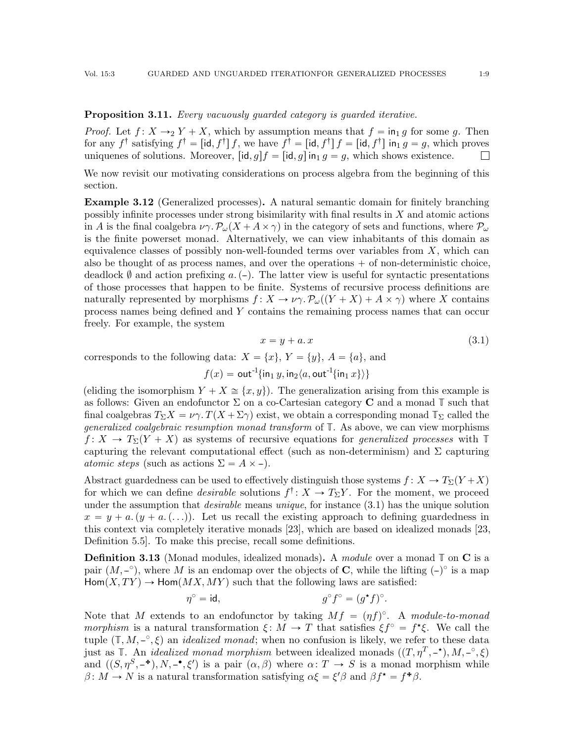# <span id="page-8-3"></span>**Proposition 3.11.** Every vacuously quarded category is quarded iterative.

*Proof.* Let  $f: X \rightarrow_2 Y + X$ , which by assumption means that  $f = \text{in}_1 g$  for some g. Then for any  $f^{\dagger}$  satisfying  $f^{\dagger} = [\text{id}, f^{\dagger}] f$ , we have  $f^{\dagger} = [\text{id}, f^{\dagger}] f = [\text{id}, f^{\dagger}]$  in<sub>1</sub>  $g = g$ , which proves uniquenes of solutions. Moreover,  $[\text{id}, g]f = [\text{id}, g]$  in<sub>1</sub> g = g, which shows existence.  $\Box$ 

We now revisit our motivating considerations on process algebra from the beginning of this section.

<span id="page-8-1"></span>Example 3.12 (Generalized processes). A natural semantic domain for finitely branching possibly infinite processes under strong bisimilarity with final results in X and atomic actions in A is the final coalgebra  $\nu \gamma \cdot \mathcal{P}_{\omega}(X + A \times \gamma)$  in the category of sets and functions, where  $\mathcal{P}_{\omega}$ is the finite powerset monad. Alternatively, we can view inhabitants of this domain as equivalence classes of possibly non-well-founded terms over variables from  $X$ , which can also be thought of as process names, and over the operations  $+$  of non-deterministic choice, deadlock  $\emptyset$  and action prefixing a. (-). The latter view is useful for syntactic presentations of those processes that happen to be finite. Systems of recursive process definitions are naturally represented by morphisms  $f: X \to \nu \gamma$ .  $\mathcal{P}_{\omega}((Y + X) + A \times \gamma)$  where X contains process names being defined and Y contains the remaining process names that can occur freely. For example, the system

<span id="page-8-0"></span>
$$
x = y + a \cdot x \tag{3.1}
$$

corresponds to the following data:  $X = \{x\}, Y = \{y\}, A = \{a\},\$ and

$$
f(x) = \text{out}^{-1}\{\text{in}_1 y, \text{in}_2\langle a, \text{out}^{-1}\{\text{in}_1 x\}\rangle\}
$$

(eliding the isomorphism  $Y + X \cong \{x, y\}$ ). The generalization arising from this example is as follows: Given an endofunctor Σ on a co-Cartesian category C and a monad **T** such that final coalgebras  $T_\Sigma X = \nu \gamma$ .  $T(X + \Sigma \gamma)$  exist, we obtain a corresponding monad  $\mathbb{T}_\Sigma$  called the generalized coalgebraic resumption monad transform of **T**. As above, we can view morphisms  $f: X \to T_{\Sigma}(Y + X)$  as systems of recursive equations for *generalized processes* with  $\mathbb{T}$ capturing the relevant computational effect (such as non-determinism) and  $\Sigma$  capturing atomic steps (such as actions  $\Sigma = A \times -$ ).

Abstract guardedness can be used to effectively distinguish those systems  $f: X \to T_{\Sigma}(Y + X)$ for which we can define *desirable* solutions  $f^{\dagger}$ :  $X \to T_{\Sigma}Y$ . For the moment, we proceed under the assumption that *desirable* means *unique*, for instance  $(3.1)$  has the unique solution  $x = y + a$ .  $(y + a, (\ldots))$ . Let us recall the existing approach to defining guardedness in this context via completely iterative monads [\[23\]](#page-42-1), which are based on idealized monads [\[23,](#page-42-1) Definition 5.5]. To make this precise, recall some definitions.

<span id="page-8-2"></span>Definition 3.13 (Monad modules, idealized monads). A module over a monad  $\mathbb{T}$  on C is a pair  $(M, -\circ)$ , where M is an endomap over the objects of **C**, while the lifting  $(-)^{\circ}$  is a map  $\text{Hom}(X, TY) \to \text{Hom}(MX, MY)$  such that the following laws are satisfied:

$$
\eta^{\circ} = \mathrm{id}, \qquad \qquad g^{\circ} f^{\circ} = (g^{\star} f)^{\circ}.
$$

Note that M extends to an endofunctor by taking  $Mf = (\eta f)^{\circ}$ . A module-to-monad morphism is a natural transformation  $\xi: M \to T$  that satisfies  $\xi f^{\circ} = f^{\star} \xi$ . We call the tuple  $(\mathbb{T}, M, -\degree, \xi)$  an *idealized monad*; when no confusion is likely, we refer to these data just as  $\mathbb{T}$ . An *idealized monad morphism* between idealized monads  $((T, \eta^T, -\star), M, -\degree, \xi)$ and  $((S, \eta^S, -^{\bullet}), N, -^{\bullet}, \xi')$  is a pair  $(\alpha, \beta)$  where  $\alpha: T \to S$  is a monad morphism while  $\beta \colon M \to N$  is a natural transformation satisfying  $\alpha \xi = \xi' \beta$  and  $\beta f^* = f^* \beta$ .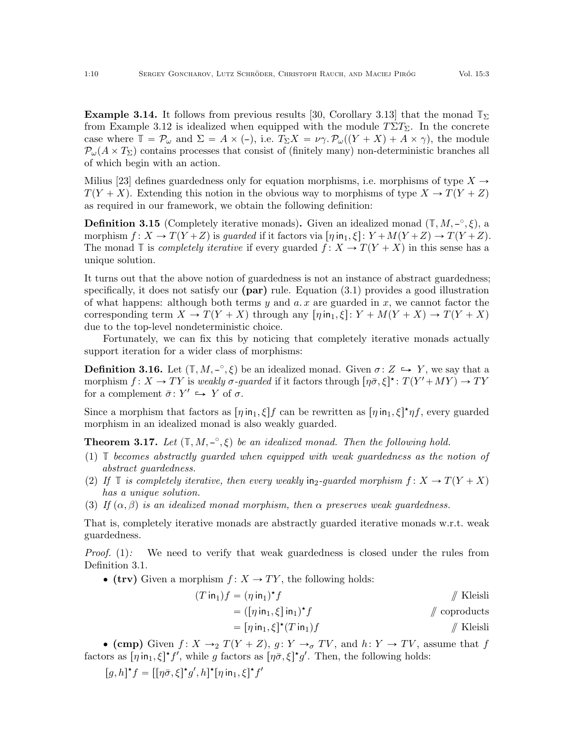**Example 3.14.** It follows from previous results [\[30,](#page-42-4) Corollary 3.13] that the monad  $\mathbb{T}_{\Sigma}$ from Example [3.12](#page-8-1) is idealized when equipped with the module  $T\Sigma T_{\Sigma}$ . In the concrete case where  $\mathbb{T} = \mathcal{P}_{\omega}$  and  $\Sigma = A \times (-)$ , i.e.  $T_{\Sigma}X = \nu \gamma \cdot \mathcal{P}_{\omega}((Y + X) + A \times \gamma)$ , the module  $\mathcal{P}_{\omega}(A \times T_{\Sigma})$  contains processes that consist of (finitely many) non-deterministic branches all of which begin with an action.

Milius [\[23\]](#page-42-1) defines guardedness only for equation morphisms, i.e. morphisms of type  $X \rightarrow$  $T(Y + X)$ . Extending this notion in the obvious way to morphisms of type  $X \to T(Y + Z)$ as required in our framework, we obtain the following definition:

**Definition 3.15** (Completely iterative monads). Given an idealized monad  $(\mathbb{T}, M, -\degree, \xi)$ , a morphism  $f: X \to T(Y + Z)$  is guarded if it factors via  $[\eta \text{ in}_1, \xi] : Y + M(Y + Z) \to T(Y + Z)$ . The monad  $\mathbb T$  is *completely iterative* if every guarded  $f: X \to T(Y + X)$  in this sense has a unique solution.

It turns out that the above notion of guardedness is not an instance of abstract guardedness; specifically, it does not satisfy our  $(par)$  rule. Equation  $(3.1)$  provides a good illustration of what happens: although both terms y and  $a \, x$  are guarded in x, we cannot factor the corresponding term  $X \to T(Y + X)$  through any  $[\eta \infty]$ ;  $Y + M(Y + X) \to T(Y + X)$ due to the top-level nondeterministic choice.

Fortunately, we can fix this by noticing that completely iterative monads actually support iteration for a wider class of morphisms:

**Definition 3.16.** Let  $(\mathbb{T}, M, -\infty, \xi)$  be an idealized monad. Given  $\sigma \colon Z \hookrightarrow Y$ , we say that a morphism  $f: X \to TY$  is weakly  $\sigma$ -guarded if it factors through  $[\eta \bar{\sigma}, \xi]^\star : T(Y' + MY) \to TY$ for a complement  $\bar{\sigma} \colon Y' \hookrightarrow Y$  of  $\sigma$ .

Since a morphism that factors as  $[\eta \text{ in}_1, \xi] f$  can be rewritten as  $[\eta \text{ in}_1, \xi]^* \eta f$ , every guarded morphism in an idealized monad is also weakly guarded.

**Theorem 3.17.** Let  $(\mathbb{T}, M, -\infty, \xi)$  be an idealized monad. Then the following hold.

- <span id="page-9-0"></span>(1) **T** becomes abstractly guarded when equipped with weak guardedness as the notion of abstract guardedness.
- <span id="page-9-1"></span>(2) If  $\mathbb T$  is completely iterative, then every weakly in<sub>2</sub>-guarded morphism  $f: X \to T(Y + X)$ has a unique solution.
- <span id="page-9-2"></span>(3) If  $(\alpha, \beta)$  is an idealized monad morphism, then  $\alpha$  preserves weak guardedness.

That is, completely iterative monads are abstractly guarded iterative monads w.r.t. weak guardedness.

*Proof.* [\(1\)](#page-9-0): We need to verify that weak guardedness is closed under the rules from Definition [3.1.](#page-4-1)

 $\bullet$  (trv) Given a morphism  $f: X \to TY$ , the following holds:

$$
(T \text{ in}_1) f = (\eta \text{ in}_1)^* f
$$
  
\n
$$
= ([\eta \text{ in}_1, \xi] \text{ in}_1)^* f
$$
  
\n
$$
= [\eta \text{ in}_1, \xi]^* (T \text{ in}_1) f
$$
  
\n
$$
= [\eta \text{ in}_1, \xi]^* (T \text{ in}_1) f
$$
  
\n
$$
= \pi \text{ in}_1 \text{ in}_1 \text{ in}_1 \text{ in}_1 \text{ in}_1 \text{ in}_1 \text{ in}_1 \text{ in}_1 \text{ in}_1 \text{ in}_1 \text{ in}_1 \text{ in}_1 \text{ in}_1 \text{ in}_1 \text{ in}_1 \text{ in}_1 \text{ in}_1 \text{ in}_1 \text{ in}_1 \text{ in}_1 \text{ in}_1 \text{ in}_1 \text{ in}_1 \text{ in}_1 \text{ in}_1 \text{ in}_1 \text{ in}_1 \text{ in}_1 \text{ in}_1 \text{ in}_1 \text{ in}_1 \text{ in}_1 \text{ in}_1 \text{ in}_1 \text{ in}_1 \text{ in}_1 \text{ in}_1 \text{ in}_1 \text{ in}_1 \text{ in}_1 \text{ in}_1 \text{ in}_1 \text{ in}_1 \text{ in}_1 \text{ in}_1 \text{ in}_1 \text{ in}_1 \text{ in}_1 \text{ in}_1 \text{ in}_1 \text{ in}_1 \text{ in}_1 \text{ in}_1 \text{ in}_1 \text{ in}_1 \text{ in}_1 \text{ in}_1 \text{ in}_1 \text{ in}_1 \text{ in}_1 \text{ in}_1 \text{ in}_1 \text{ in}_1 \text{ in}_1 \text{ in}_1 \text{ in}_1 \text{ in}_1 \text{ in}_1 \text{ in}_1 \text{ in}_1 \text{ in}_1 \text{ in}_1 \text{ in}_1 \text{ in}_1 \text{ in}_1 \text{ in}_1 \text{ in}_1 \text{ in}_1 \text{ in}_1 \text{ in}_1 \text{ in}_1 \text{ in}_1 \text{ in}_1 \text{ in}_1 \text{ in}_1 \text{ in}_1 \text{ in}_1 \text{ in}_1 \text{ in}_1 \text{ in}_1 \text{ in}_1 \text{ in}_1 \text{ in}_1 \text{ in}_1 \text{ in}_1 \text{ in}_1 \text{ in}_1 \text{ in}_1 \text{ in}_1 \text{ in}_1 \text{ in}_1 \text{ in}_1 \text{ in
$$

• (cmp) Given  $f: X \rightarrow_2 T(Y+Z)$ ,  $g: Y \rightarrow_\sigma TV$ , and  $h: Y \rightarrow TV$ , assume that f factors as  $[\eta \text{ in}_1, \xi]^* f'$ , while g factors as  $[\eta \bar{\sigma}, \xi]^* g'$ . Then, the following holds:

 $[g, h]^{\star} f = [[\eta \bar{\sigma}, \xi]^{\star} g', h]^{\star} [\eta \text{ in}_1, \xi]^{\star} f'$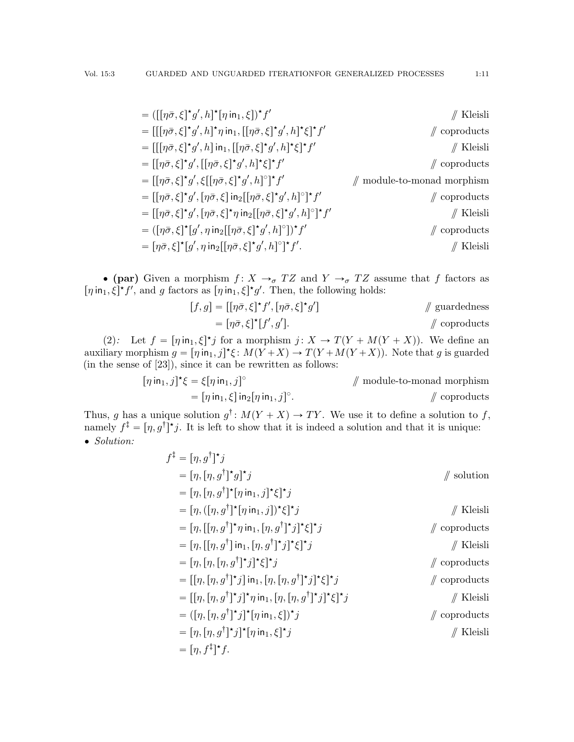| $= (\left[\left[\eta\bar{\sigma}, \xi\right]^{\star} g', h\right]^{\star} \left[\eta \text{ in } \left[\right], \xi\right])^{\star} f'$                                                  | $//$ Kleisli                          |
|------------------------------------------------------------------------------------------------------------------------------------------------------------------------------------------|---------------------------------------|
| = $[[[\eta\bar{\sigma},\xi]^{\star}g',h]^{\star}\eta$ in <sub>1</sub> , $[[\eta\bar{\sigma},\xi]^{\star}g',h]^{\star}\xi]^{\star}f'$                                                     | $\mathbb Z$ coproducts                |
| = $[[[\eta\bar{\sigma}, \xi]^{\star}g', h]$ in <sub>1</sub> , $[[\eta\bar{\sigma}, \xi]^{\star}g', h]^{\star}\xi]^{\star}f'$                                                             | $//$ Kleisli                          |
| $=[[\eta\bar{\sigma},\xi]^{\star}g',[[\eta\bar{\sigma},\xi]^{\star}g',h]^{\star}\xi]^{\star}f'$                                                                                          | $\mathcal{U}$ coproducts              |
| $= [[\eta \bar{\sigma}, \xi]^\star g', \xi[[\eta \bar{\sigma}, \xi]^\star g', h]^\circ]^\star f'$                                                                                        | $\mathbb{N}$ module-to-monad morphism |
| = $\left[\left[\eta\bar{\sigma},\xi\right]^\star g',\left[\eta\bar{\sigma},\xi\right]$ in <sub>2</sub> $\left[\left[\eta\bar{\sigma},\xi\right]^\star g',h\right]^\circ\right]^\star f'$ | $\mathbb{Z}$ coproducts               |
| = $[[\eta \bar{\sigma}, \xi]^{\star} g', [\eta \bar{\sigma}, \xi]^{\star} \eta$ in $_2[[\eta \bar{\sigma}, \xi]^{\star} g', h]^{\circ}]^{\star} f'$                                      | $//$ Kleisli                          |
| $= (\lceil \eta \bar{\sigma}, \xi \rceil^* [g', \eta \text{ in}_2 [\lceil \eta \bar{\sigma}, \xi \rceil^* g', h]^\circ])^* f'$                                                           | $\mathcal{U}$ coproducts              |
| = $[\eta \bar{\sigma}, \xi]^{\star} [g', \eta \text{ in}_2] [\eta \bar{\sigma}, \xi]^{\star} g', h]^{\circ} [\star f'.$                                                                  | $//$ Kleisli                          |

• (par) Given a morphism  $f: X \to_{\sigma} TZ$  and  $Y \to_{\sigma} TZ$  assume that f factors as  $[\eta \text{ in}_1, \xi]^* f'$ , and g factors as  $[\eta \text{ in}_1, \xi]^* g'$ . Then, the following holds:

$$
[f,g] = [[\eta \bar{\sigma}, \xi]^\star f', [\eta \bar{\sigma}, \xi]^\star g'] \qquad \qquad \# \text{ guardedness}
$$

$$
= [\eta \bar{\sigma}, \xi]^\star [f', g'].
$$

$$
\qquad \qquad \# \text{ coproducts}
$$

[\(2\)](#page-9-1): Let  $f = [\eta \text{ in}_1, \xi]^* j$  for a morphism  $j: X \to T(Y + M(Y + X))$ . We define an auxiliary morphism  $g = [\eta \text{ in}_1, j]^* \xi \colon M(Y+X) \to T(Y+M(Y+X))$ . Note that g is guarded (in the sense of [\[23\]](#page-42-1)), since it can be rewritten as follows:

$$
[\eta \text{ in}_1, j]^{\star} \xi = \xi [\eta \text{ in}_1, j]^{\circ}
$$
  
=  $[\eta \text{ in}_1, \xi] \text{ in}_2 [\eta \text{ in}_1, j]^{\circ}$ .  

$$
\text{ \textcircled{1} }
$$
  

$$
\text{ \textcircled{2} }
$$
  

$$
\text{ \textcircled{3} }
$$
  

$$
\text{ \textcircled{2} }
$$
  

$$
\text{ \textcircled{3} }
$$
  

$$
\text{ \textcircled{4} }
$$
  

$$
\text{ \textcircled{3} }
$$
  

$$
\text{ \textcircled{4} }
$$
  

$$
\text{ \textcircled{5} }
$$
  

$$
\text{ \textcircled{4} }
$$
  

$$
\text{ \textcircled{5} }
$$

Thus, g has a unique solution  $g^{\dagger}$ :  $M(Y+X) \to TY$ . We use it to define a solution to f, namely  $f^{\ddagger} = [\eta, g^{\dagger}]^{\star} j$ . It is left to show that it is indeed a solution and that it is unique:  $\bullet$  Solution:

| $f^{\ddagger} = [\eta, g^{\dagger}]^{\star} j$                                                                                                                                      |                          |
|-------------------------------------------------------------------------------------------------------------------------------------------------------------------------------------|--------------------------|
| $=[\eta, [\eta, g^{\dagger}]^{\star}g]^{\star}j$                                                                                                                                    | $\mathscr N$ solution    |
| $=[\eta, [\eta, g^{\dagger}]^{\star}[\eta \text{ in}_1, j]^{\star} \xi]^{\star} j$                                                                                                  |                          |
| $=[\eta,([\eta,g^{\dagger}]^{\star}[\eta\,\text{in}_1,j])^{\star}\xi]^{\star}j$                                                                                                     | $//$ Kleisli             |
| $=[\eta, [[\eta, g^{\dagger}]^{\star} \eta \text{ in }_{1}, [\eta, g^{\dagger}]^{\star} j]^{\star} \xi]^{\star} j$                                                                  | $\mathbb{Z}$ coproducts  |
| $=[\eta, [[\eta, g^{\dagger}] \text{ in }_{1}, [\eta, g^{\dagger}]^{\star} j]^{\star} \xi]^{\star} j$                                                                               | $//$ Kleisli             |
| $=[\eta, [\eta, [\eta, g^{\dagger}]^{\star}j]^{\star}\xi]^{\star}j$                                                                                                                 | $\mathcal{U}$ coproducts |
| $=[[\eta, [\eta, g^{\dagger}]^{\star}j]$ in $[\eta, [\eta, g^{\dagger}]^{\star}j]^{\star}\xi]^{\star}j$                                                                             | $\mathbb Z$ coproducts   |
| = $\left[\left[\eta, \left[\eta, g^\dagger\right]^{\star} j\right]^{\star} \eta \text{ in } \left[\eta, \left[\eta, g^\dagger\right]^{\star} j\right]^{\star} \xi\right]^{\star} j$ | $//$ Kleisli             |
| $= ([\eta, [\eta, g^{\dagger}]^{\star} j]^{\star} [\eta \text{ in}_{1}, \xi])^{\star} j$                                                                                            | $\mathbb Z$ coproducts   |
| $=[\eta, [\eta, g^{\dagger}]^{\star}j]^{\star}[\eta \text{ in}_{1}, \xi]^{\star}j$                                                                                                  | Kleisli                  |
| $= \left[\eta, f^{\ddagger}\right]^\star f.$                                                                                                                                        |                          |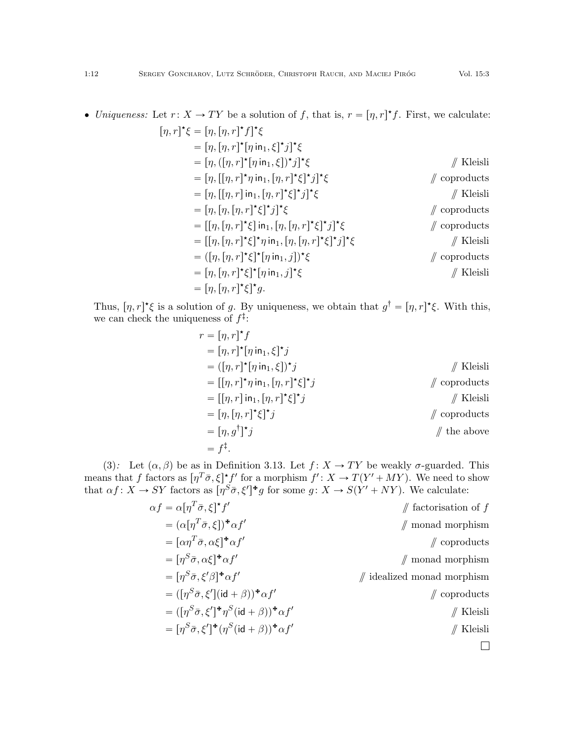• Uniqueness: Let  $r: X \to TY$  be a solution of f, that is,  $r = [\eta, r]^{\star}f$ . First, we calculate:

$$
[\eta, r]^{\star}\xi = [\eta, [\eta, r]^{\star}f]^{\star}\xi
$$
  
\n
$$
= [\eta, [\eta, r]^{\star}[\eta \text{ in } 1, \xi]^{\star}j]^{\star}\xi
$$
  
\n
$$
= [\eta, ([\eta, r]^{\star}[\eta \text{ in } 1, \xi])^{\star}j]^{\star}\xi
$$
  
\n
$$
= [\eta, [[\eta, r]^{\star} \eta \text{ in } 1, [\eta, r]^{\star}\xi]^{\star}j]^{\star}\xi
$$
  
\n
$$
= [\eta, [[\eta, r]^{\star} \eta \text{ in } 1, [\eta, r]^{\star}\xi]^{\star}j]^{\star}\xi
$$
  
\n
$$
= [\eta, [\eta, [\eta, r]^{\star}\xi]^{\star}j]^{\star}\xi
$$
  
\n
$$
= [[\eta, [\eta, r]^{\star}\xi] \text{ in } 1, [\eta, [\eta, r]^{\star}\xi]^{\star}j]^{\star}\xi
$$
  
\n
$$
= [[\eta, [\eta, r]^{\star}\xi]^{\star} \eta \text{ in } 1, [\eta, [\eta, r]^{\star}\xi]^{\star}j]^{\star}\xi
$$
  
\n
$$
= ([\eta, [\eta, r]^{\star}\xi]^{\star}[\eta \text{ in } 1, j])^{\star}\xi
$$
  
\n
$$
= [\eta, [\eta, r]^{\star}\xi]^{\star}[\eta \text{ in } 1, j]^{\star}\xi
$$
  
\n
$$
= [\eta, [\eta, r]^{\star}\xi]^{\star}[\eta \text{ in } 1, j]^{\star}\xi
$$
  
\n
$$
= [\eta, [\eta, r]^{\star}\xi]^{\star}[\eta \text{ in } 1, j]^{\star}\xi
$$
  
\n
$$
= [\eta, [\eta, r]^{\star}\xi]^{\star}[\eta \text{ in } 1, j]^{\star}\xi
$$
  
\n
$$
= [\eta, [\eta, r]^{\star}\xi]^{\star}[\eta \text{ in } 1, j]^{\star}\xi
$$
  
\n
$$
= [\eta, [\eta, r]^{\star}\xi]^{\star}[\eta \text{ in } 1, j]^{\star}\xi
$$
  
\n
$$
= [\eta, [\eta, r]^{\star}\xi]^{\star}[\eta \text{ in } 1, j]^{\star}\xi
$$
  
\n<math display="block</math>

Thus,  $[\eta, r]^* \xi$  is a solution of g. By uniqueness, we obtain that  $g^{\dagger} = [\eta, r]^* \xi$ . With this, we can check the uniqueness of  $f^{\ddagger}$ :

$$
r = [\eta, r]^{\star} f
$$
  
\n
$$
= [\eta, r]^{\star} [\eta \operatorname{in}_{1}, \xi]^{\star} j
$$
  
\n
$$
= ([\eta, r]^{\star} [\eta \operatorname{in}_{1}, \xi])^{\star} j
$$
  
\n
$$
= [[\eta, r]^{\star} \eta \operatorname{in}_{1}, [\eta, r]^{\star} \xi]^{\star} j
$$
  
\n
$$
= [[\eta, r] \operatorname{in}_{1}, [\eta, r]^{\star} \xi]^{\star} j
$$
  
\n
$$
= [\eta, [\eta, r]^{\star} \xi]^{\star} j
$$
  
\n
$$
= [\eta, g^{\dagger}]^{\star} j
$$
  
\n
$$
= [f^{\dagger}, f^{\dagger}]^{\star} j
$$
  
\n
$$
= f^{\ddagger}.
$$
  
\n
$$
= f^{\ddagger}.
$$
  
\n
$$
= f^{\ddagger}.
$$
  
\n
$$
= f^{\ddagger}.
$$
  
\n
$$
= f^{\ddagger}.
$$

[\(3\)](#page-9-2): Let  $(\alpha, \beta)$  be as in Definition [3.13.](#page-8-2) Let  $f : X \to TY$  be weakly  $\sigma$ -guarded. This means that f factors as  $[\eta^T \bar{\sigma}, \xi]^* f'$  for a morphism  $f' : X \to T(Y' + MY)$ . We need to show that  $\alpha f: X \to SY$  factors as  $\left[\eta^S \bar{\sigma}, \xi'\right]^* g$  for some  $g: X \to S(Y' + NY)$ . We calculate:

| $\#$ factorisation of f       | $\alpha f = \alpha [\eta^T \bar{\sigma}, \xi]^\star f'$                                          |
|-------------------------------|--------------------------------------------------------------------------------------------------|
| $\mathbb N$ monad morphism    | $= (\alpha[\eta^T\bar{\sigma},\xi])^{\mathbf{\star}}\alpha f'$                                   |
| $\mathcal{U}$ coproducts      | $= [\alpha \eta^T \bar{\sigma}, \alpha \xi]^{\text{+}} \alpha f'$                                |
| $\mathbb N$ monad morphism    | $= [\eta^S \bar{\sigma}, \alpha \xi]^{\text{+}} \alpha f'$                                       |
| $\#$ idealized monad morphism | $= [\eta^S \bar{\sigma}, \xi' \beta]^{\dagger} \alpha f'$                                        |
| $\mathcal{U}$ coproducts      | $= (\lceil \eta^{S} \bar{\sigma}, \xi' \rceil (id + \beta))^{*} \alpha f'$                       |
| $//$ Kleisli                  | $= (\lceil \eta^{S} \bar{\sigma}, \xi' \rceil^{*} \eta^{S} (\mathsf{id} + \beta))^{*} \alpha f'$ |
| $//$ Kleisli                  | $=[\eta^{S}\bar{\sigma},\xi']^{\ast}(\eta^{S}(\mathrm{id}+\beta))^{\ast}\alpha f'$               |
|                               |                                                                                                  |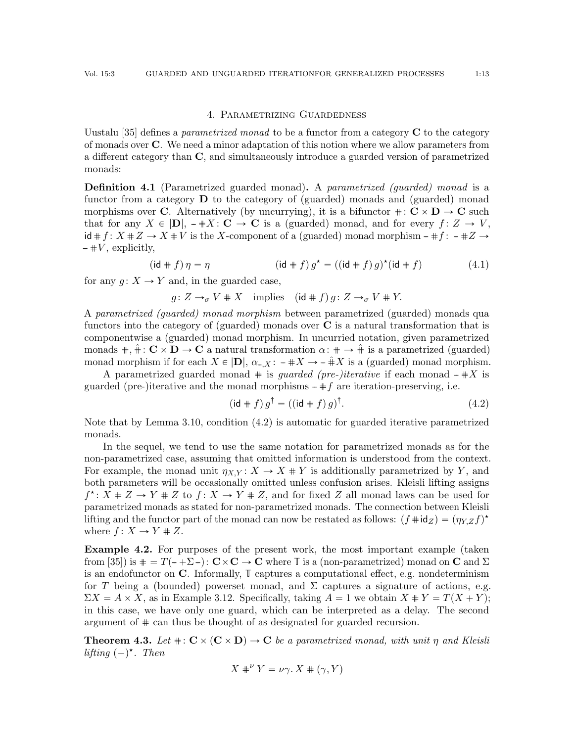#### 4. Parametrizing Guardedness

<span id="page-12-0"></span>Uustalu [\[35\]](#page-42-10) defines a *parametrized monad* to be a functor from a category  $C$  to the category of monads over C. We need a minor adaptation of this notion where we allow parameters from a different category than C, and simultaneously introduce a guarded version of parametrized monads:

**Definition 4.1** (Parametrized guarded monad). A parametrized (quarded) monad is a functor from a category  $\bf{D}$  to the category of (guarded) monads and (guarded) monad morphisms over C. Alternatively (by uncurrying), it is a bifunctor  $\# : \mathbb{C} \times \mathbb{D} \to \mathbb{C}$  such that for any  $X \in |D|$ ,  $-\#X : \mathbf{C} \to \mathbf{C}$  is a (guarded) monad, and for every  $f : Z \to V$ ,  $id \# f : X \# Z \to X \# V$  is the X-component of a (guarded) monad morphism  $-\# f : -\# Z \to Z$  $\#V$ , explicitly,

$$
(\mathrm{id} \# f) \eta = \eta \qquad (\mathrm{id} \# f) g^* = ((\mathrm{id} \# f) g)^* (\mathrm{id} \# f) \qquad (4.1)
$$

for any  $q: X \to Y$  and, in the guarded case,

 $g: Z \to_{\sigma} V + X$  implies  $(id + f)g: Z \to_{\sigma} V + Y$ .

A parametrized (guarded) monad morphism between parametrized (guarded) monads qua functors into the category of (guarded) monads over  $C$  is a natural transformation that is componentwise a (guarded) monad morphism. In uncurried notation, given parametrized monads  $\#, \hat{+} : \mathbb{C} \times \mathbb{D} \to \mathbb{C}$  a natural transformation  $\alpha: \# \to \hat{+}$  is a parametrized (guarded) monad morphism if for each  $X \in |D|$ ,  $\alpha_{-X}$ :  $-\#X \to -\hat{X}$  is a (guarded) monad morphism.

A parametrized guarded monad  $\#$  is *guarded (pre-)iterative* if each monad  $-\#X$  is guarded (pre-)iterative and the monad morphisms  $\#f$  are iteration-preserving, i.e.

<span id="page-12-3"></span><span id="page-12-1"></span>
$$
(\text{id} \# f) g^{\dagger} = ((\text{id} \# f) g)^{\dagger}.
$$
 (4.2)

Note that by Lemma [3.10,](#page-7-0) condition [\(4.2\)](#page-12-1) is automatic for guarded iterative parametrized monads.

In the sequel, we tend to use the same notation for parametrized monads as for the non-parametrized case, assuming that omitted information is understood from the context. For example, the monad unit  $\eta_{XY}: X \to X \# Y$  is additionally parametrized by Y, and both parameters will be occasionally omitted unless confusion arises. Kleisli lifting assigns  $f^{\star}$ :  $X \# Z \to Y \# Z$  to  $f: X \to Y \# Z$ , and for fixed Z all monad laws can be used for parametrized monads as stated for non-parametrized monads. The connection between Kleisli lifting and the functor part of the monad can now be restated as follows:  $(f \# id_Z) = (\eta_{Y,Z} f)^*$ where  $f: X \to Y \# Z$ .

<span id="page-12-4"></span>Example 4.2. For purposes of the present work, the most important example (taken from [\[35\]](#page-42-10)) is  $\mathbf{F} = T(-\Sigma -): \mathbf{C} \times \mathbf{C} \to \mathbf{C}$  where **T** is a (non-parametrized) monad on C and  $\Sigma$ is an endofunctor on C. Informally, **T** captures a computational effect, e.g. nondeterminism for T being a (bounded) powerset monad, and  $\Sigma$  captures a signature of actions, e.g.  $\Sigma X = A \times X$ , as in Example [3.12.](#page-8-1) Specifically, taking  $A = 1$  we obtain  $X + Y = T(X + Y)$ ; in this case, we have only one guard, which can be interpreted as a delay. The second argument of # can thus be thought of as designated for guarded recursion.

<span id="page-12-2"></span>**Theorem 4.3.** Let  $\# \colon \mathbb{C} \times (\mathbb{C} \times \mathbb{D}) \to \mathbb{C}$  be a parametrized monad, with unit  $\eta$  and Kleisli lifting  $(-)^{\star}$ . Then

$$
X *^{\nu} Y = \nu \gamma. X * (\gamma, Y)
$$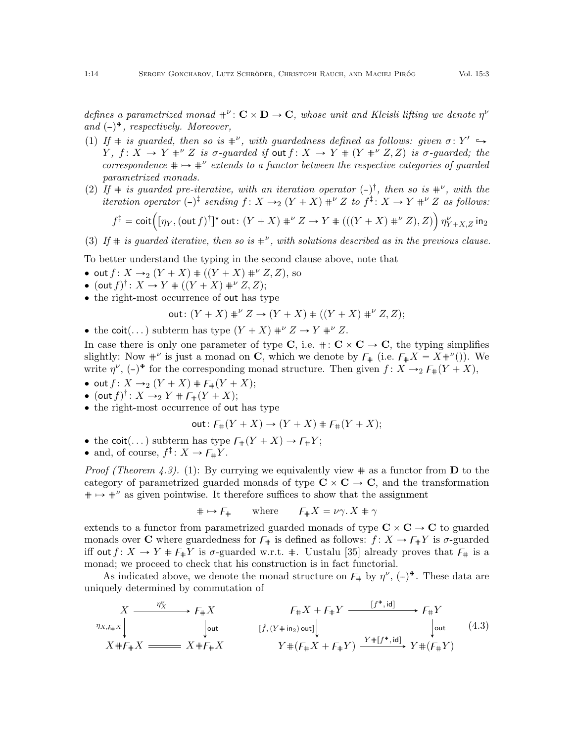defines a parametrized monad  $\ast^{\nu} \colon \mathbf{C} \times \mathbf{D} \to \mathbf{C}$ , whose unit and Kleisli lifting we denote  $\eta^{\nu}$ and  $(-)^*$ , respectively. Moreover,

- <span id="page-13-0"></span>(1) If  $\#$  is guarded, then so is  $\#^{\nu}$ , with guardedness defined as follows: given  $\sigma: Y'$  $Y, f: X \to Y +^{\nu} Z$  is  $\sigma$ -guarded if out  $f: X \to Y + (Y +^{\nu} Z, Z)$  is  $\sigma$ -guarded; the correspondence  $\# \mapsto \#^{\nu}$  extends to a functor between the respective categories of guarded parametrized monads.
- <span id="page-13-1"></span>(2) If  $\#$  is guarded pre-iterative, with an iteration operator  $(-)^{\dagger}$ , then so is  $\#^{\nu}$ , with the

*iteration operator* 
$$
(-)^{\dagger}
$$
  *sending*  $f : X \rightarrow_2 (Y + X) \#^{\nu} Z$  *to*  $f^{\dagger} : X \rightarrow Y \#^{\nu} Z$  *as follows:*  

$$
f^{\dagger} = \text{coit} \left( [\eta_Y, (\text{out } f)^{\dagger}]^{\star} \text{out}: (Y + X) \#^{\nu} Z \rightarrow Y \# ((Y + X) \#^{\nu} Z), Z) \right) \eta_{Y+X,Z}^{\nu} \text{ in } Y \text{ in } Y \text{ in } Y \text{ in } Y \text{ in } Y \text{ in } Y \text{ in } Y \text{ in } Y \text{ in } Y \text{ in } Y \text{ in } Y \text{ in } Y \text{ in } Y \text{ in } Y \text{ in } Y \text{ in } Y \text{ in } Y \text{ in } Y \text{ in } Y \text{ in } Y \text{ in } Y \text{ in } Y \text{ in } Y \text{ in } Y \text{ in } Y \text{ in } Y \text{ in } Y \text{ in } Y \text{ in } Y \text{ in } Y \text{ in } Y \text{ in } Y \text{ in } Y \text{ in } Y \text{ in } Y \text{ in } Y \text{ in } Y \text{ in } Y \text{ in } Y \text{ in } Y \text{ in } Y \text{ in } Y \text{ in } Y \text{ in } Y \text{ in } Y \text{ in } Y \text{ in } Y \text{ in } Y \text{ in } Y \text{ in } Y \text{ in } Y \text{ in } Y \text{ in } Y \text{ in } Y \text{ in } Y \text{ in } Y \text{ in } Y \text{ in } Y \text{ in } Y \text{ in } Y \text{ in } Y \text{ in } Y \text{ in } Y \text{ in } Y \text{ in } Y \text{ in } Y \text{ in } Y \text{ in } Y \text{ in } Y \text{ in } Y \text{ in } Y \text{ in } Y \text{ in } Y \text{ in } Y \text{ in } Y \text{ in } Y \text{ in } Y \text{ in } Y \text{ in } Y \text{ in } Y \text{ in } Y \text{ in } Y \text{ in } Y \text{ in } Y \text{ in } Y \text{ in } Y \text{ in } Y \text{ in } Y \text{ in } Y \text{ in } Y \text{ in } Y \text{ in } Y \text{ in } Y \text{ in } Y \text{ in } Y \text{ in } Y \text{ in } Y \text
$$

<span id="page-13-2"></span>(3) If  $\#$  is guarded iterative, then so is  $\#^{\nu}$ , with solutions described as in the previous clause.

To better understand the typing in the second clause above, note that

- out  $f: X \to_2 (Y + X)$   $\# ((Y + X) \#^{\nu} Z, Z)$ , so
- (out  $f)$ <sup>†</sup>:  $X \to Y + ((Y + X) + \nu Z, Z);$
- the right-most occurrence of out has type

out: 
$$
(Y + X) \ast^{\nu} Z \to (Y + X) \ast ((Y + X) \ast^{\nu} Z, Z);
$$

• the coit(...) subterm has type  $(Y + X) * v Z \to Y * v Z$ .

In case there is only one parameter of type C, i.e.  $\# : \mathbb{C} \times \mathbb{C} \to \mathbb{C}$ , the typing simplifies slightly: Now  $*^{\nu}$  is just a monad on **C**, which we denote by  $F_*$  (i.e.  $F_*X = X^{+\nu}$ ). We write  $\eta^{\nu}$ ,  $(-)^*$  for the corresponding monad structure. Then given  $f : X \rightarrow_2 \mathcal{F}_+(Y+X)$ ,

- out  $f: X \to_2 (Y + X) \# F_*(Y + X);$
- $(\text{out } f)^{\dagger}$ :  $X \to_2 Y \# F_{\#}(Y + X);$
- the right-most occurrence of out has type

out: 
$$
F_{\#}(Y + X) \to (Y + X) \# F_{\#}(Y + X);
$$

- the coit(...) subterm has type  $F_{\#}(Y + X) \to F_{\#}Y$ ;
- and, of course,  $f^{\ddagger}$ :  $X \to F_{\#}Y$ .

*Proof (Theorem [4.3\)](#page-12-2).* [\(1\)](#page-13-0): By currying we equivalently view  $\#$  as a functor from **D** to the category of parametrized guarded monads of type  $C \times C \rightarrow C$ , and the transformation  $\# \mapsto \#^{\nu}$  as given pointwise. It therefore suffices to show that the assignment

$$
\# \mapsto F_{\#} \qquad \text{where} \qquad F_{\#} X = \nu \gamma. X \# \gamma
$$

extends to a functor from parametrized guarded monads of type  $C \times C \rightarrow C$  to guarded monads over **C** where guardedness for  $F_{\#}$  is defined as follows:  $f : X \to F_{\#}Y$  is  $\sigma$ -guarded iff out  $f: X \to Y + F_{\#}Y$  is  $\sigma$ -guarded w.r.t.  $\#$ . Uustalu [\[35\]](#page-42-10) already proves that  $F_{\#}$  is a monad; we proceed to check that his construction is in fact functorial.

As indicated above, we denote the monad structure on  $F_{\#}$  by  $\eta^{\nu}$ ,  $(-)^{*}$ . These data are uniquely determined by commutation of

<span id="page-13-3"></span>
$$
X \xrightarrow{\eta_X^{\nu}} F_{\#} X \xrightarrow{\qquad \qquad} F_{\#} X \xrightarrow{\qquad \qquad} F_{\#} X + F_{\#} Y \xrightarrow{\qquad \qquad [f^*, id]} F_{\#} Y
$$
\n
$$
X \# F_{\#} X \xrightarrow{\qquad \qquad [\hat{f}, (Y \# in_2) \text{ out}]\n} Y \# (F_{\#} X + F_{\#} Y) \xrightarrow{\qquad \qquad Y \# [f^*, id]} Y \# (F_{\#} Y)
$$
\n
$$
(4.3)
$$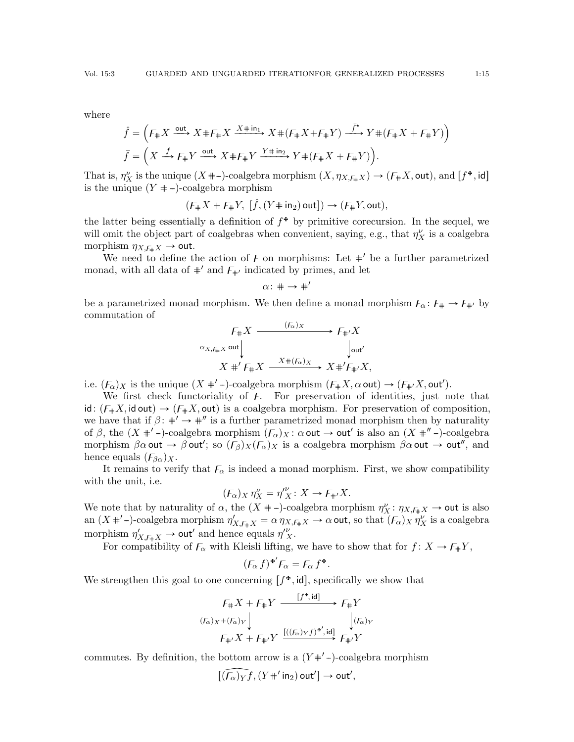where

$$
\hat{f} = \left( F_{\#} X \xrightarrow{\text{out}} X \# F_{\#} X \xrightarrow{X \# \text{in}_1} X \# (F_{\#} X + F_{\#} Y) \xrightarrow{\bar{f}^{\star}} Y \# (F_{\#} X + F_{\#} Y) \right)
$$
\n
$$
\bar{f} = \left( X \xrightarrow{f} F_{\#} Y \xrightarrow{\text{out}} X \# F_{\#} Y \xrightarrow{Y \# \text{in}_2} Y \# (F_{\#} X + F_{\#} Y) \right).
$$

That is,  $\eta_X^{\nu}$  is the unique  $(X + -)$ -coalgebra morphism  $(X, \eta_{X,\overline{f\#}X}) \to (F \# X, \text{out})$ , and  $[f^{\ast}, \text{id}]$ is the unique  $(Y + -)$ -coalgebra morphism

$$
(\mathit{F}_\#X + \mathit{F}_\#Y, [\hat{f}, (Y \# \mathsf{in}_2) \mathsf{out}]) \rightarrow (\mathit{F}_\#Y, \mathsf{out}),
$$

the latter being essentially a definition of  $f^*$  by primitive corecursion. In the sequel, we will omit the object part of coalgebras when convenient, saying, e.g., that  $\eta_X^{\nu}$  is a coalgebra morphism  $\eta_{X,\mathfrak{f}_{\#}}$   $\rightarrow$  out.

We need to define the action of  $F$  on morphisms: Let  $\#'$  be a further parametrized monad, with all data of  $\#$ <sup>'</sup> and  $F_{\#}$ <sup>'</sup> indicated by primes, and let

$$
\alpha\colon \ast\to\ast'
$$

be a parametrized monad morphism. We then define a monad morphism  $F_{\alpha} : F_{\#} \to F_{\#'}$  by commutation of

$$
F_{\#}X \xrightarrow{f_{\alpha}X} F_{\#'}X
$$
  
\n
$$
\alpha_{X, f_{\#}}x \text{ out} \downarrow \qquad \qquad \downarrow \text{ out}'
$$
  
\n
$$
X \#'F_{\#}X \xrightarrow{X \#(F_{\alpha})X} X \#'F_{\#'}X,
$$

i.e.  $(F_{\alpha})_X$  is the unique  $(X + '-)$ -coalgebra morphism  $(F_{\#}X, \alpha \text{ out}) \to (F_{\#'}X, \text{ out}').$ 

We first check functoriality of  $F$ . For preservation of identities, just note that id:  $(F_{\#}X, \text{id out}) \rightarrow (F_{\#}X, \text{out})$  is a coalgebra morphism. For preservation of composition, we have that if  $\beta$ :  $\#' \rightarrow \#''$  is a further parametrized monad morphism then by naturality of  $\beta$ , the  $(X + (-1)^{k-1})$ -coalgebra morphism  $(F_\alpha)_X : \alpha$  out  $\rightarrow$  out' is also an  $(X + (-1)^{k-1})$ -coalgebra morphism  $\beta \alpha$  out  $\rightarrow \beta$  out'; so  $(F_{\beta})_X(F_{\alpha})_X$  is a coalgebra morphism  $\beta \alpha$  out  $\rightarrow$  out'', and hence equals  $(F_{\beta\alpha})_X$ .

It remains to verify that  $F_{\alpha}$  is indeed a monad morphism. First, we show compatibility with the unit, i.e.

$$
(\mathcal{F}_{\alpha})_X \eta_X^{\nu} = \eta_X^{\prime \nu} : X \to \mathcal{F}_{\#} X.
$$

We note that by naturality of  $\alpha$ , the  $(X + -)$ -coalgebra morphism  $\eta_X^{\nu} : \eta_{X,\mathfrak{F}_*X} \to \text{out}$  is also an  $(X +'$ -)-coalgebra morphism  $\eta'_{X,\mathcal{F}_{\#}X} = \alpha \eta_{X,\mathcal{F}_{\#}X} \to \alpha$  out, so that  $(\mathcal{F}_{\alpha})_X \eta''_X$  is a coalgebra morphism  $\eta'_{X,\mathfrak{f}_{\#}X} \to \text{out}'$  and hence equals  $\eta''_{X}$ .

For compatibility of  $\mathcal{F}_{\alpha}$  with Kleisli lifting, we have to show that for  $f: X \to \mathcal{F}_{\#}Y$ ,

$$
(F_{\alpha} f)^{\ast'} F_{\alpha} = F_{\alpha} f^{\ast}.
$$

We strengthen this goal to one concerning  $[f^{\ast}, id]$ , specifically we show that

$$
F_{\#}X + F_{\#}Y \xrightarrow{[f^*, id]} F_{\#}Y
$$
  
\n
$$
(F_{\alpha})_X + (F_{\alpha})_Y \downarrow \qquad \qquad \downarrow (F_{\alpha})_Y
$$
  
\n
$$
F_{\#'}X + F_{\#'}Y \xrightarrow{[((F_{\alpha})_Y f)^{*'}, id]} F_{\#'}Y
$$

commutes. By definition, the bottom arrow is a  $(Y^{\#'}-)$ -coalgebra morphism

$$
\widehat{[(F_{\alpha})_Yf},(Y\#'\mathsf{in}_2)\mathsf{out}']\to \mathsf{out}',
$$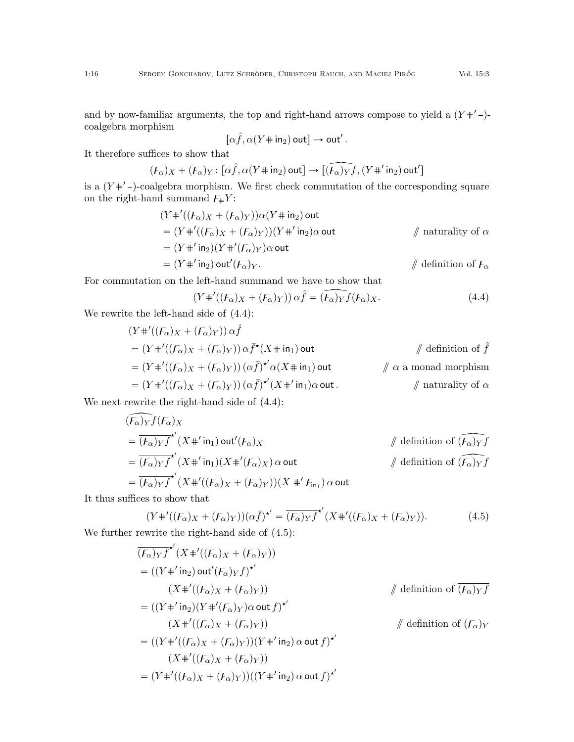and by now-familiar arguments, the top and right-hand arrows compose to yield a  $(Y^{\#'}-)$ coalgebra morphism

$$
[\alpha \hat f,\alpha(Y\!\!\!/\,\Downarrow\!\!\> \mathrm{in}_2)\,\mathsf{out}] \to \mathsf{out}'\,.
$$

It therefore suffices to show that

$$
(\mathcal{F}_{\alpha})_X + (\mathcal{F}_{\alpha})_Y \colon [\alpha \hat{f}, \alpha(Y \# \mathsf{in}_2) \mathsf{out}] \to \widehat{[(\mathcal{F}_{\alpha})_Y f}, (Y \#' \mathsf{in}_2) \mathsf{out}']
$$

is a  $(Y^{\#'}$ -)-coalgebra morphism. We first check commutation of the corresponding square on the right-hand summand  $F_{\#}Y$ :

$$
(Y'''_{+}'((F_{\alpha})X + (F_{\alpha})Y))\alpha(Y'''_{+})
$$
 out  
\n
$$
= (Y'''_{+}'((F_{\alpha})X + (F_{\alpha})Y))(Y'''_{+})\alpha
$$
 out  
\n
$$
= (Y'''_{+})^2(Y'''_{+}/(F_{\alpha})Y)\alpha
$$
 out  
\n
$$
= (Y'''_{+})^2(\alpha)Y''_{-}(\alpha)Y'_{-}
$$

For commutation on the left-hand summand we have to show that

<span id="page-15-0"></span>
$$
(Y#'((F_{\alpha})_X + (F_{\alpha})_Y)) \alpha \hat{f} = \widehat{(F_{\alpha})_Y} f(F_{\alpha})_X.
$$
\n(4.4)

We rewrite the left-hand side of [\(4.4\)](#page-15-0):

$$
(Y#'((F_{\alpha})_X + (F_{\alpha})_Y)) \alpha \hat{f}
$$
  
=  $(Y#'((F_{\alpha})_X + (F_{\alpha})_Y)) \alpha \bar{f}^*(X \# \mathrm{in}_1)$  out  $\qquad \qquad \text{# definition of } \hat{f}$   
=  $(Y#'((F_{\alpha})_X + (F_{\alpha})_Y)) (\alpha \bar{f})^* \alpha (X \# \mathrm{in}_1)$  out  $\qquad \qquad \text{# } \alpha \text{ a monad morphism}$   
=  $(Y#'((F_{\alpha})_X + (F_{\alpha})_Y)) (\alpha \bar{f})^* (X \#' \mathrm{in}_1) \alpha \text{ out.}$ 

We next rewrite the right-hand side of [\(4.4\)](#page-15-0):

$$
\begin{aligned}\n\widehat{(F_{\alpha})_Y} f(F_{\alpha})_X \\
&= \overline{(F_{\alpha})_Y f}^{\star'} (X \#' \operatorname{in}_1) \operatorname{out}'(F_{\alpha})_X \\
&= \overline{(F_{\alpha})_Y f}^{\star'} (X \#' \operatorname{in}_1) (X \#' (F_{\alpha})_X) \operatorname{a} \operatorname{out} \\
&\qquad \qquad \# \text{ definition of } \widehat{(F_{\alpha})_Y f} \\
&= \overline{(F_{\alpha})_Y f}^{\star'} (X \#' ((F_{\alpha})_X + (F_{\alpha})_Y)) (X \#' F_{\operatorname{in}_1}) \operatorname{a} \operatorname{out}\n\end{aligned}
$$

It thus suffices to show that

<span id="page-15-1"></span>
$$
(Y#'((F_{\alpha})_X + (F_{\alpha})_Y))(\alpha \bar{f})^{\star'} = \overline{(F_{\alpha})_Y f}^{\star'}(X#'((F_{\alpha})_X + (F_{\alpha})_Y)).
$$
\n(4.5)

We further rewrite the right-hand side of  $(4.5)$ :

$$
\overline{(F_{\alpha})Yf}^{\star'}(X^{\#'}((F_{\alpha})X + (F_{\alpha})Y))
$$
\n
$$
= ((Y^{\#'}\text{in}_{2})\text{out}'(F_{\alpha})Yf)^{\star'}
$$
\n
$$
(X^{\#'}((F_{\alpha})X + (F_{\alpha})Y))
$$
\n
$$
= ((Y^{\#'}\text{in}_{2})(Y^{\#'}(F_{\alpha})Y)\text{out }f)^{\star'}
$$
\n
$$
(X^{\#'}((F_{\alpha})X + (F_{\alpha})Y))
$$
\n
$$
= ((Y^{\#'}((F_{\alpha})X + (F_{\alpha})Y))(Y^{\#'}\text{in}_{2})\text{ out }f)^{\star'}
$$
\n
$$
(X^{\#'}((F_{\alpha})X + (F_{\alpha})Y))(Y^{\#'}\text{in}_{2})\text{ out }f)^{\star'}
$$
\n
$$
= (Y^{\#'}((F_{\alpha})X + (F_{\alpha})Y))((Y^{\#'}\text{in}_{2})\text{ out }f)^{\star'}
$$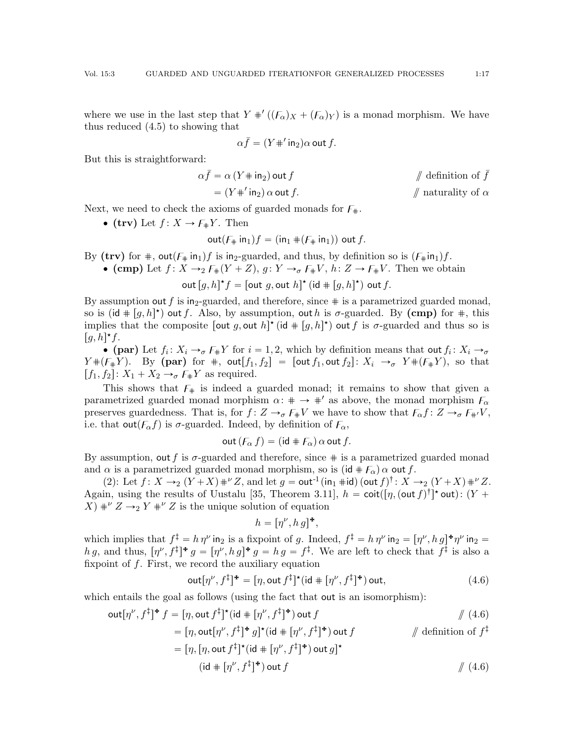where we use in the last step that  $Y'''((F_{\alpha})_X + (F_{\alpha})_Y)$  is a monad morphism. We have thus reduced [\(4.5\)](#page-15-1) to showing that

$$
\alpha \bar{f} = (Y + 'in_2)\alpha
$$
 out  $f$ .

But this is straightforward:

$$
\alpha \bar{f} = \alpha \left( Y + \text{in}_2 \right) \text{out } f \qquad \qquad \text{\# definition of } \bar{f}
$$
\n
$$
= \left( Y + \text{in}_2 \right) \alpha \text{ out } f. \qquad \qquad \text{\# a turnality of } \alpha
$$

Next, we need to check the axioms of guarded monads for  $F_{\text{+}}$ .

 $\bullet$  (trv) Let  $f: X \rightarrow F_{\#}Y$ . Then

$$
\operatorname{out}(F_{\#} \operatorname{in}_1) f = (\operatorname{in}_1 \# (F_{\#} \operatorname{in}_1)) \operatorname{out} f.
$$

By (trv) for  $\#$ , out( $F_{\#}$  in<sub>1</sub>)f is in<sub>2</sub>-guarded, and thus, by definition so is  $(F_{\#}$ in<sub>1</sub>)f.

• **(cmp)** Let 
$$
f: X \to 2
$$
  $F_{\#}(Y + Z)$ ,  $g: Y \to_{\sigma} F_{\#}V$ ,  $h: Z \to F_{\#}V$ . Then we obtain

out  $[g, h]^{\star} f = [\text{out } g, \text{out } h]^{\star}$   $(\text{id } \# [g, h]^{\star})$  out  $f$ .

By assumption out f is in<sub>2</sub>-guarded, and therefore, since  $\#$  is a parametrized guarded monad, so is (id  $\# [g, h]^{\star}$ ) out f. Also, by assumption, out h is  $\sigma$ -guarded. By (cmp) for  $\#$ , this implies that the composite  $[\text{out } g, \text{out } h]^{\star}$  (id  $\# [g, h]^{\star}$ ) out f is  $\sigma$ -guarded and thus so is  $[g, h]^{\star}f.$ 

• (par) Let  $f_i: X_i \to_{\sigma} F_{\#} Y$  for  $i = 1, 2$ , which by definition means that out  $f_i: X_i \to_{\sigma}$  $Y \#(F \# Y)$ . By (par) for #, out  $[f_1, f_2] = [\text{out } f_1, \text{out } f_2]$ :  $X_i \to_{\sigma} Y \#(F \# Y)$ , so that  $[f_1, f_2]: X_1 + X_2 \rightarrow_{\sigma} F_{\#}Y$  as required.

This shows that  $F_{\#}$  is indeed a guarded monad; it remains to show that given a parametrized guarded monad morphism  $\alpha$ :  $\mu \rightarrow \mu'$  as above, the monad morphism  $F_{\alpha}$ preserves guardedness. That is, for  $f: Z \to_{\sigma} F_{\#}V$  we have to show that  $F_{\alpha} f: Z \to_{\sigma} F_{\#'}V$ , i.e. that out $(F_{\alpha}f)$  is  $\sigma$ -guarded. Indeed, by definition of  $F_{\alpha}$ ,

$$
out (F_{\alpha} f) = (id + F_{\alpha}) \alpha out f.
$$

By assumption, out f is  $\sigma$ -guarded and therefore, since  $\#$  is a parametrized guarded monad and  $\alpha$  is a parametrized guarded monad morphism, so is  $(id + F_{\alpha}) \alpha$  out f.

[\(2\)](#page-13-1): Let  $f: X \rightarrow_2 (Y + X) \#^{\nu} Z$ , and let  $g = \text{out}^{-1}(\text{in}_1 \# \text{id}) (\text{out } f)^{\dagger} : X \rightarrow_2 (Y + X) \#^{\nu} Z$ . Again, using the results of Uustalu [\[35,](#page-42-10) Theorem 3.11],  $h = \text{coit}([\eta, (\text{out } f)^{\dagger}]^{\star} \text{out})$ :  $(Y +$  $(X) \#^{\nu} Z \rightarrow_2 Y \#^{\nu} Z$  is the unique solution of equation

<span id="page-16-0"></span>
$$
h = [\eta^{\nu}, h g]^{\mathbf{\#}},
$$

which implies that  $f^{\ddagger} = h \eta^{\nu}$  in<sub>2</sub> is a fixpoint of g. Indeed,  $f^{\ddagger} = h \eta^{\nu}$  in<sub>2</sub> =  $[\eta^{\nu}, h g]^* \eta^{\nu}$  in<sub>2</sub> = h g, and thus,  $[\eta^{\nu}, f^{\ddagger}]^* g = [\eta^{\nu}, h g]^* g = h g = f^{\ddagger}$ . We are left to check that  $f^{\ddagger}$  is also a fixpoint of  $f$ . First, we record the auxiliary equation

$$
\operatorname{out}[\eta^{\nu}, f^{\ddagger}]^{\dagger} = [\eta, \operatorname{out} f^{\ddagger}]^{\dagger} (\operatorname{id} + [\eta^{\nu}, f^{\ddagger}]^{\dagger}) \operatorname{out}, \tag{4.6}
$$

which entails the goal as follows (using the fact that out is an isomorphism):

$$
\operatorname{out}[\eta^{\nu}, f^{\ddagger}]^* f = [\eta, \operatorname{out} f^{\ddagger}]^{\star} (\operatorname{id} + [\eta^{\nu}, f^{\ddagger}]^{\star}) \operatorname{out} f \qquad \qquad \text{\textbackslash} \qquad \text{\textbackslash} \qquad (4.6)
$$

$$
= [\eta, \text{out}[\eta^{\nu}, f^{\ddagger}]^* g]^{\star} (\text{id} + [\eta^{\nu}, f^{\ddagger}]^*) \text{ out } f \qquad \qquad \text{/\! definition of } f^{\ddagger}
$$

$$
= [\eta, [\eta, \text{out } f^{\ddagger}]^{\star} (\text{id} + [\eta^{\nu}, f^{\ddagger}]^{\star}) \text{ out } g]^{\star}
$$
  
(id 
$$
[ \eta^{\nu}, f^{\ddagger}]^{\star} ) \text{ out } f \qquad \qquad \text{\#} (4.6)
$$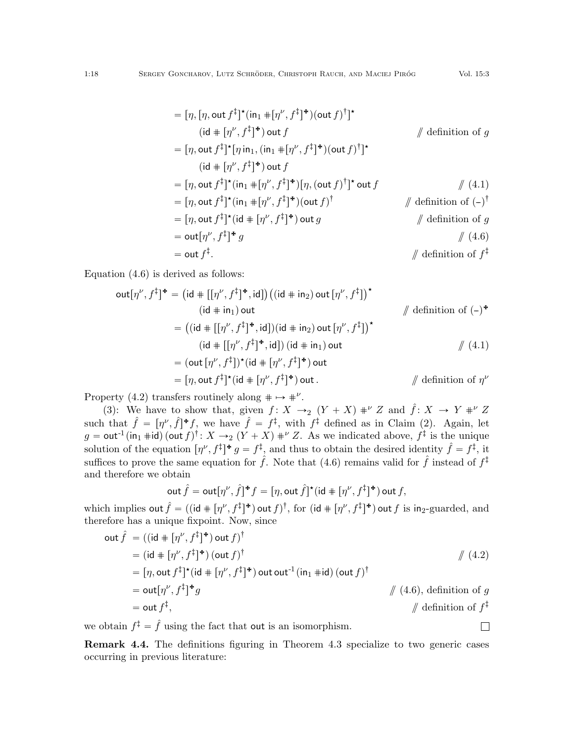$$
= [\eta, [\eta, \text{out } f^{\dagger}]^{\star} (\text{in}_1 \# [\eta^{\nu}, f^{\dagger}]^{\star}) (\text{out } f)^{\dagger}]^{\star}
$$
\n
$$
(\text{id} \# [\eta^{\nu}, f^{\dagger}]^{\star}) \text{ out } f \qquad \qquad \text{definition of } g
$$
\n
$$
= [\eta, \text{out } f^{\dagger}]^{\star} [\eta \text{ in}_1, (\text{in}_1 \# [\eta^{\nu}, f^{\dagger}]^{\star}) (\text{out } f)^{\dagger}]^{\star}
$$
\n
$$
(\text{id} \# [\eta^{\nu}, f^{\dagger}]^{\star}) \text{ out } f
$$
\n
$$
= [\eta, \text{out } f^{\dagger}]^{\star} (\text{in}_1 \# [\eta^{\nu}, f^{\dagger}]^{\star}) [\eta, (\text{out } f)^{\dagger}]^{\star} \text{ out } f \qquad \qquad \text{# } (4.1)
$$
\n
$$
= [\eta, \text{out } f^{\dagger}]^{\star} (\text{in}_1 \# [\eta^{\nu}, f^{\dagger}]^{\star}) (\text{out } f)^{\dagger} \qquad \qquad \text{# definition of } (-)^{\dagger}
$$
\n
$$
= [\eta, \text{out } f^{\dagger}]^{\star} (\text{id} \# [\eta^{\nu}, f^{\dagger}]^{\star}) \text{ out } g
$$
\n
$$
= \text{out } [\eta^{\nu}, f^{\dagger}]^{\star} g
$$
\n
$$
= \text{out } f^{\dagger}.
$$
\n
$$
= \text{out } f^{\dagger}.
$$
\n
$$
= \text{out } f^{\dagger}.
$$
\n
$$
= \text{out } f^{\dagger}.
$$
\n
$$
= \text{out } f^{\dagger}.
$$
\n
$$
= \text{out } f^{\dagger}.
$$
\n
$$
= \text{out } f^{\dagger}.
$$
\n
$$
= \text{out } f^{\dagger}.
$$
\n
$$
= \text{out } f^{\dagger}.
$$
\n
$$
= \text{out } f^{\dagger}.
$$
\n
$$
= \text{out } f^{\dagger}.
$$
\n
$$
= \text{out } f^{\dagger}.
$$
\n

Equation [\(4.6\)](#page-16-0) is derived as follows:

$$
\begin{aligned}\n\text{out}[\eta^{\nu}, f^{\ddagger}]^{\text{+}} &= \left(\text{id} + [[\eta^{\nu}, f^{\ddagger}]^{\text{+}}, \text{id}]\right) \left((\text{id} + \text{in}_{2}) \text{ out } [\eta^{\nu}, f^{\ddagger}]\right)^{\text{*}} \\
&\quad \text{(id } + \text{in}_{1}) \text{ out} \\
&= \left((\text{id} + [[\eta^{\nu}, f^{\ddagger}]^{\text{+}}, \text{id}]) (\text{id} + \text{in}_{2}) \text{ out } [\eta^{\nu}, f^{\ddagger}]\right)^{\text{*}} \\
&\quad \text{(id } + [[\eta^{\nu}, f^{\ddagger}]^{\text{+}}, \text{id}]) (\text{id} + \text{in}_{1}) \text{ out} \\
&= (\text{out } [\eta^{\nu}, f^{\ddagger}])^{\text{*}} (\text{id } + [\eta^{\nu}, f^{\ddagger}]^{\text{+}}) \text{ out} \\
&= [\eta, \text{out } f^{\ddagger}]^{\text{*}} (\text{id } + [\eta^{\nu}, f^{\ddagger}]^{\text{+}}) \text{ out} . \n\end{aligned}
$$
\n
$$
\begin{aligned}\n&\text{(4.1)} \\
&\text{(4.2)} \\
&\text{(4.3)} \\
&\text{(4.4)} \\
&\text{(4.4)} \\
&\text{(4.5)} \\
&\text{(4.5)} \\
&\text{(4.6)} \\
&\text{(4.7)} \\
&\text{(4.9)} \\
&\text{(4.9)} \\
&\text{(4.1)} \\
&\text{(4.1)} \\
&\text{(4.1)} \\
&\text{(4.1)} \\
&\text{(4.1)} \\
&\text{(4.1)} \\
&\text{(4.1)} \\
&\text{(4.2)} \\
&\text{(4.3)} \\
&\text{(4.3)} \\
&\text{(4.4)} \\
&\text{(4.4)} \\
&\text{(4.5)} \\
&\text{(4.9)} \\
&\text{(4.9)} \\
&\text{(4.1)} \\
&\text{(4.1)} \\
&\text{(4.1)} \\
&\text{(4.1)} \\
&\text{(4.1)} \\
&\text{(4.2)} \\
&\text{(4.3)} \\
&\text{(4.3)} \\
&\text{(4.4)} \\
&\text{(4.4)} \\
&\text{(4.4)} \\
&\text{(4.5)} \\
&\text{(4.9)} \\
&\text{(4.1)} \\
&\text{(4.1)} \\
&\text{(4.1)} \\
&\
$$

Property [\(4.2\)](#page-12-1) transfers routinely along  $\# \mapsto \#^{\nu}$ .

[\(3\)](#page-13-2): We have to show that, given  $f: X \to_2 (Y + X) \#^{\nu} Z$  and  $\hat{f}: X \to Y \#^{\nu} Z$ such that  $\hat{f} = [\eta^{\nu}, \hat{f}]^* f$ , we have  $\hat{f} = f^{\ddagger}$ , with  $f^{\ddagger}$  defined as in Claim [\(2\)](#page-13-1). Again, let  $g = \text{out}^{-1}(\text{in}_1 \# \text{id}) (\text{out } f)^{\dagger} : X \to_2 (Y + X) \#^{\nu} Z$ . As we indicated above,  $f^{\ddagger}$  is the unique solution of the equation  $[\eta^{\nu}, f^{\ddagger}]^* g = f^{\ddagger}$ , and thus to obtain the desired identity  $\hat{f} = f^{\ddagger}$ , it suffices to prove the same equation for  $\hat{f}$ . Note that [\(4.6\)](#page-16-0) remains valid for  $\hat{f}$  instead of  $f^{\ddagger}$ and therefore we obtain

$$
\operatorname{out} \widehat{f} = \operatorname{out}[\eta^\nu,\widehat{f}]^{\textstyle *} f = [\eta, \operatorname{out} \widehat{f}]^{\textstyle \star} (\operatorname{id} + [\eta^\nu, f^{\ddagger}]^{\textstyle \star}) \operatorname{out} f,
$$

which implies out  $\hat{f} = ((id + [\eta^\nu, f^{\ddagger}]^*)$  out  $f)^\dagger$ , for  $(id + [\eta^\nu, f^{\ddagger}]^*)$  out  $f$  is in<sub>2</sub>-guarded, and therefore has a unique fixpoint. Now, since

out 
$$
\hat{f}
$$
 = ((id +  $[\eta^{\nu}, f^{\dagger}]^{\dagger}$ ) out  $f$ )<sup>\dagger</sup>  
\n= (id +  $[\eta^{\nu}, f^{\dagger}]^{\dagger}$ ) (out  $f$ )<sup>\dagger</sup>  
\n=  $[\eta, \text{out } f^{\dagger}]^{\dagger}$  (id +  $[\eta^{\nu}, f^{\dagger}]^{\dagger}$ ) out out<sup>-1</sup> (in<sub>1</sub> #id) (out  $f$ )<sup>\dagger</sup>  
\n= out  $[\eta^{\nu}, f^{\dagger}]^{\dagger}g$   
\n= out  $f^{\dagger}$ ,  
\n $\qquad$  / (4.6), definition of  $g$   
\n= out  $f^{\dagger}$ ,  
\n $\qquad$  / definition of  $f^{\dagger}$ 

 $\Box$ 

we obtain  $f^{\ddagger} = \hat{f}$  using the fact that out is an isomorphism.

Remark 4.4. The definitions figuring in Theorem [4.3](#page-12-2) specialize to two generic cases occurring in previous literature: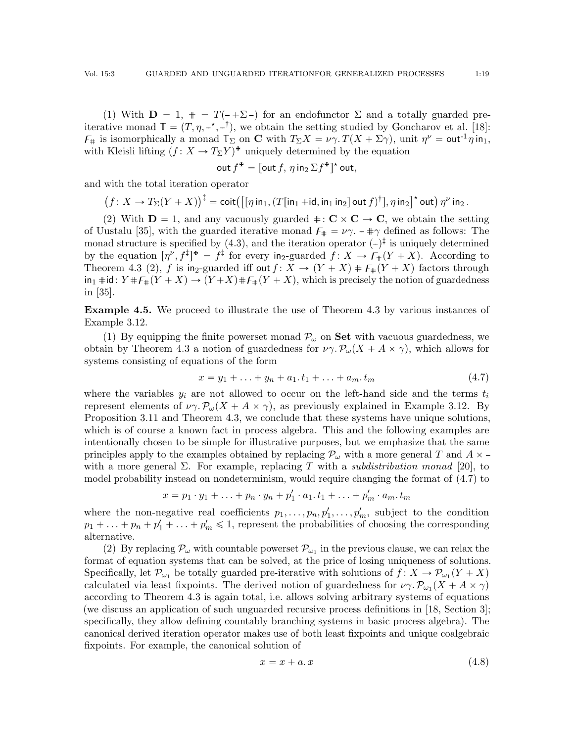(1) With  $D = 1$ ,  $\# = T(-\Sigma)$  for an endofunctor  $\Sigma$  and a totally guarded preiterative monad  $\mathbb{T} = (T, \eta, -\star, -\dagger)$ , we obtain the setting studied by Goncharov et al. [\[18\]](#page-42-6):  $\mathcal{F}_\#$  is isomorphically a monad  $\mathbb{T}_\Sigma$  on **C** with  $T_\Sigma X = \nu \gamma$ .  $T(X + \Sigma \gamma)$ , unit  $\eta^{\nu} = \text{out}^{-1} \eta \text{ in}_1$ , with Kleisli lifting  $(f : X \to T_{\Sigma}Y)^*$  uniquely determined by the equation

$$
\mathsf{out}\, f^{\mathbf{+}} = [\mathsf{out}\, f,\, \eta \, \mathsf{in}_2\, \Sigma f^{\mathbf{+}}]^{\mathbf{+}} \,\mathsf{out},
$$

and with the total iteration operator

$$
(f: X \to T_{\Sigma}(Y + X))^\dagger = \text{coit}\left(\left[\left[\eta \text{ in}_1, (T[\text{in}_1 + \text{id}, \text{in}_1 \text{ in}_2] \text{ out } f)^\dagger\right], \eta \text{ in}_2\right]^\star \text{ out}\right) \eta^\nu \text{ in}_2.
$$

(2) With  $D = 1$ , and any vacuously guarded  $\# : \mathbb{C} \times \mathbb{C} \to \mathbb{C}$ , we obtain the setting of Uustalu [\[35\]](#page-42-10), with the guarded iterative monad  $F_{\#} = \nu \gamma$ .  $-\pi \gamma$  defined as follows: The monad structure is specified by  $(4.3)$ , and the iteration operator  $(-)^{\ddagger}$  is uniquely determined by the equation  $[\eta^{\nu}, f^{\ddagger}]^* = f^{\ddagger}$  for every in<sub>2</sub>-guarded  $f: X \to F_{\#}(Y + X)$ . According to Theorem [4.3](#page-12-2) (2), f is in<sub>2</sub>-guarded iff out  $f: X \to (Y + X) \# F_*(Y + X)$  factors through  $\text{in}_1 \# \text{id}: Y \# F_{\#}(Y + X) \to (Y + X) \# F_{\#}(Y + X)$ , which is precisely the notion of guardedness in [\[35\]](#page-42-10).

<span id="page-18-0"></span>Example 4.5. We proceed to illustrate the use of Theorem [4.3](#page-12-2) by various instances of Example [3.12.](#page-8-1)

(1) By equipping the finite powerset monad  $\mathcal{P}_{\omega}$  on **Set** with vacuous guardedness, we obtain by Theorem [4.3](#page-12-2) a notion of guardedness for  $\nu \gamma \cdot P_{\omega}(X + A \times \gamma)$ , which allows for systems consisting of equations of the form

<span id="page-18-1"></span>
$$
x = y_1 + \ldots + y_n + a_1 \cdot t_1 + \ldots + a_m \cdot t_m \tag{4.7}
$$

where the variables  $y_i$  are not allowed to occur on the left-hand side and the terms  $t_i$ represent elements of  $\nu \gamma \cdot P_{\omega}(X + A \times \gamma)$ , as previously explained in Example [3.12.](#page-8-1) By Proposition [3.11](#page-8-3) and Theorem [4.3,](#page-12-2) we conclude that these systems have unique solutions, which is of course a known fact in process algebra. This and the following examples are intentionally chosen to be simple for illustrative purposes, but we emphasize that the same principles apply to the examples obtained by replacing  $\mathcal{P}_{\omega}$  with a more general T and  $A \times$ with a more general  $\Sigma$ . For example, replacing T with a *subdistribution monad* [\[20\]](#page-42-16), to model probability instead on nondeterminism, would require changing the format of [\(4.7\)](#page-18-1) to

$$
x = p_1 \cdot y_1 + \ldots + p_n \cdot y_n + p'_1 \cdot a_1 \cdot t_1 + \ldots + p'_m \cdot a_m \cdot t_m
$$

where the non-negative real coefficients  $p_1, \ldots, p_n, p'_1, \ldots, p'_m$ , subject to the condition  $p_1 + \ldots + p_n + p'_1 + \ldots + p'_m \leq 1$ , represent the probabilities of choosing the corresponding alternative.

(2) By replacing  $\mathcal{P}_{\omega}$  with countable powerset  $\mathcal{P}_{\omega_1}$  in the previous clause, we can relax the format of equation systems that can be solved, at the price of losing uniqueness of solutions. Specifically, let  $\mathcal{P}_{\omega_1}$  be totally guarded pre-iterative with solutions of  $f: X \to \mathcal{P}_{\omega_1}(Y+X)$ calculated via least fixpoints. The derived notion of guardedness for  $\nu \gamma \cdot \mathcal{P}_{\omega_1}(X + A \times \gamma)$ according to Theorem [4.3](#page-12-2) is again total, i.e. allows solving arbitrary systems of equations (we discuss an application of such unguarded recursive process definitions in [\[18,](#page-42-6) Section 3]; specifically, they allow defining countably branching systems in basic process algebra). The canonical derived iteration operator makes use of both least fixpoints and unique coalgebraic fixpoints. For example, the canonical solution of

<span id="page-18-2"></span>
$$
x = x + a \cdot x \tag{4.8}
$$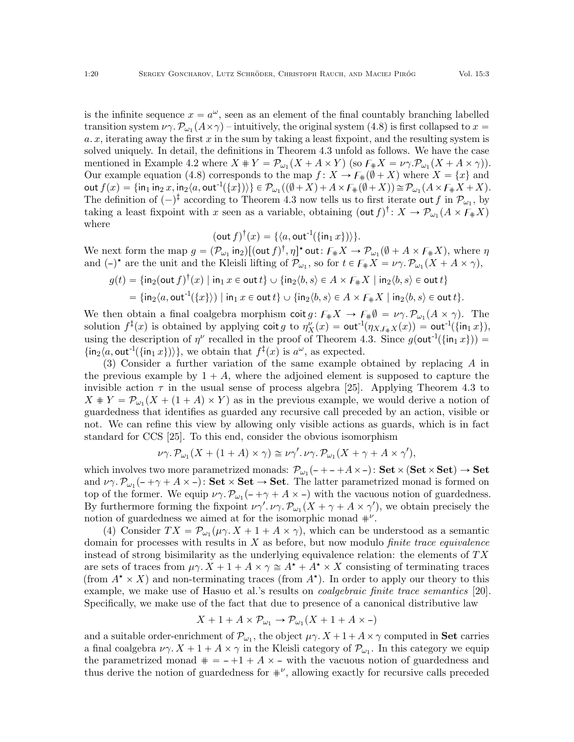is the infinite sequence  $x = a^{\omega}$ , seen as an element of the final countably branching labelled transition system  $\nu\gamma$ .  $\mathcal{P}_{\omega_1}(A \times \gamma)$  – intuitively, the original system [\(4.8\)](#page-18-2) is first collapsed to  $x =$  $a. x$ , iterating away the first  $x$  in the sum by taking a least fixpoint, and the resulting system is solved uniquely. In detail, the definitions in Theorem [4.3](#page-12-2) unfold as follows. We have the case mentioned in Example [4.2](#page-12-4) where  $X + Y = \mathcal{P}_{\omega_1}(X + A \times Y)$  (so  $F_{\#}X = \nu \gamma \cdot \mathcal{P}_{\omega_1}(X + A \times \gamma)$ ). Our example equation [\(4.8\)](#page-18-2) corresponds to the map  $f: X \to F_*(\emptyset + X)$  where  $X = \{x\}$  and  $\mathsf{out}\, f(x) = \{ \mathsf{in}_1 \, \mathsf{in}_2 \, x, \mathsf{in}_2 \langle a, \mathsf{out}^{-1}(\{x\}) \rangle \} \in \mathcal{P}_{\omega_1}((\emptyset + X) + A \times \mathsf{F}_\#(\emptyset + X)) \cong \mathcal{P}_{\omega_1}(A \times \mathsf{F}_\# X + X).$ The definition of  $(-)^{\dagger}$  according to Theorem [4.3](#page-12-2) now tells us to first iterate out f in  $\mathcal{P}_{\omega_1}$ , by taking a least fixpoint with x seen as a variable, obtaining  $(\text{out } f)^{\dagger} : X \to \mathcal{P}_{\omega_1}(A \times F_{\#}X)$ where

$$
(\mathsf{out}\,f)^{\dagger}(x)=\{\langle a,\mathsf{out}^{-1}(\{\mathsf{in}_1\,x\})\rangle\}.
$$

We next form the map  $g = (\mathcal{P}_{\omega_1} \text{ in}_2) [(\text{out } f)^\dagger, \eta]^\star$  out:  $F_{\#} X \to \mathcal{P}_{\omega_1} (\emptyset + A \times F_{\#} X)$ , where  $\eta$ and  $(-)^*$  are the unit and the Kleisli lifting of  $\mathcal{P}_{\omega_1}$ , so for  $t \in \mathcal{F}_{\#}X = \nu \gamma \cdot \mathcal{P}_{\omega_1}(X + A \times \gamma)$ ,

$$
g(t) = \{ \operatorname{in}_2(\operatorname{out} f)^\dagger(x) \mid \operatorname{in}_1 x \in \operatorname{out} t \} \cup \{ \operatorname{in}_2 \langle b, s \rangle \in A \times F_{\#} X \mid \operatorname{in}_2 \langle b, s \rangle \in \operatorname{out} t \}
$$
  
= 
$$
\{ \operatorname{in}_2 \langle a, \operatorname{out}^{-1}(\{x\}) \rangle \mid \operatorname{in}_1 x \in \operatorname{out} t \} \cup \{ \operatorname{in}_2 \langle b, s \rangle \in A \times F_{\#} X \mid \operatorname{in}_2 \langle b, s \rangle \in \operatorname{out} t \}.
$$

We then obtain a final coalgebra morphism  $\cot g \colon F_{\#}X \to F_{\#}\emptyset = \nu \gamma \cdot \mathcal{P}_{\omega_1}(A \times \gamma)$ . The solution  $f^{\ddagger}(x)$  is obtained by applying coit g to  $\eta_X^{\nu}(x) = \text{out}^{\text{-1}}(\eta_{X,\mathcal{F}_{\#}X}(x)) = \text{out}^{\text{-1}}(\{\text{in}_1 x\}),$ using the description of  $\eta^{\nu}$  recalled in the proof of Theorem [4.3.](#page-12-2) Since  $g(\text{out}^{-1}(\{\text{in}_1 x\}))$  =  $\{\mathsf{in}_2\langle a, \mathsf{out}^{-1}(\{\mathsf{in}_1 x\})\rangle\},\$  we obtain that  $f^{\ddagger}(x)$  is  $a^{\omega}$ , as expected.

(3) Consider a further variation of the same example obtained by replacing A in the previous example by  $1 + A$ , where the adjoined element is supposed to capture the invisible action  $\tau$  in the usual sense of process algebra [\[25\]](#page-42-17). Applying Theorem [4.3](#page-12-2) to  $X * Y = \mathcal{P}_{\omega_1}(X + (1 + A) \times Y)$  as in the previous example, we would derive a notion of guardedness that identifies as guarded any recursive call preceded by an action, visible or not. We can refine this view by allowing only visible actions as guards, which is in fact standard for CCS [\[25\]](#page-42-17). To this end, consider the obvious isomorphism

$$
\nu\gamma.\mathcal{P}_{\omega_1}(X + (1 + A) \times \gamma) \cong \nu\gamma'.\nu\gamma.\mathcal{P}_{\omega_1}(X + \gamma + A \times \gamma'),
$$

which involves two more parametrized monads:  $\mathcal{P}_{\omega_1}(-+ - +A\times-)$ :  $\textbf{Set}\times \textbf{(Set}\times \textbf{Set}) \to \textbf{Set}$ and  $\nu\gamma \cdot \mathcal{P}_{\omega_1}(-\gamma + A \times -)$ : Set  $\times$  Set  $\rightarrow$  Set. The latter parametrized monad is formed on top of the former. We equip  $\nu \gamma \cdot P_{\omega_1}(-\gamma + A \times -)$  with the vacuous notion of guardedness. By furthermore forming the fixpoint  $\nu \gamma'$ .  $\nu \gamma$ .  $\mathcal{P}_{\omega_1}(X + \gamma + A \times \gamma')$ , we obtain precisely the notion of guardedness we aimed at for the isomorphic monad  $\#^{\nu}$ .

(4) Consider  $TX = \mathcal{P}_{\omega_1}(\mu \gamma \cdot X + 1 + A \times \gamma)$ , which can be understood as a semantic domain for processes with results in  $X$  as before, but now modulo *finite trace equivalence* instead of strong bisimilarity as the underlying equivalence relation: the elements of  $TX$ are sets of traces from  $\mu \gamma$ .  $X + 1 + A \times \gamma \cong A^* + A^* \times X$  consisting of terminating traces (from  $A^* \times X$ ) and non-terminating traces (from  $A^*$ ). In order to apply our theory to this example, we make use of Hasuo et al.'s results on coalgebraic finite trace semantics [\[20\]](#page-42-16). Specifically, we make use of the fact that due to presence of a canonical distributive law

$$
X + 1 + A \times \mathcal{P}_{\omega_1} \to \mathcal{P}_{\omega_1}(X + 1 + A \times -)
$$

and a suitable order-enrichment of  $\mathcal{P}_{\omega_1}$ , the object  $\mu\gamma$ .  $X + 1 + A \times \gamma$  computed in **Set** carries a final coalgebra  $\nu\gamma$ .  $X + 1 + A \times \gamma$  in the Kleisli category of  $\mathcal{P}_{\omega_1}$ . In this category we equip the parametrized monad  $\# = - +1 + A \times -$  with the vacuous notion of guardedness and thus derive the notion of guardedness for  $\#^{\nu}$ , allowing exactly for recursive calls preceded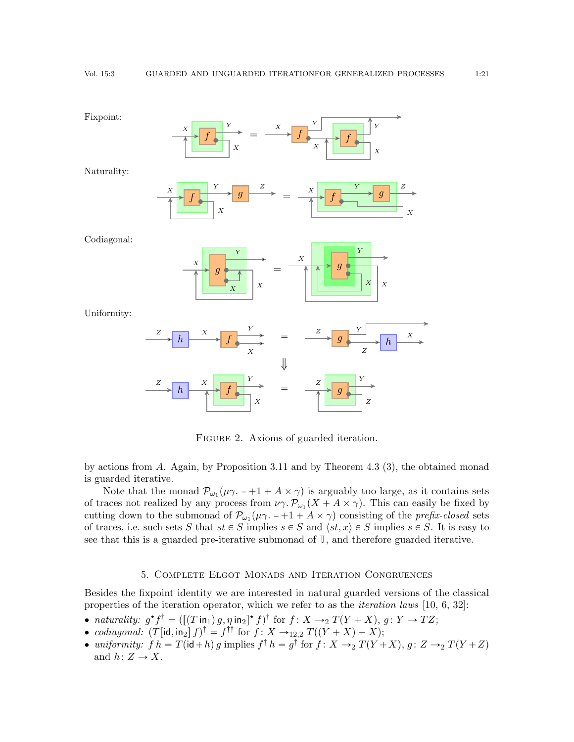<span id="page-20-1"></span>

FIGURE 2. Axioms of guarded iteration.

by actions from A. Again, by Proposition [3.11](#page-8-3) and by Theorem [4.3](#page-12-2) (3), the obtained monad is guarded iterative.

Note that the monad  $\mathcal{P}_{\omega_1}(\mu \gamma. -1 + A \times \gamma)$  is arguably too large, as it contains sets of traces not realized by any process from  $\nu \gamma \cdot P_{\omega_1}(X + A \times \gamma)$ . This can easily be fixed by cutting down to the submonad of  $\mathcal{P}_{\omega_1}(\mu \gamma. -+1 + A \times \gamma)$  consisting of the *prefix-closed* sets of traces, i.e. such sets S that  $st \in S$  implies  $s \in S$  and  $\langle st, x \rangle \in S$  implies  $s \in S$ . It is easy to see that this is a guarded pre-iterative submonad of **T**, and therefore guarded iterative.

### 5. Complete Elgot Monads and Iteration Congruences

<span id="page-20-0"></span>Besides the fixpoint identity we are interested in natural guarded versions of the classical properties of the iteration operator, which we refer to as the *iteration laws* [\[10,](#page-42-18) [6,](#page-41-4) [32\]](#page-42-8):

- naturality:  $g^*f^{\dagger} = (\left[ (T \text{ in}_1) g, \eta \text{ in}_2 \right]^* f)^{\dagger}$  for  $f : X \rightarrow_2 T(Y + X), g : Y \rightarrow TZ;$
- codiagonal:  $(T[\text{id}, \text{in}_2] f)^\dagger = f^{\dagger \dagger}$  for  $f : X \rightarrow_{12,2} T((Y + X) + X);$
- uniformity:  $f h = T(\mathsf{id} + h) g$  implies  $f^\dagger h = g^\dagger$  for  $f : X \to_2 T(Y + X), g : Z \to_2 T(Y + Z)$ and  $h: Z \to X$ .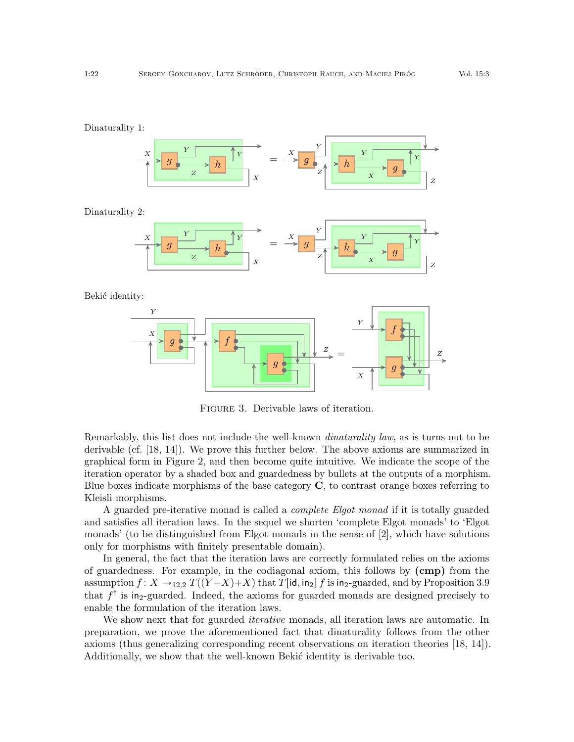<span id="page-21-0"></span>

Figure 3. Derivable laws of iteration.

Remarkably, this list does not include the well-known *dinaturality law*, as is turns out to be derivable (cf. [\[18,](#page-42-6) [14\]](#page-42-19)). We prove this further below. The above axioms are summarized in graphical form in Figure [2,](#page-20-1) and then become quite intuitive. We indicate the scope of the iteration operator by a shaded box and guardedness by bullets at the outputs of a morphism. Blue boxes indicate morphisms of the base category  $C$ , to contrast orange boxes referring to Kleisli morphisms.

A guarded pre-iterative monad is called a complete Elgot monad if it is totally guarded and satisfies all iteration laws. In the sequel we shorten 'complete Elgot monads' to 'Elgot monads' (to be distinguished from Elgot monads in the sense of [\[2\]](#page-41-3), which have solutions only for morphisms with finitely presentable domain).

In general, the fact that the iteration laws are correctly formulated relies on the axioms of guardedness. For example, in the codiagonal axiom, this follows by (cmp) from the assumption  $f: X \rightarrow_{12,2} T((Y+X)+X)$  that  $T[\text{id}, \text{in}_2] f$  is in<sub>2</sub>-guarded, and by Proposition [3.9](#page-7-1) that  $f^{\dagger}$  is in<sub>2</sub>-guarded. Indeed, the axioms for guarded monads are designed precisely to enable the formulation of the iteration laws.

We show next that for guarded *iterative* monads, all iteration laws are automatic. In preparation, we prove the aforementioned fact that dinaturality follows from the other axioms (thus generalizing corresponding recent observations on iteration theories [\[18,](#page-42-6) [14\]](#page-42-19)). Additionally, we show that the well-known Bekić identity is derivable too.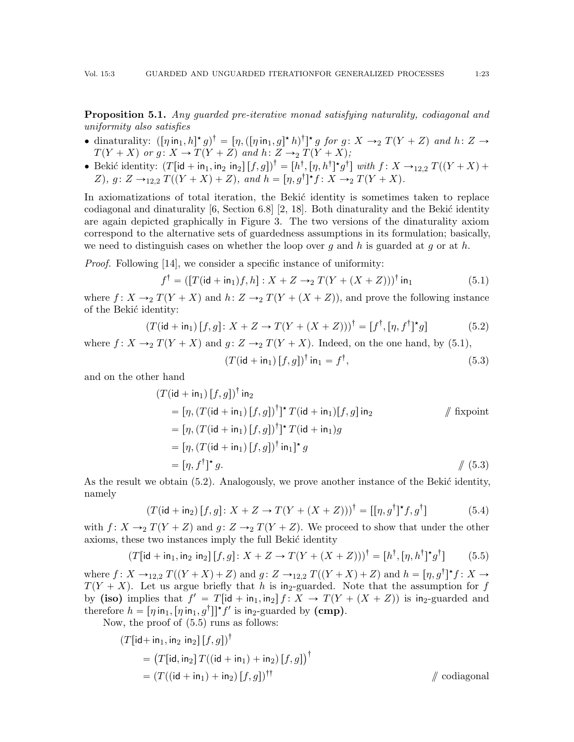<span id="page-22-5"></span>**Proposition 5.1.** Any quarded pre-iterative monad satisfying naturality, codiagonal and uniformity also satisfies

- dinaturality:  $([\eta \text{ in}_1, h]^* g)^\dagger = [\eta, ([\eta \text{ in}_1, g]^* h)^\dagger]^* g$  for  $g \colon X \to_2 T(Y + Z)$  and  $h \colon Z \to$  $T(Y + X)$  or g:  $X \to T(Y + Z)$  and  $h: Z \to T(Y + X);$
- Bekić identity:  $(T[\text{id} + \text{in}_1, \text{in}_2][f, g])^{\dagger} = [h^{\dagger}, [\eta, h^{\dagger}]^{\star} g^{\dagger}]$  with  $f \colon X \to_{12,2} T((Y + X) +$ Z),  $g: Z \to_{12,2} T((Y + X) + Z)$ , and  $h = [\eta, g^{\dagger}]^* f: X \to_2 T(Y + X)$ .

In axiomatizations of total iteration, the Bekić identity is sometimes taken to replace codiagonal and dinaturality  $[6, \text{Section } 6.8]$  $[6, \text{Section } 6.8]$  [\[2,](#page-41-3) [18\]](#page-42-6). Both dinaturality and the Bekić identity are again depicted graphically in Figure [3.](#page-21-0) The two versions of the dinaturality axiom correspond to the alternative sets of guardedness assumptions in its formulation; basically, we need to distinguish cases on whether the loop over q and h is guarded at q or at h.

*Proof.* Following [\[14\]](#page-42-19), we consider a specific instance of uniformity:

$$
f^{\dagger} = ([T(\mathsf{id} + \mathsf{in}_1)f, h] : X + Z \to_2 T(Y + (X + Z)))^{\dagger} \mathsf{in}_1 \tag{5.1}
$$

where  $f: X \rightarrow_2 T(Y+X)$  and  $h: Z \rightarrow_2 T(Y + (X+Z))$ , and prove the following instance of the Bekić identity:

$$
(T(\mathsf{id} + \mathsf{in}_1)[f, g] \colon X + Z \to T(Y + (X + Z)))^{\dagger} = [f^{\dagger}, [\eta, f^{\dagger}]^{\star} g] \tag{5.2}
$$

where  $f: X \rightarrow_2 T(Y + X)$  and  $g: Z \rightarrow_2 T(Y + X)$ . Indeed, on the one hand, by [\(5.1\)](#page-22-0),

<span id="page-22-4"></span><span id="page-22-3"></span><span id="page-22-2"></span><span id="page-22-1"></span><span id="page-22-0"></span>
$$
(T(\mathsf{id} + \mathsf{in}_1) [f, g])^{\dagger} \mathsf{in}_1 = f^{\dagger}, \tag{5.3}
$$

and on the other hand

$$
(T(\mathsf{id} + \mathsf{in}_1) [f, g])^{\dagger} \mathsf{in}_2
$$
  
= 
$$
[\eta, (T(\mathsf{id} + \mathsf{in}_1) [f, g])^{\dagger}]^{\star} T(\mathsf{id} + \mathsf{in}_1) [f, g] \mathsf{in}_2
$$
 // fixpoint  
= 
$$
[\eta, (T(\mathsf{id} + \mathsf{in}_1) [f, g])^{\dagger}]^{\star} T(\mathsf{id} + \mathsf{in}_1) g
$$
  
= 
$$
[\eta, (T(\mathsf{id} + \mathsf{in}_1) [f, g])^{\dagger} \mathsf{in}_1]^{\star} g
$$
  
= 
$$
[\eta, f^{\dagger}]^{\star} g.
$$
 // (5.3)

As the result we obtain  $(5.2)$ . Analogously, we prove another instance of the Bekić identity, namely

$$
(T(\mathsf{id} + \mathsf{in}_2) [f, g] \colon X + Z \to T(Y + (X + Z)))^{\dagger} = [[\eta, g^{\dagger}]^* f, g^{\dagger}]
$$
\n
$$
(5.4)
$$

with  $f: X \rightarrow_2 T(Y + Z)$  and  $g: Z \rightarrow_2 T(Y + Z)$ . We proceed to show that under the other axioms, these two instances imply the full Bekić identity

$$
(T[\mathsf{id} + \mathsf{in}_1, \mathsf{in}_2 \mathsf{in}_2] [f, g] \colon X + Z \to T(Y + (X + Z)))^{\dagger} = [h^{\dagger}, [\eta, h^{\dagger}]^{\star} g^{\dagger}] \tag{5.5}
$$

where  $f: X \to_{12,2} T((Y+X)+Z)$  and  $g: Z \to_{12,2} T((Y+X)+Z)$  and  $h = [\eta, g^{\dagger}]^* f: X \to$  $T(Y + X)$ . Let us argue briefly that h is in<sub>2</sub>-guarded. Note that the assumption for f by (iso) implies that  $f' = T[\text{id} + \text{in}_1, \text{in}_2]$   $f : X \to T(Y + (X + Z))$  is in<sub>2</sub>-guarded and therefore  $h = [\eta \, \text{in}_1, [\eta \, \text{in}_1, g^\dagger]]^* f'$  is in<sub>2</sub>-guarded by (cmp).

Now, the proof of [\(5.5\)](#page-22-3) runs as follows:

$$
(T[\text{id} + \text{in}_1, \text{in}_2 \text{ in}_2] [f, g])^{\dagger}
$$
  
= 
$$
(T[\text{id}, \text{in}_2] T((\text{id} + \text{in}_1) + \text{in}_2) [f, g])^{\dagger}
$$
  
= 
$$
(T((\text{id} + \text{in}_1) + \text{in}_2) [f, g])^{\dagger \dagger}
$$
 // codiagonal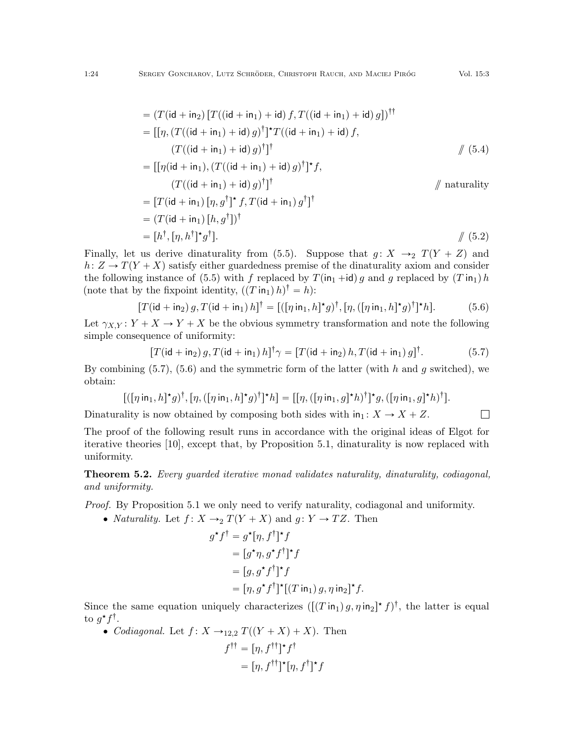$$
= (T(\mathrm{id} + \mathrm{in}_2) [T((\mathrm{id} + \mathrm{in}_1) + \mathrm{id}) f, T((\mathrm{id} + \mathrm{in}_1) + \mathrm{id}) g])^{\dagger\dagger}
$$
  
\n
$$
= [[\eta, (T((\mathrm{id} + \mathrm{in}_1) + \mathrm{id}) g)^{\dagger}]^{\dagger} T((\mathrm{id} + \mathrm{in}_1) + \mathrm{id}) f,
$$
  
\n
$$
(T((\mathrm{id} + \mathrm{in}_1) + \mathrm{id}) g)^{\dagger}]^{\dagger}
$$
  
\n
$$
= [[\eta(\mathrm{id} + \mathrm{in}_1) (T((\mathrm{id} + \mathrm{in}_1) + \mathrm{id}) g)]^{\dagger}]^{\star} f
$$
 (5.4)

$$
= [[\eta(\mathsf{id} + \mathsf{in}_1), (T((\mathsf{id} + \mathsf{in}_1) + \mathsf{id}) g)]^{\dagger}]^{\dagger},
$$
  
\n
$$
(T((\mathsf{id} + \mathsf{in}_1) + \mathsf{id}) g)^{\dagger}]^{\dagger}
$$
  
\n
$$
= [T(\mathsf{id} + \mathsf{in}_1) [\eta, g^{\dagger}]^{\dagger} f, T(\mathsf{id} + \mathsf{in}_1) g^{\dagger}]^{\dagger}
$$
  
\n
$$
= (T(\mathsf{id} + \mathsf{in}_1) [h, g^{\dagger}])^{\dagger}
$$
  
\n
$$
= [h^{\dagger}, [\eta, h^{\dagger}]^{\dagger} g^{\dagger}].
$$
  
\n
$$
/ (5.2)
$$

Finally, let us derive dinaturality from [\(5.5\)](#page-22-3). Suppose that  $g: X \rightarrow_2 T(Y + Z)$  and  $h: Z \to T(Y + X)$  satisfy either guardedness premise of the dinaturality axiom and consider the following instance of [\(5.5\)](#page-22-3) with f replaced by  $T(\text{in}_1 + \text{id}) g$  and g replaced by  $(T \text{in}_1) h$ (note that by the fixpoint identity,  $((T \text{ in}_1) h)^{\dagger} = h$ ):

$$
[T(\mathsf{id} + \mathsf{in}_2) \, g, T(\mathsf{id} + \mathsf{in}_1) \, h]^\dagger = [([\eta \, \mathsf{in}_1, h]^\star g)^\dagger, [\eta, ([\eta \, \mathsf{in}_1, h]^\star g)^\dagger]^\star h]. \tag{5.6}
$$

Let  $\gamma_{X,Y} : Y + X \rightarrow Y + X$  be the obvious symmetry transformation and note the following simple consequence of uniformity:

$$
[T(\mathsf{id} + \mathsf{in}_2) g, T(\mathsf{id} + \mathsf{in}_1) h]^{\dagger} \gamma = [T(\mathsf{id} + \mathsf{in}_2) h, T(\mathsf{id} + \mathsf{in}_1) g]^{\dagger}.
$$
 (5.7)

<span id="page-23-1"></span><span id="page-23-0"></span> $\Box$ 

By combining  $(5.7)$ ,  $(5.6)$  and the symmetric form of the latter (with h and g switched), we obtain:

$$
[((\eta\,\mathsf{in}_1,h]^{\star}g)^{\dagger},[\eta,([\eta\,\mathsf{in}_1,h]^{\star}g)^{\dagger}]^{\star}h] = [[\eta,([\eta\,\mathsf{in}_1,g]^{\star}h)^{\dagger}]^{\star}g,([\eta\,\mathsf{in}_1,g]^{\star}h)^{\dagger}].
$$

Dinaturality is now obtained by composing both sides with  $in_1: X \to X + Z$ .

The proof of the following result runs in accordance with the original ideas of Elgot for iterative theories [\[10\]](#page-42-18), except that, by Proposition [5.1,](#page-22-5) dinaturality is now replaced with uniformity.

<span id="page-23-2"></span>**Theorem 5.2.** Every guarded iterative monad validates naturality, dinaturality, codiagonal, and uniformity.

Proof. By Proposition [5.1](#page-22-5) we only need to verify naturality, codiagonal and uniformity.

• *Naturality.* Let  $f: X \rightarrow_2 T(Y + X)$  and  $g: Y \rightarrow TZ$ . Then

$$
g^{\star}f^{\dagger} = g^{\star}[\eta, f^{\dagger}]^{\star}f
$$
  
=  $[g^{\star}\eta, g^{\star}f^{\dagger}]^{\star}f$   
=  $[g, g^{\star}f^{\dagger}]^{\star}f$   
=  $[\eta, g^{\star}f^{\dagger}]^{\star}[(T \operatorname{in}_{1}) g, \eta \operatorname{in}_{2}]^{\star}f.$ 

Since the same equation uniquely characterizes  $([T \text{ in}_1) g, \eta \text{ in}_2]^{\star} f)^{\dagger}$ , the latter is equal to  $g^{\star}f^{\dagger}$ .

• Codiagonal. Let  $f: X \rightarrow_{12,2} T((Y + X) + X)$ . Then

$$
f^{\dagger \dagger} = [\eta, f^{\dagger \dagger}]^* f^{\dagger}
$$

$$
= [\eta, f^{\dagger \dagger}]^* [\eta, f^{\dagger}]^* f
$$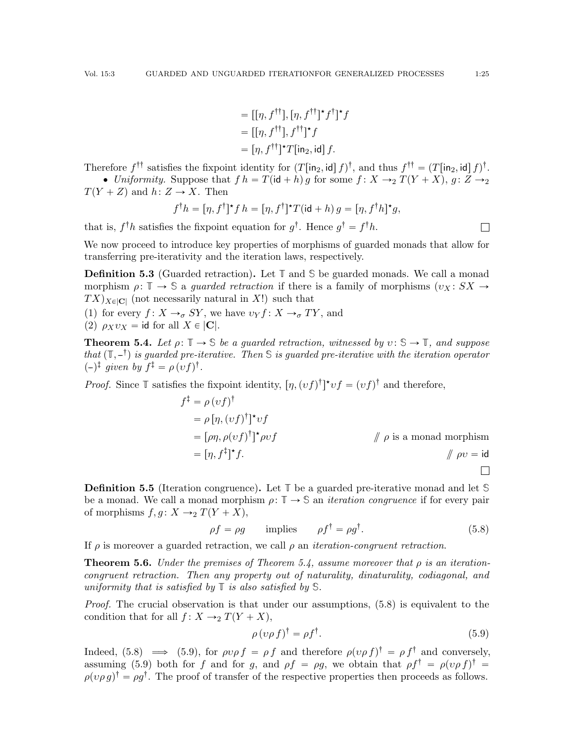$$
= [[\eta, f^{\dagger \dagger}], [\eta, f^{\dagger \dagger}]^{\star} f^{\dagger}]^{\star} f
$$

$$
= [[\eta, f^{\dagger \dagger}], f^{\dagger \dagger}]^{\star} f
$$

$$
= [\eta, f^{\dagger \dagger}]^{\star} T[\text{in}_{2}, \text{id}] f.
$$

Therefore  $f^{\dagger \dagger}$  satisfies the fixpoint identity for  $(T[\text{in}_2, \text{id}] f)^{\dagger}$ , and thus  $f^{\dagger \dagger} = (T[\text{in}_2, \text{id}] f)^{\dagger}$ .

• Uniformity. Suppose that  $f h = T(\mathsf{id} + h) g$  for some  $f : X \to Y_2 T(Y + X), g : Z \to Y_2$  $T(Y + Z)$  and  $h: Z \rightarrow X$ . Then

$$
f^{\dagger}h = [\eta, f^{\dagger}]^{\star} f h = [\eta, f^{\dagger}]^{\star} T (\mathrm{id} + h) g = [\eta, f^{\dagger} h]^{\star} g,
$$

that is,  $f^{\dagger}h$  satisfies the fixpoint equation for  $g^{\dagger}$ . Hence  $g^{\dagger} = f^{\dagger}h$ .

We now proceed to introduce key properties of morphisms of guarded monads that allow for transferring pre-iterativity and the iteration laws, respectively.

Definition 5.3 (Guarded retraction). Let **T** and **S** be guarded monads. We call a monad morphism  $\rho: \mathbb{T} \to \mathbb{S}$  a *guarded retraction* if there is a family of morphisms  $(v_X: SX \to$  $TX)_{X \in |\mathbf{C}|}$  (not necessarily natural in X!) such that

(1) for every  $f: X \rightarrow_{\sigma} SY$ , we have  $v_Y f: X \rightarrow_{\sigma} TY$ , and

(2)  $\rho_X v_X = \text{id}$  for all  $X \in |C|$ .

<span id="page-24-0"></span>**Theorem 5.4.** Let  $\rho: \mathbb{T} \to \mathbb{S}$  be a quarded retraction, witnessed by  $v: \mathbb{S} \to \mathbb{T}$ , and suppose that  $(\mathbb{T}, -\mathbb{I})$  is guarded pre-iterative. Then S is guarded pre-iterative with the iteration operator  $(-)^{\ddagger}$  given by  $f^{\ddagger} = \rho (vf)^{\dagger}$ .

*Proof.* Since  $\mathbb T$  satisfies the fixpoint identity,  $[\eta, (vf)^{\dagger}]^* \nu f = (vf)^{\dagger}$  and therefore,

$$
f^{\ddagger} = \rho(vf)^{\dagger}
$$
  
=  $\rho[\eta, (vf)^{\dagger}]^*vf$   
=  $[\rho\eta, \rho(vf)^{\dagger}]^* \rho vf$  //  $\rho$  is a monad morphism  
=  $[\eta, f^{\ddagger}]^*f$ .

Definition 5.5 (Iteration congruence). Let **T** be a guarded pre-iterative monad and let **S** be a monad. We call a monad morphism  $\rho: \mathbb{T} \to \mathbb{S}$  an *iteration congruence* if for every pair of morphisms  $f, g \colon X \to_2 T(Y + X),$ 

$$
\rho f = \rho g \qquad \text{implies} \qquad \rho f^{\dagger} = \rho g^{\dagger}.
$$
 (5.8)

If  $\rho$  is moreover a guarded retraction, we call  $\rho$  an *iteration-congruent retraction*.

<span id="page-24-3"></span>**Theorem 5.6.** Under the premises of Theorem [5.4,](#page-24-0) assume moreover that  $\rho$  is an iterationcongruent retraction. Then any property out of naturality, dinaturality, codiagonal, and uniformity that is satisfied by **T** is also satisfied by **S**.

Proof. The crucial observation is that under our assumptions,  $(5.8)$  is equivalent to the condition that for all  $f: X \rightarrow_2 T(Y + X)$ ,

<span id="page-24-2"></span><span id="page-24-1"></span>
$$
\rho \left( \nu \rho \, f \right)^{\dagger} = \rho f^{\dagger}.\tag{5.9}
$$

Indeed, [\(5.8\)](#page-24-1)  $\implies$  [\(5.9\)](#page-24-2), for  $\rho v \rho f = \rho f$  and therefore  $\rho (v \rho f)^{\dagger} = \rho f^{\dagger}$  and conversely, assuming [\(5.9\)](#page-24-2) both for f and for g, and  $\rho f = \rho g$ , we obtain that  $\rho f^{\dagger} = \rho (v \rho f)^{\dagger} =$  $\rho(\nu \rho g)^\dagger = \rho g^\dagger$ . The proof of transfer of the respective properties then proceeds as follows.

 $\Box$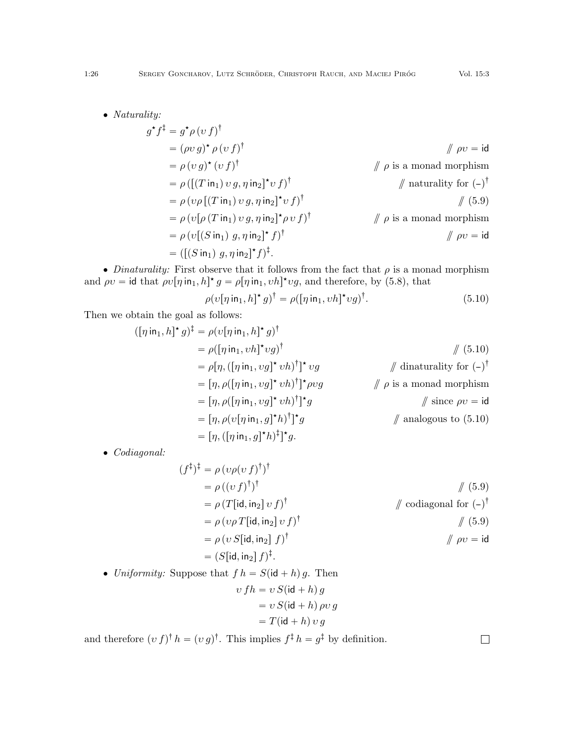• Naturality:

$$
g^{\star}f^{\dagger} = g^{\star}\rho(v f)^{\dagger}
$$
\n
$$
= (\rho v g)^{\star} \rho(v f)^{\dagger}
$$
\n
$$
= \rho (v g)^{\star} (v f)^{\dagger}
$$
\n
$$
= \rho \left( [ (T \text{ in}_1) v g, \eta \text{ in}_2 ]^{\star} v f \right)^{\dagger}
$$
\n
$$
= \rho (v \rho [ (T \text{ in}_1) v g, \eta \text{ in}_2 ]^{\star} v f ]^{\dagger}
$$
\n
$$
= \rho (v \rho [ (T \text{ in}_1) v g, \eta \text{ in}_2 ]^{\star} v f ]^{\dagger}
$$
\n
$$
= \rho (v [ (\rho (T \text{ in}_1) v g, \eta \text{ in}_2 ]^{\star} \rho v f ]^{\dagger}
$$
\n
$$
= \rho (v [ (S \text{ in}_1) g, \eta \text{ in}_2 ]^{\star} f )^{\dagger}
$$
\n
$$
= ( [(S \text{ in}_1) g, \eta \text{ in}_2 ]^{\star} f )^{\dagger}.
$$
\n
$$
= (([S \text{ in}_1) g, \eta \text{ in}_2 ]^{\star} f )^{\dagger}.
$$

• Dinaturality: First observe that it follows from the fact that  $\rho$  is a monad morphism and  $\rho v = \text{id}$  that  $\rho v[\eta \text{ in}_1, h]^* g = \rho[\eta \text{ in}_1, v h]^* v g$ , and therefore, by [\(5.8\)](#page-24-1), that

<span id="page-25-0"></span>
$$
\rho(v[\eta \text{ in}_1, h]^{\star} g)^{\dagger} = \rho([\eta \text{ in}_1, v h]^{\star} v g)^{\dagger}.
$$
\n(5.10)

Then we obtain the goal as follows:

$$
([\eta \text{ in}_1, h]^* g)^{\dagger} = \rho(v[\eta \text{ in}_1, h]^* g)^{\dagger}
$$
  
\n
$$
= \rho([\eta \text{ in}_1, v h]^* v g)^{\dagger}
$$
  
\n
$$
= \rho[\eta, ([\eta \text{ in}_1, v g]^* v h)^{\dagger}]^* v g
$$
  
\n
$$
= [\eta, \rho([\eta \text{ in}_1, v g]^* v h)^{\dagger}]^* \rho v g
$$
  
\n
$$
= [\eta, \rho([\eta \text{ in}_1, v g]^* v h)^{\dagger}]^* g
$$
  
\n
$$
= [\eta, \rho(v[\eta \text{ in}_1, g]^* h)^{\dagger}]^* g
$$
  
\n
$$
= [\eta, (([\eta \text{ in}_1, g]^* h)^{\dagger}]^* g
$$
  
\n
$$
= [\eta, ([\eta \text{ in}_1, g]^* h)^{\dagger}]^* g.
$$
  
\n
$$
= [\eta, ([\eta \text{ in}_1, g]^* h)^{\dagger}]^* g.
$$
  
\n
$$
= [\eta, ([\eta \text{ in}_1, g]^* h)^{\dagger}]^* g.
$$
  
\n
$$
= [\eta, ([\eta \text{ in}_1, g]^* h)^{\dagger}]^* g.
$$
  
\n
$$
= [\eta, ([\eta \text{ in}_1, g]^* h)^{\dagger}]^* g.
$$
  
\n
$$
= [\eta, ([\eta \text{ in}_1, g]^* h)^{\dagger}]^* g.
$$

' Codiagonal:

$$
(f^{\ddagger})^{\ddagger} = \rho (v\rho (v f)^{\dagger})^{\dagger}
$$
  
\n
$$
= \rho ((v f)^{\dagger})^{\dagger}
$$
  
\n
$$
= \rho (T[\text{id}, \text{in}_2] v f)^{\dagger}
$$
  
\n
$$
= \rho (v\rho T[\text{id}, \text{in}_2] v f)^{\dagger}
$$
  
\n
$$
= \rho (v S[\text{id}, \text{in}_2] f)^{\dagger}
$$
  
\n
$$
= (S[\text{id}, \text{in}_2] f)^{\dagger}.
$$
  
\n
$$
= (S[\text{id}, \text{in}_2] f)^{\dagger}.
$$
  
\n
$$
(S \text{in}_2 f)^{\dagger}.
$$
  
\n
$$
= (S[\text{id}, \text{in}_2] f)^{\dagger}.
$$
  
\n
$$
(S \text{in}_2 f)^{\dagger}.
$$

• Uniformity: Suppose that  $f h = S(\mathsf{id} + h) g$ . Then

$$
v fh = v S(id + h) g
$$

$$
= v S(id + h) \rho v g
$$

$$
= T(id + h) v g
$$

and therefore  $(v f)^\dagger h = (v g)^\dagger$ . This implies  $f^{\ddagger} h = g^{\ddagger}$  by definition.

 $\Box$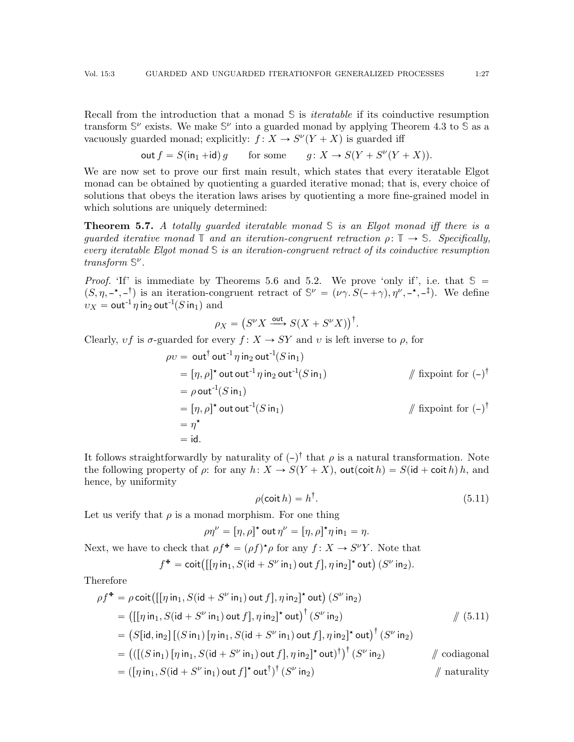Recall from the introduction that a monad **S** is iteratable if its coinductive resumption transform  $\mathbb{S}^{\nu}$  exists. We make  $\mathbb{S}^{\nu}$  into a guarded monad by applying Theorem [4.3](#page-12-2) to  $\mathbb{S}$  as a vacuously guarded monad; explicitly:  $f: X \to S^{\nu}(Y + X)$  is guarded iff

$$
\text{out } f = S(\text{in}_1 + \text{id}) g \qquad \text{for some} \qquad g \colon X \to S(Y + S^{\nu}(Y + X)).
$$

We are now set to prove our first main result, which states that every iteratable Elgot monad can be obtained by quotienting a guarded iterative monad; that is, every choice of solutions that obeys the iteration laws arises by quotienting a more fine-grained model in which solutions are uniquely determined:

<span id="page-26-0"></span>Theorem 5.7. A totally guarded iteratable monad **S** is an Elgot monad iff there is a quarded iterative monad  $\mathbb{T}$  and an iteration-congruent retraction  $\rho: \mathbb{T} \to \mathbb{S}$ . Specifically, every iteratable Elgot monad **S** is an iteration-congruent retract of its coinductive resumption transform **S** ν .

*Proof.* 'If' is immediate by Theorems [5.6](#page-24-3) and [5.2.](#page-23-2) We prove 'only if', i.e. that  $\mathcal{S} =$  $(S, \eta, -\star, -\dagger)$  is an iteration-congruent retract of  $\mathbb{S}^{\nu} = (\nu \gamma. S(-+\gamma), \eta^{\nu}, -\star, -\dagger)$ . We define  $v_X = \text{out}^{-1} \eta$  in<sub>2</sub> out<sup>-1</sup>(S in<sub>1</sub>) and

$$
\rho_X = \left( S^{\nu} X \xrightarrow{\text{out}} S(X + S^{\nu} X) \right)^{\dagger}.
$$

Clearly,  $vf$  is  $\sigma$ -guarded for every  $f: X \to SY$  and v is left inverse to  $\rho$ , for

$$
\rho v = \text{out}^{\dagger} \text{out}^{-1} \eta \text{ in}_2 \text{ out}^{-1} (S \text{ in}_1)
$$
  
\n
$$
= [\eta, \rho]^{\star} \text{ out out}^{-1} \eta \text{ in}_2 \text{ out}^{-1} (S \text{ in}_1)
$$
  
\n
$$
= \rho \text{ out}^{-1} (S \text{ in}_1)
$$
  
\n
$$
= [\eta, \rho]^{\star} \text{ out out}^{-1} (S \text{ in}_1)
$$
  
\n
$$
= \eta^{\star}
$$
  
\n
$$
= \text{id}.
$$
  
\n
$$
\text{if } \text{xpoint} \text{ for } (-)^{\dagger}
$$
  
\n
$$
\text{if } \text{xpoint} \text{ for } (-)^{\dagger}
$$

It follows straightforwardly by naturality of  $(-)$ <sup>†</sup> that  $\rho$  is a natural transformation. Note the following property of  $\rho$ : for any  $h: X \to S(Y + X)$ , out(coit  $h = S(\mathsf{id} + \mathsf{coit} \, h) \, h$ , and hence, by uniformity

<span id="page-26-1"></span>
$$
\rho(\text{coit } h) = h^{\dagger}.\tag{5.11}
$$

Let us verify that  $\rho$  is a monad morphism. For one thing

 $\rho \eta^{\nu} = [\eta, \rho]^{\star}$  out  $\eta^{\nu} = [\eta, \rho]^{\star} \eta$  in $_1 = \eta$ .

Next, we have to check that  $\rho f^* = (\rho f)^* \rho$  for any  $f : X \to S^{\nu}Y$ . Note that<br>  $f^* = \text{coit}([\lceil \eta \ln_1, S(\text{id} + S^{\nu} \ln_1) \text{ out } f], \eta \ln_2]^* \text{ out } (S^{\nu} \ln_2).$ 

$$
f^* = \operatorname{coit}\bigl( [[\eta \operatorname{in}_1, S(\operatorname{id} + S^{\nu} \operatorname{in}_1) \operatorname{out} f], \eta \operatorname{in}_2]^{\star} \operatorname{out} \bigr) (S^{\nu} \operatorname{in}_2).
$$

Therefore

$$
\rho f^* = \rho \cot \left( \left[ \left[ \eta \operatorname{in}_1, S(\operatorname{id} + S^\nu \operatorname{in}_1) \operatorname{out} f \right], \eta \operatorname{in}_2 \right]^\star \operatorname{out} \right) (S^\nu \operatorname{in}_2)
$$
\n
$$
= \left( \left[ \left[ \eta \operatorname{in}_1, S(\operatorname{id} + S^\nu \operatorname{in}_1) \operatorname{out} f \right], \eta \operatorname{in}_2 \right]^\star \operatorname{out} \right)^\dagger (S^\nu \operatorname{in}_2)
$$
\n
$$
= \left( S[\operatorname{id}, \operatorname{in}_2] \left[ (S \operatorname{in}_1) \left[ \eta \operatorname{in}_1, S(\operatorname{id} + S^\nu \operatorname{in}_1) \operatorname{out} f \right], \eta \operatorname{in}_2 \right]^\star \operatorname{out} \right)^\dagger (S^\nu \operatorname{in}_2)
$$
\n
$$
= \left( \left( \left[ (S \operatorname{in}_1) \left[ \eta \operatorname{in}_1, S(\operatorname{id} + S^\nu \operatorname{in}_1) \operatorname{out} f \right], \eta \operatorname{in}_2 \right]^\star \operatorname{out} \right)^\dagger (S^\nu \operatorname{in}_2)
$$
\n
$$
= \left( \left[ \eta \operatorname{in}_1, S(\operatorname{id} + S^\nu \operatorname{in}_1) \operatorname{out} f \right]^\star \operatorname{out}^\dagger \right)^\dagger (S^\nu \operatorname{in}_2)
$$
\n
$$
\text{maturality}
$$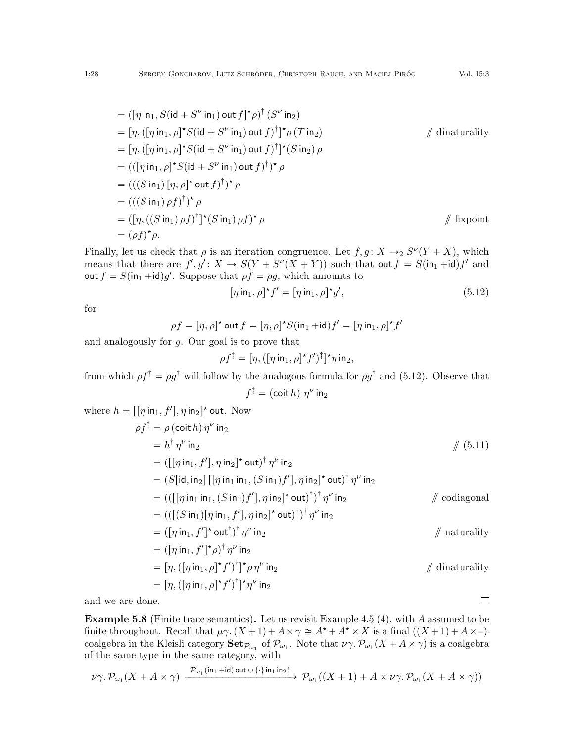$$
= ([\eta \text{ in}_1, S(\text{id} + S^{\nu} \text{ in}_1) \text{ out } f]^{\star} \rho)^{\dagger} (S^{\nu} \text{ in}_2)
$$
  
\n
$$
= [\eta, ([\eta \text{ in}_1, \rho]^{\star} S(\text{id} + S^{\nu} \text{ in}_1) \text{ out } f)^{\dagger}]^{\star} \rho (T \text{ in}_2)
$$
 // dina  
\n
$$
= [\eta, ([\eta \text{ in}_1, \rho]^{\star} S(\text{id} + S^{\nu} \text{ in}_1) \text{ out } f)^{\dagger}]^{\star} (S \text{ in}_2) \rho
$$
  
\n
$$
= (([\eta \text{ in}_1, \rho]^{\star} S(\text{id} + S^{\nu} \text{ in}_1) \text{ out } f)^{\dagger})^{\star} \rho
$$
  
\n
$$
= (((S \text{ in}_1) [\eta, \rho]^{\star} \text{ out } f)^{\dagger})^{\star} \rho
$$
  
\n
$$
= ([\eta, ((S \text{ in}_1) \rho f)^{\dagger}]^{\star} (S \text{ in}_1) \rho f)^{\star} \rho
$$
  
\n
$$
= (\rho f)^{\star} \rho.
$$

Finally, let us check that  $\rho$  is an iteration congruence. Let  $f, g \colon X \to_2 S^{\nu}(Y + X)$ , which means that there are  $f', g' : X \to S(Y + S^{V}(X + Y))$  such that out  $f = S(\text{in}_1 + \text{id})f'$  and out  $f = S(\text{in}_1 + \text{id})g'$ . Suppose that  $\rho f = \rho g$ , which amounts to

$$
[\eta \operatorname{in}_1, \rho]^\star f' = [\eta \operatorname{in}_1, \rho]^\star g',\tag{5.12}
$$

<span id="page-27-1"></span> $\prime$ 

for

$$
\rho f = [\eta, \rho]^\star \text{ out } f = [\eta, \rho]^\star S(\text{in}_1 + \text{id}) f' = [\eta \text{ in}_1, \rho]^\star f
$$

and analogously for g. Our goal is to prove that

$$
\rho f^{\ddagger} = [\eta, ([\eta \operatorname{in}_1, \rho]^{\star} f')^{\ddagger}]^{\star} \eta \operatorname{in}_2,
$$

from which  $\rho f^{\dagger} = \rho g^{\dagger}$  will follow by the analogous formula for  $\rho g^{\dagger}$  and [\(5.12\)](#page-27-1). Observe that  $f^\ddagger = (\mathsf{coit}\, h)\; \eta^\nu$  in $_2$ 

where 
$$
h = [[\eta \text{ in}_1, f'], \eta \text{ in}_2]^* \text{ out. Now}
$$
  
\n
$$
\rho f^{\ddagger} = \rho (\text{coit } h) \eta^{\nu} \text{ in}_2
$$
\n
$$
= h^{\dagger} \eta^{\nu} \text{ in}_2
$$
\n
$$
= ([[\eta \text{ in}_1, f'], \eta \text{ in}_2]^* \text{ out}]^{\dagger} \eta^{\nu} \text{ in}_2
$$
\n
$$
= ([[\eta \text{ in}_1, f'], \eta \text{ in}_2]^* \text{ out}]^{\dagger} \eta^{\nu} \text{ in}_2]
$$
\n
$$
= (S[\text{id}, \text{in}_2] [[\eta \text{ in}_1 \text{ in}_1, (S \text{ in}_1) f'], \eta \text{ in}_2]^* \text{ out}]^{\dagger} \eta^{\nu} \text{ in}_2
$$
\n
$$
= (([[\eta \text{ in}_1, \text{ in}_1, (S \text{ in}_1) f'], \eta \text{ in}_2]^* \text{ out}]^{\dagger} \eta^{\nu} \text{ in}_2
$$
\n
$$
= (([\eta \text{ in}_1, f']^* \text{ out}]^{\dagger} \eta^{\nu} \text{ in}_2)
$$
\n
$$
= ([\eta \text{ in}_1, f']^* \rho)^{\dagger} \eta^{\nu} \text{ in}_2
$$
\n
$$
= [\eta, ([\eta \text{ in}_1, \rho]^* f')]^* \rho \eta^{\nu} \text{ in}_2
$$
\n
$$
= [\eta, ([\eta \text{ in}_1, \rho]^* f')]^* \eta^{\nu} \text{ in}_2
$$
\n
$$
= [\eta, ([\eta \text{ in}_1, \rho]^* f')]^* \eta^{\nu} \text{ in}_2
$$
\n
$$
= [\eta, ([\eta \text{ in}_1, \rho]^* f']^* \eta^{\nu} \text{ in}_2]
$$

and we are done.

<span id="page-27-0"></span>Example 5.8 (Finite trace semantics). Let us revisit Example [4.5](#page-18-0) (4), with A assumed to be finite throughout. Recall that  $\mu\gamma$ .  $(X+1)+A\times \gamma\cong A^*+A^*\times X$  is a final  $((X+1)+A\times -)$ coalgebra in the Kleisli category  $\mathbf{Set}_{\mathcal{P}_{\omega_1}}$  of  $\mathcal{P}_{\omega_1}$ . Note that  $\nu\gamma.\mathcal{P}_{\omega_1}(X+A\times\gamma)$  is a coalgebra of the same type in the same category, with

$$
\nu\gamma.\mathcal{P}_{\omega_1}(X + A \times \gamma) \xrightarrow{\mathcal{P}_{\omega_1}(\text{in}_1 + \text{id}) \text{ out } \cup {\{\cdot\}} \text{in}_1 \text{in}_2!} \mathcal{P}_{\omega_1}((X + 1) + A \times \nu\gamma.\mathcal{P}_{\omega_1}(X + A \times \gamma))
$$

 $\Box$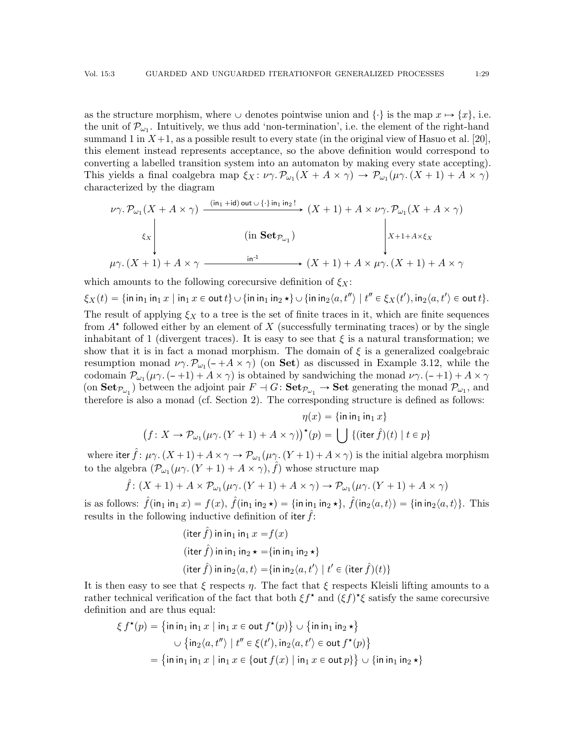as the structure morphism, where  $\cup$  denotes pointwise union and  $\{\cdot\}$  is the map  $x \mapsto \{x\}$ , i.e. the unit of  $\mathcal{P}_{\omega_1}$ . Intuitively, we thus add 'non-termination', i.e. the element of the right-hand summand 1 in  $X+1$ , as a possible result to every state (in the original view of Hasuo et al. [\[20\]](#page-42-16), this element instead represents acceptance, so the above definition would correspond to converting a labelled transition system into an automaton by making every state accepting). This yields a final coalgebra map  $\xi_X : \nu_\gamma \to \mathcal{P}_{\omega_1}(X + A \times \gamma) \to \mathcal{P}_{\omega_1}(\mu_\gamma \colon (X + 1) + A \times \gamma)$ characterized by the diagram

$$
\nu\gamma.\mathcal{P}_{\omega_1}(X + A \times \gamma) \xrightarrow{\text{(in_1 + id) out } \cup \{\cdot\} \text{ in_1 in_2}!} (X + 1) + A \times \nu\gamma.\mathcal{P}_{\omega_1}(X + A \times \gamma)
$$
\n
$$
\xi_X \downarrow \qquad \text{(in } \textbf{Set}_{\mathcal{P}_{\omega_1}}) \qquad \qquad \downarrow X+1+A \times \xi_X
$$
\n
$$
\mu\gamma.\left(X + 1\right) + A \times \gamma \xrightarrow{\text{in}^{-1}} (X + 1) + A \times \mu\gamma.\left(X + 1\right) + A \times \gamma
$$

which amounts to the following corecursive definition of  $\xi_X$ :

 $\xi_X(t)=\{\mathsf{in} \mathsf{in}_1 \, \mathsf{in}_1 \, x\in \mathsf{out}\, t\} \cup \{\mathsf{in} \mathsf{in}_1 \, \mathsf{in}_2 \star\} \cup \{\mathsf{in} \mathsf{in}_2\langle a, t'' \rangle \mid t''\in \xi_X(t'), \mathsf{in}_2\langle a, t' \rangle \in \mathsf{out}\, t\}.$ The result of applying  $\xi_X$  to a tree is the set of finite traces in it, which are finite sequences from  $A^*$  followed either by an element of X (successfully terminating traces) or by the single inhabitant of 1 (divergent traces). It is easy to see that  $\xi$  is a natural transformation; we show that it is in fact a monad morphism. The domain of  $\xi$  is a generalized coalgebraic resumption monad  $\nu\gamma \cdot \mathcal{P}_{\omega_1}(-+A \times \gamma)$  (on Set) as discussed in Example [3.12,](#page-8-1) while the codomain  $\mathcal{P}_{\omega_1}(\mu\gamma.(-+1) + A \times \gamma)$  is obtained by sandwiching the monad  $\nu\gamma.(-+1) + A \times \gamma$ (on  $\textbf{Set}_{\mathcal{P}_{\omega_1}}$ ) between the adjoint pair  $F \dashv G$ :  $\textbf{Set}_{\mathcal{P}_{\omega_1}} \to \textbf{Set}$  generating the monad  $\mathcal{P}_{\omega_1}$ , and therefore is also a monad (cf. Section [2\)](#page-2-0). The corresponding structure is defined as follows:

$$
\eta(x) = \{\sin \mathrm{in}_1 \mathrm{ in}_1 x\}
$$

$$
(f: X \to \mathcal{P}_{\omega_1}(\mu \gamma, (Y+1) + A \times \gamma))^{\star}(p) = \bigcup \{(\mathrm{iter}\,\hat{f})(t) \mid t \in p\}
$$

where iter  $\hat{f}$ :  $\mu\gamma$ .  $(X+1) + A \times \gamma \to \mathcal{P}_{\omega_1}(\mu\gamma$ .  $(Y+1) + A \times \gamma)$  is the initial algebra morphism to the algebra  $(\mathcal{P}_{\omega_1}(\mu \gamma \cdot (Y+1) + A \times \gamma), \hat{f})$  whose structure map

$$
\hat{f}: (X+1) + A \times \mathcal{P}_{\omega_1}(\mu \gamma, (Y+1) + A \times \gamma) \to \mathcal{P}_{\omega_1}(\mu \gamma, (Y+1) + A \times \gamma)
$$

is as follows:  $\hat{f}(\mathsf{in}_1 \mathsf{in}_1 x) = f(x), \, \hat{f}(\mathsf{in}_1 \mathsf{in}_2 \star) = \{\mathsf{in} \mathsf{in}_1 \mathsf{in}_2 \star\}, \, \hat{f}(\mathsf{in}_2 \langle a, t \rangle) = \{\mathsf{in} \mathsf{in}_2 \langle a, t \rangle\}.$  This results in the following inductive definition of iter  $f$ :

$$
(\text{iter } \hat{f}) \text{ in in } \mathbf{1} \text{ in } x = f(x)
$$
\n
$$
(\text{iter } \hat{f}) \text{ in in } \mathbf{1} \text{ in } x \star \{ \text{in in } \mathbf{1} \text{ in } x \star \}
$$
\n
$$
(\text{iter } \hat{f}) \text{ in in } \mathbf{2} \langle a, t \rangle = \{ \text{in in } \mathbf{2} \langle a, t' \rangle \mid t' \in (\text{iter } \hat{f})(t) \}
$$

It is then easy to see that  $\xi$  respects  $\eta$ . The fact that  $\xi$  respects Kleisli lifting amounts to a rather technical verification of the fact that both  $\xi f^*$  and  $(\xi f)^* \xi$  satisfy the same corecursive definition and are thus equal:<br> $\xi f^*(p) = \{ \text{in in}_1 \text{ in}_1 x \mid$ 

$$
\xi f^{\star}(p) = \{ \min_{1} \infty \mid \min_{1} x \in \text{out } f^{\star}(p) \} \cup \{ \min_{1} \infty \star \}
$$

$$
\cup \{ \infty \{ \infty, t'' \} \mid t'' \in \xi(t'), \infty \{ \in \text{out } f^{\star}(p) \}
$$

$$
= \{ \infty \in \mathbb{N} \mid \infty \mid \infty \in \{ \infty \} \mid \infty \{ \infty \} \} \cup \{ \infty \} \} \cup \{ \infty \in \mathbb{N} \} \}
$$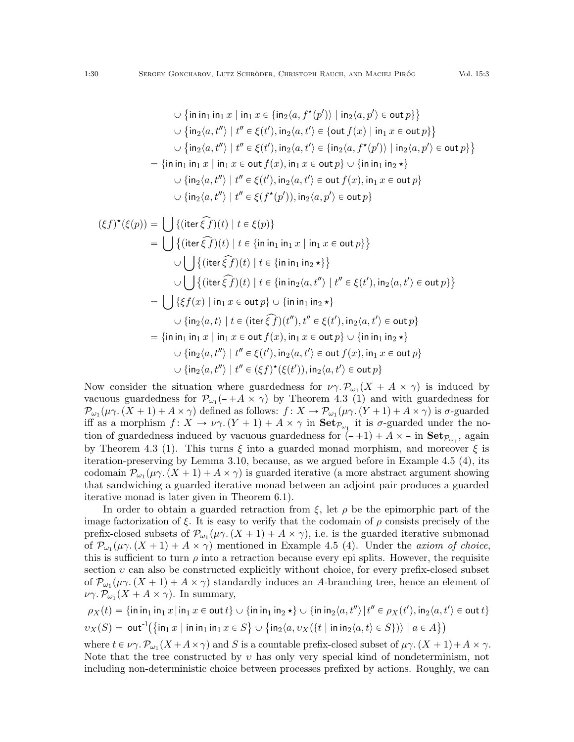$$
\bigcup \{\text{in in}_1 \text{ in}_1 x \mid \text{in}_1 x \in \{\text{in}_2\langle a, f^*(p')\rangle \mid \text{in}_2\langle a, p'\rangle \in \text{out } p\}\}
$$
  

$$
\bigcup \{\text{in}_2\langle a, t''\rangle \mid t'' \in \xi(t'), \text{in}_2\langle a, t'\rangle \in \{\text{out } f(x) \mid \text{in}_1 x \in \text{out } p\}\}
$$
  

$$
\bigcup \{\text{in}_2\langle a, t''\rangle \mid t'' \in \xi(t'), \text{in}_2\langle a, t'\rangle \in \{\text{in}_2\langle a, f^*(p')\rangle \mid \text{in}_2\langle a, p'\rangle \in \text{out } p\}\}
$$
  

$$
= \{\text{in in}_1 \text{ in}_1 x \mid \text{in}_1 x \in \text{out } f(x), \text{in}_1 x \in \text{out } p\} \cup \{\text{in in}_1 \text{ in}_2 \star\}
$$
  

$$
\bigcup \{\text{in}_2\langle a, t''\rangle \mid t'' \in \xi(t'), \text{in}_2\langle a, t'\rangle \in \text{out } f(x), \text{in}_1 x \in \text{out } p\}
$$
  

$$
\bigcup \{\text{in}_2\langle a, t''\rangle \mid t'' \in \xi(t''(p')), \text{in}_2\langle a, p'\rangle \in \text{out } p\}
$$

$$
(\xi f)^{\star}(\xi(p)) = \bigcup \{ (\text{iter}\,\widehat{\xi f})(t) \mid t \in \xi(p) \}
$$
  
\n
$$
= \bigcup \{ (\text{iter}\,\widehat{\xi f})(t) \mid t \in \{\text{in in}_1 \text{ in}_1 x \mid \text{in}_1 x \in \text{out } p \} \}
$$
  
\n
$$
\cup \bigcup \{ (\text{iter}\,\widehat{\xi f})(t) \mid t \in \{\text{in in}_1 \text{ in}_2 \star\} \}
$$
  
\n
$$
\cup \bigcup \{ (\text{iter}\,\widehat{\xi f})(t) \mid t \in \{\text{in in}_2 \langle a, t'' \rangle \mid t'' \in \xi(t'), \text{in}_2 \langle a, t' \rangle \in \text{out } p \} \}
$$
  
\n
$$
= \bigcup \{ \xi f(x) \mid \text{in}_1 x \in \text{out } p \} \cup \{ \text{in in}_1 \text{ in}_2 \star \}
$$
  
\n
$$
\cup \{ \text{in}_2 \langle a, t \rangle \mid t \in (\text{iter}\,\widehat{\xi f})(t''), t'' \in \xi(t'), \text{in}_2 \langle a, t' \rangle \in \text{out } p \}
$$
  
\n
$$
= \{ \text{in in}_1 \text{ in}_1 x \mid \text{in}_1 x \in \text{out } f(x), \text{in}_1 x \in \text{out } p \} \cup \{ \text{in in}_1 \text{ in}_2 \star \}
$$
  
\n
$$
\cup \{ \text{in}_2 \langle a, t'' \rangle \mid t'' \in \xi(t'), \text{in}_2 \langle a, t' \rangle \in \text{out } f(x), \text{in}_1 x \in \text{out } p \}
$$
  
\n
$$
\cup \{ \text{in}_2 \langle a, t'' \rangle \mid t'' \in (\xi f)^{\star}(\xi(t')), \text{in}_2 \langle a, t' \rangle \in \text{out } p \}
$$

Now consider the situation where guardedness for  $\nu \gamma \cdot \mathcal{P}_{\omega_1}(X + A \times \gamma)$  is induced by vacuous guardedness for  $\mathcal{P}_{\omega_1}(-+A \times \gamma)$  by Theorem [4.3](#page-12-2) (1) and with guardedness for  $\mathcal{P}_{\omega_1}(\mu\gamma. (X+1)+A\times\gamma)$  defined as follows:  $f\colon X\to \mathcal{P}_{\omega_1}(\mu\gamma. (Y+1)+A\times\gamma)$  is  $\sigma$ -guarded iff as a morphism  $f: X \to \nu \gamma$ .  $(Y + 1) + A \times \gamma$  in  $\text{Set}_{\mathcal{P}_{\omega_1}}$  it is  $\sigma$ -guarded under the notion of guardedness induced by vacuous guardedness for  $(-+1) + A \times -$  in  $\text{Set}_{\mathcal{P}_{\omega_1}}$ , again by Theorem [4.3](#page-12-2) (1). This turns  $\xi$  into a guarded monad morphism, and moreover  $\xi$  is iteration-preserving by Lemma [3.10,](#page-7-0) because, as we argued before in Example [4.5](#page-18-0) (4), its codomain  $\mathcal{P}_{\omega_1}(\mu\gamma \cdot (X+1) + A \times \gamma)$  is guarded iterative (a more abstract argument showing that sandwiching a guarded iterative monad between an adjoint pair produces a guarded iterative monad is later given in Theorem [6.1\)](#page-38-1).

In order to obtain a guarded retraction from  $\xi$ , let  $\rho$  be the epimorphic part of the image factorization of  $\xi$ . It is easy to verify that the codomain of  $\rho$  consists precisely of the prefix-closed subsets of  $\mathcal{P}_{\omega_1}(\mu\gamma \cdot (X+1) + A \times \gamma)$ , i.e. is the guarded iterative submonad of  $\mathcal{P}_{\omega_1}(\mu\gamma \cdot (X+1) + A \times \gamma)$  mentioned in Example [4.5](#page-18-0) (4). Under the *axiom of choice*, this is sufficient to turn  $\rho$  into a retraction because every epi splits. However, the requisite section  $v$  can also be constructed explicitly without choice, for every prefix-closed subset of  $\mathcal{P}_{\omega_1}(\mu \gamma \cdot (X + 1) + A \times \gamma)$  standardly induces an A-branching tree, hence an element of  $\nu\gamma \cdot \mathcal{P}_{\omega_1}(X + A \times \gamma)$ . In summary,

$$
\rho_X(t) = \{\min_{1} \min_1 x | \min_1 x \in \text{out } t\} \cup \{\min_{1} \min_2 \star\} \cup \{\min_{2} \langle a, t'' \rangle | t'' \in \rho_X(t'), \in \rho_X(t') \in \text{out } t\}
$$
  

$$
\nu_X(S) = \text{out}^{-1}(\{\infty, x \mid \text{in } \infty, x \in S\} \cup \{\infty, \nu_X(\{t \mid \text{in } \infty, \{a, t\} \in S\}) \mid a \in A\})
$$

where  $t \in \nu \gamma$ .  $\mathcal{P}_{\omega_1}(X + A \times \gamma)$  and S is a countable prefix-closed subset of  $\mu \gamma$ .  $(X + 1) + A \times \gamma$ . Note that the tree constructed by  $v$  has only very special kind of nondeterminism, not including non-deterministic choice between processes prefixed by actions. Roughly, we can

(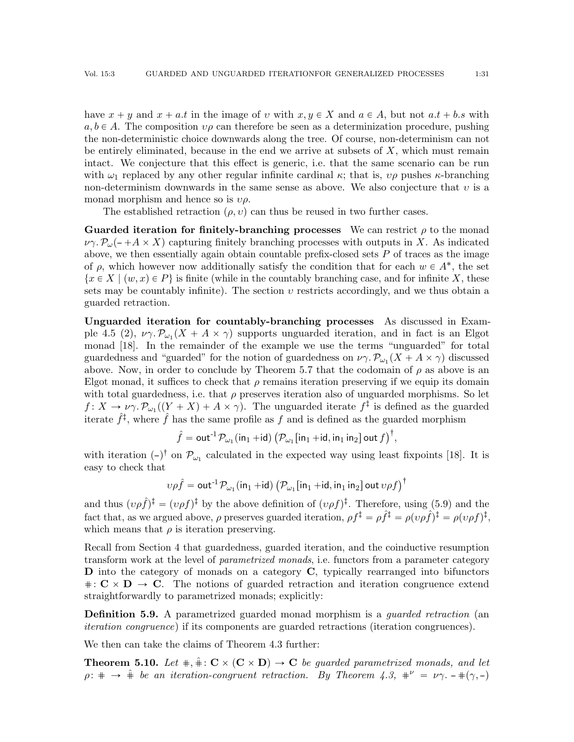have  $x + y$  and  $x + a.t$  in the image of v with  $x, y \in X$  and  $a \in A$ , but not  $a.t + b.s$  with  $a, b \in A$ . The composition  $\nu \rho$  can therefore be seen as a determinization procedure, pushing the non-deterministic choice downwards along the tree. Of course, non-determinism can not be entirely eliminated, because in the end we arrive at subsets of  $X$ , which must remain intact. We conjecture that this effect is generic, i.e. that the same scenario can be run with  $\omega_1$  replaced by any other regular infinite cardinal  $\kappa$ ; that is,  $\nu\rho$  pushes  $\kappa$ -branching non-determinism downwards in the same sense as above. We also conjecture that  $v$  is a monad morphism and hence so is  $v\rho$ .

The established retraction  $(\rho, v)$  can thus be reused in two further cases.

Guarded iteration for finitely-branching processes We can restrict  $\rho$  to the monad  $\nu \gamma \cdot P_{\omega}(- + A \times X)$  capturing finitely branching processes with outputs in X. As indicated above, we then essentially again obtain countable prefix-closed sets  $P$  of traces as the image of  $\rho$ , which however now additionally satisfy the condition that for each  $w \in A^*$ , the set  $\{x \in X \mid (w, x) \in P\}$  is finite (while in the countably branching case, and for infinite X, these sets may be countably infinite). The section  $\upsilon$  restricts accordingly, and we thus obtain a guarded retraction.

Unguarded iteration for countably-branching processes As discussed in Exam-ple [4.5](#page-18-0) (2),  $\nu\gamma \cdot \mathcal{P}_{\omega_1}(X + A \times \gamma)$  supports unguarded iteration, and in fact is an Elgot monad [\[18\]](#page-42-6). In the remainder of the example we use the terms "unguarded" for total guardedness and "guarded" for the notion of guardedness on  $\nu\gamma$ .  $\mathcal{P}_{\omega_1}(X + A \times \gamma)$  discussed above. Now, in order to conclude by Theorem [5.7](#page-26-0) that the codomain of  $\rho$  as above is an Elgot monad, it suffices to check that  $\rho$  remains iteration preserving if we equip its domain with total guardedness, i.e. that  $\rho$  preserves iteration also of unguarded morphisms. So let  $f: X \to \nu \gamma$ .  $\mathcal{P}_{\omega_1}((Y + X) + A \times \gamma)$ . The unguarded iterate  $f^{\ddagger}$  is defined as the guarded iterate  $\hat{f}^{\ddagger}$ , where  $\hat{f}$  has the same profile as f and is defined as the guarded morphism  $\ddot{ }$ 

 $\hat{f} = \mathsf{out}^{-1}\mathcal{P}_{\omega_1}(\mathsf{in}_1 + \mathsf{id})$  $\mathcal{P}_{\omega_1}$ [in<sub>1</sub> +id, in<sub>1</sub> in<sub>2</sub>] out  $f$ ]<sup>†</sup>,

with iteration  $(-)$ <sup>†</sup> on  $\mathcal{P}_{\omega_1}$  calculated in the expected way using least fixpoints [\[18\]](#page-42-6). It is easy to check that

$$
v\rho \hat{f} = \mathtt{out}^{-1} \mathcal{P}_{\omega_1}(\mathsf{in}_1 + \mathsf{id}) \left( \mathcal{P}_{\omega_1}[\mathsf{in}_1 + \mathsf{id}, \mathsf{in}_1 \mathsf{in}_2] \mathtt{out} \, v \rho f \right)^\dagger
$$

and thus  $(v\rho f)^{\ddagger} = (v\rho f)^{\ddagger}$  by the above definition of  $(v\rho f)^{\ddagger}$ . Therefore, using [\(5.9\)](#page-24-2) and the fact that, as we argued above,  $\rho$  preserves guarded iteration,  $\rho f^{\ddagger} = \rho f^{\ddagger} = \rho (\nu \rho f)^{\ddagger} = \rho (\nu \rho f)^{\ddagger}$ , which means that  $\rho$  is iteration preserving.

Recall from Section [4](#page-12-0) that guardedness, guarded iteration, and the coinductive resumption transform work at the level of parametrized monads, i.e. functors from a parameter category D into the category of monads on a category C, typically rearranged into bifunctors  $\# : \mathbf{C} \times \mathbf{D} \to \mathbf{C}$ . The notions of guarded retraction and iteration congruence extend straightforwardly to parametrized monads; explicitly:

**Definition 5.9.** A parametrized guarded monad morphism is a *quarded retraction* (an iteration congruence) if its components are guarded retractions (iteration congruences).

We then can take the claims of Theorem [4.3](#page-12-2) further:

<span id="page-30-0"></span>**Theorem 5.10.** Let  $\#$ ,  $\hat{+}$ :  $\mathbf{C} \times (\mathbf{C} \times \mathbf{D}) \rightarrow \mathbf{C}$  be guarded parametrized monads, and let  $\rho: \# \rightarrow \hat{+}$  be an iteration-congruent retraction. By Theorem [4.3,](#page-12-2)  $\#^{\nu} = \nu \gamma. -\#(\gamma, -)$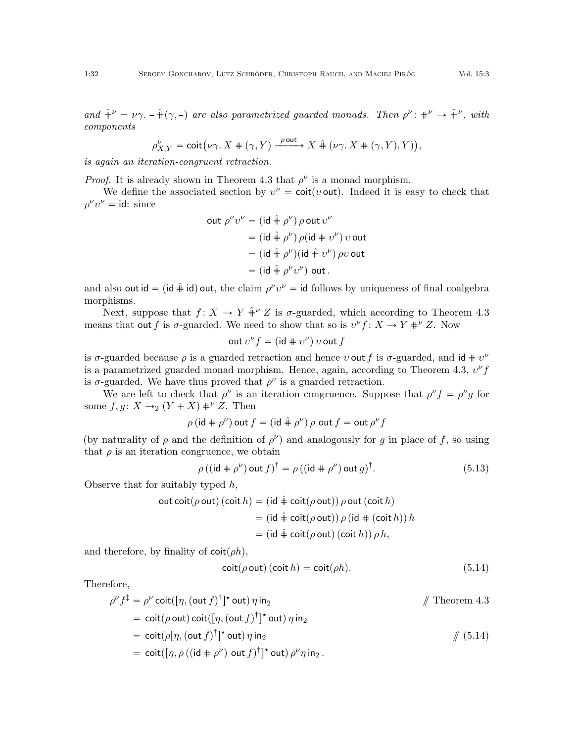and  $\hat{\#}^{\nu} = \nu \gamma$ .  $-\hat{\#}(\gamma, -)$  are also parametrized guarded monads. Then  $\rho^{\nu}$ :  $\#^{\nu} \to \hat{\#}^{\nu}$ , with components

$$
\rho^{\nu}_{X,Y} = \operatorname{coit} \bigl( \nu\gamma. \, X \, \#\, (\gamma, Y) \xrightarrow{\rho \text{ out }} X \, \hat{\#} \, \bigl( \nu\gamma. \, X \, \#\, (\gamma, Y), Y \bigr) \bigr),
$$

is again an iteration-congruent retraction.

*Proof.* It is already shown in Theorem [4.3](#page-12-2) that  $\rho^{\nu}$  is a monad morphism.

We define the associated section by  $v^{\nu} = \text{coit}(v \text{ out})$ . Indeed it is easy to check that  $\rho^{\nu}v^{\nu} = \text{id}: \text{ since}$ 

out 
$$
\rho^{\nu}v^{\nu} = (\text{id} \hat{\#} \rho^{\nu}) \rho \text{ out } v^{\nu}
$$
  
\n
$$
= (\text{id} \hat{\#} \rho^{\nu}) \rho (\text{id} \# v^{\nu}) v \text{ out}
$$
\n
$$
= (\text{id} \hat{\#} \rho^{\nu}) (\text{id} \hat{\#} v^{\nu}) \rho v \text{ out}
$$
\n
$$
= (\text{id} \hat{\#} \rho^{\nu} v^{\nu}) \text{ out.}
$$

and also out id = (id  $\hat{a}$  id) out, the claim  $\rho^{\nu}v^{\nu}$  = id follows by uniqueness of final coalgebra morphisms.

Next, suppose that  $f: X \to Y + V \hat{F}$  is  $\sigma$ -guarded, which according to Theorem [4.3](#page-12-2) means that out f is  $\sigma$ -guarded. We need to show that so is  $v^{\nu} f: X \to Y +^{\nu} Z$ . Now

$$
\operatorname{out} v^{\nu} f = (\operatorname{id} \# v^{\nu}) v \operatorname{out} f
$$

is  $\sigma$ -guarded because  $\rho$  is a guarded retraction and hence  $v$  out f is  $\sigma$ -guarded, and id  $\# v^{\nu}$ is a parametrized guarded monad morphism. Hence, again, according to Theorem [4.3,](#page-12-2)  $v^{\nu} f$ is  $\sigma$ -guarded. We have thus proved that  $\rho^{\nu}$  is a guarded retraction.

We are left to check that  $\rho^{\nu}$  is an iteration congruence. Suppose that  $\rho^{\nu} f = \rho^{\nu} g$  for some  $f, g: X \rightarrow_2 (Y + X) \#^{\nu} Z$ . Then

$$
\rho\,(\mathrm{id}\, \#\, \rho^\nu)\,\mathrm{out}\, f = (\mathrm{id}\,\hat\# \,\rho^\nu)\,\rho\,\mathrm{out}\, f = \mathrm{out}\,\rho^\nu f
$$

(by naturality of  $\rho$  and the definition of  $\rho^{\nu}$ ) and analogously for g in place of f, so using that  $\rho$  is an iteration congruence, we obtain

$$
\rho ((\mathsf{id} \# \rho^{\nu}) \mathsf{out} f)^{\dagger} = \rho ((\mathsf{id} \# \rho^{\nu}) \mathsf{out} g)^{\dagger}.
$$
 (5.13)

Observe that for suitably typed  $h$ ,

out 
$$
coit(\rho out)
$$
 ( $coit h$ ) = (id  $\hat{+}$   $coit(\rho out)) \rho out$  ( $coit h$ )  
\n= (id  $\hat{+}$   $coit(\rho out)) \rho$  (id  $\#$  ( $coit h$ )) h  
\n= (id  $\hat{+}$   $coit(\rho out)$  ( $coit h$ ))  $\rho h$ ,

and therefore, by finality of  $\cot(\rho h)$ ,

<span id="page-31-1"></span><span id="page-31-0"></span>
$$
coit(\rho out) (coit h) = coit(\rho h).
$$
 (5.14)

Therefore,

$$
\rho^{\nu} f^{\dagger} = \rho^{\nu} \cot([\eta, (\text{out } f)^{\dagger}]^{\star} \text{ out}) \eta \text{ in}_{2}
$$
\n
$$
= \cot(\rho \text{ out}) \cot([\eta, (\text{out } f)^{\dagger}]^{\star} \text{ out}) \eta \text{ in}_{2}
$$
\n
$$
= \cot(\rho [\eta, (\text{out } f)^{\dagger}]^{\star} \text{ out}) \eta \text{ in}_{2}
$$
\n
$$
= \cot([\eta, \rho ((\text{id } \# \rho^{\nu}) \text{ out } f)^{\dagger}]^{\star} \text{ out}) \rho^{\nu} \eta \text{ in}_{2}.
$$
\n(5.14)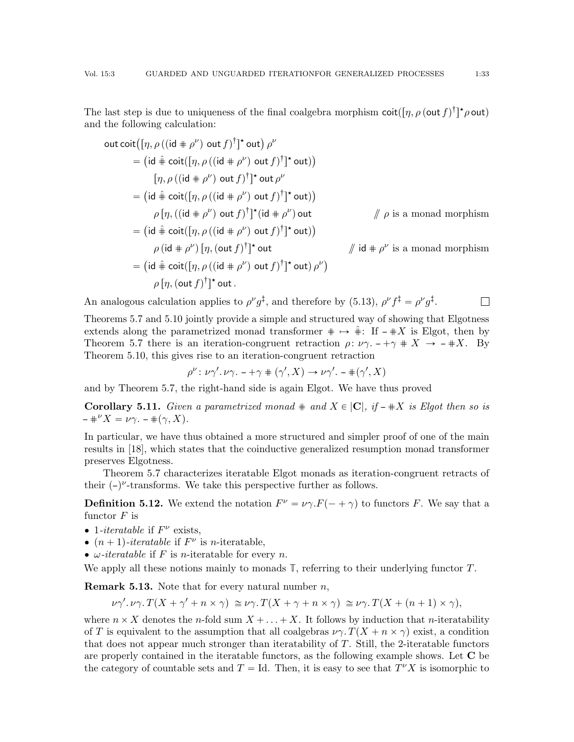The last step is due to uniqueness of the final coalgebra morphism  $\text{coit}([\eta, \rho (\text{out } f)^\dagger] \star \rho \text{out})$ and the following calculation:

out 
$$
\text{coit}([\eta, \rho((id + \rho^{\nu}) \text{ out } f)^{\dagger}]^{\star} \text{ out}) \rho^{\nu}
$$
  
\n
$$
= (\text{id} \hat{+} \text{coit}([\eta, \rho((id + \rho^{\nu}) \text{ out } f)^{\dagger}]^{\star} \text{ out}))
$$
\n
$$
[\eta, \rho((id + \rho^{\nu}) \text{ out } f)^{\dagger}]^{\star} \text{ out } \rho^{\nu}
$$
\n
$$
= (\text{id} \hat{+} \text{coit}([\eta, \rho((id + \rho^{\nu}) \text{ out } f)^{\dagger}]^{\star} \text{ out}))
$$
\n
$$
\rho [\eta, ((\text{id} + \rho^{\nu}) \text{ out } f)^{\dagger}]^{\star} (\text{id} + \rho^{\nu}) \text{ out } \qquad \qquad \text{if } \rho \text{ is a monad morphism}
$$
\n
$$
= (\text{id} \hat{+} \text{coit}([\eta, \rho((\text{id} + \rho^{\nu}) \text{ out } f)^{\dagger}]^{\star} \text{ out}))
$$
\n
$$
\rho (\text{id} + \rho^{\nu}) [\eta, (\text{out } f)^{\dagger}]^{\star} \text{ out } \qquad \qquad \text{if } \text{id} + \rho^{\nu} \text{ is a monad morphism}
$$
\n
$$
= (\text{id} \hat{+} \text{coit}([\eta, \rho((\text{id} + \rho^{\nu}) \text{ out } f)^{\dagger}]^{\star} \text{ out}) \rho^{\nu})
$$
\n
$$
\rho [\eta, (\text{out } f)^{\dagger}]^{\star} \text{ out } \qquad \qquad \text{if } \text{id} + \rho^{\nu} \text{ is a monad morphism}
$$

An analogous calculation applies to  $\rho^{\nu} g^{\ddagger}$ , and therefore by [\(5.13\)](#page-31-1),  $\rho^{\nu} f^{\ddagger} = \rho^{\nu} g^{\ddagger}$ .  $\Box$ 

Theorems [5.7](#page-26-0) and [5.10](#page-30-0) jointly provide a simple and structured way of showing that Elgotness extends along the parametrized monad transformer  $\# \rightarrow \#$ : If  $-\# X$  is Elgot, then by Theorem [5.7](#page-26-0) there is an iteration-congruent retraction  $\rho: \nu \gamma. -+\gamma \# X \rightarrow -\# X$ . By Theorem [5.10,](#page-30-0) this gives rise to an iteration-congruent retraction

$$
\rho^{\nu} \colon \nu\gamma'. \nu\gamma. - +\gamma \# (\gamma', X) \to \nu\gamma'. -\# (\gamma', X)
$$

and by Theorem [5.7,](#page-26-0) the right-hand side is again Elgot. We have thus proved

**Corollary 5.11.** Given a parametrized monad  $\#$  and  $X \in |C|$ , if  $-\#X$  is Elgot then so is  $*^{\nu} X = \nu \gamma$ .  $* (\gamma, X)$ .

In particular, we have thus obtained a more structured and simpler proof of one of the main results in [\[18\]](#page-42-6), which states that the coinductive generalized resumption monad transformer preserves Elgotness.

Theorem [5.7](#page-26-0) characterizes iteratable Elgot monads as iteration-congruent retracts of their  $(-)^{\nu}$ -transforms. We take this perspective further as follows.

**Definition 5.12.** We extend the notation  $F^{\nu} = \nu \gamma F(- + \gamma)$  to functors F. We say that a functor  $F$  is

- 1-iteratable if  $F^{\nu}$  exists,
- $(n + 1)$ -iteratable if  $F^{\nu}$  is *n*-iteratable,
- $\bullet$   $\omega$ -iteratable if F is *n*-iteratable for every *n*.

We apply all these notions mainly to monads **T**, referring to their underlying functor T.

**Remark 5.13.** Note that for every natural number  $n$ ,

$$
\nu\gamma'.\nu\gamma.\,T(X+\gamma'+n\times\gamma)\,\cong\nu\gamma.\,T(X+\gamma+n\times\gamma)\,\cong\nu\gamma.\,T(X+(n+1)\times\gamma),
$$

where  $n \times X$  denotes the *n*-fold sum  $X + \ldots + X$ . It follows by induction that *n*-iteratability of T is equivalent to the assumption that all coalgebras  $\nu \gamma$ .  $T(X + n \times \gamma)$  exist, a condition that does not appear much stronger than iteratability of T. Still, the 2-iteratable functors are properly contained in the iteratable functors, as the following example shows. Let  $C$  be the category of countable sets and  $T = Id$ . Then, it is easy to see that  $T^{\nu}X$  is isomorphic to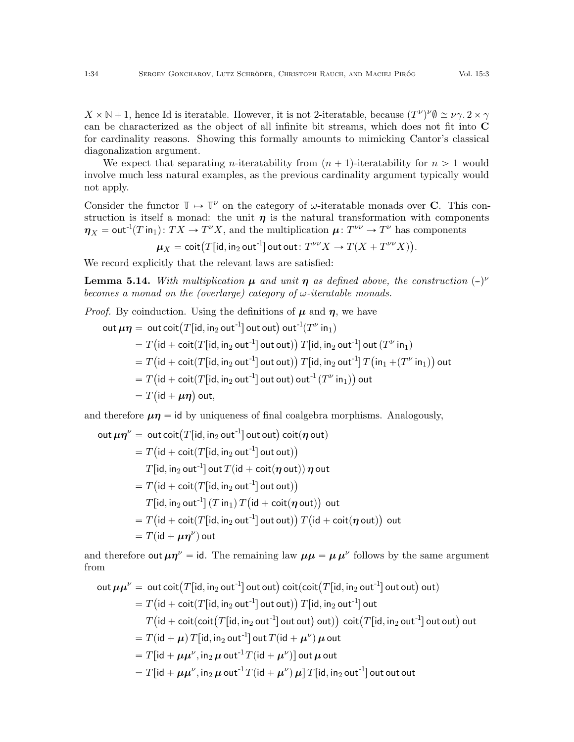$X \times \mathbb{N} + 1$ , hence Id is iteratable. However, it is not 2-iteratable, because  $(T^{\nu})^{\nu} \emptyset \cong \nu \gamma$ .  $2 \times \gamma$ can be characterized as the object of all infinite bit streams, which does not fit into C for cardinality reasons. Showing this formally amounts to mimicking Cantor's classical diagonalization argument.

We expect that separating *n*-iteratability from  $(n + 1)$ -iteratability for  $n > 1$  would involve much less natural examples, as the previous cardinality argument typically would not apply.

Consider the functor  $\mathbb{T} \mapsto \mathbb{T}^{\nu}$  on the category of  $\omega$ -iteratable monads over **C**. This construction is itself a monad: the unit  $\eta$  is the natural transformation with components  $\eta_X = \text{out}^{-1}(T \text{ in}_1): TX \to T^{\nu}X$ , and the multiplication  $\mu: T^{\nu\nu} \to T^{\nu}$  has components

$$
\mu_X = \operatorname{coit}\bigl(T[\operatorname{id}, \operatorname{in}_2 \operatorname{out}^{-1}]\bigl(\operatorname{out} \operatorname{out}: T^{\nu\nu}X \to T(X + T^{\nu\nu}X)\bigr).
$$

We record explicitly that the relevant laws are satisfied:

**Lemma 5.14.** With multiplication  $\mu$  and unit  $\eta$  as defined above, the construction  $(-)^{\nu}$ becomes a monad on the (overlarge) category of  $\omega$ -iteratable monads.

*Proof.* By coinduction. Using the definitions of  $\mu$  and  $\eta$ , we have

out  $\mu \eta = \text{out } \text{coit}(T[\text{id}, \text{in}_2 \text{ out}^{-1}])$  out out) out  $T(T^{\nu} \text{ in}_1)$  $= T$ `  $\mathsf{id} + \mathsf{coit}(T[\mathsf{id}, \mathsf{in}_2 \, \mathsf{out}^{\text{-}1}]\, \mathsf{out}\, \mathsf{out})$ ˘  $\left(\text{id} + \text{coit}(T[\text{id}, \text{in}_2 \text{ out}^{-1}]) \text{ out out})\right) T[\text{id}, \text{in}_2 \text{ out}^{-1}] \text{ out } (T^{\nu} \text{ in}_1)$  $T = T\big(\mathsf{id} + \mathsf{coit}(T[\mathsf{id},\mathsf{in}_2\mathsf{out}^{-1}]\mathsf{out}\mathsf{out})\big) \, T[\mathsf{id},\mathsf{in}_2\mathsf{out}^{-1}]\, T\big(\mathsf{in}_1 + (T^\nu\,\mathsf{in}_1)\big)$ out  $= T$  $\overline{\phantom{a}}$  $\mathsf{id} + \mathsf{coit}(T[\mathsf{id}, \mathsf{in}_2 \mathsf{out}^{\text{-}1}]\mathsf{out}$  out  $\mathsf{out}^{\text{-}1}(T^\nu \mathsf{in}_1)$  $(\mathsf{id} + \mathsf{coit}(T[\mathsf{id}, \mathsf{in}_2 \mathsf{out}^{-1}])$  out out)  $\mathsf{out}^{-1}(T^{\nu} \mathsf{in}_1))$  out  $= T(\mathsf{id} + \mu\eta)$  out,

and therefore  $\mu\eta = id$  by uniqueness of final coalgebra morphisms. Analogously,

out  $\mu \eta^{\nu} = \text{out} \, \text{coit} \big( T [\text{id}, \text{in}_2 \, \text{out}^{-1}] \, \text{out} \, \text{out} \big) \, \text{coit}(\eta \, \text{out})$  $= T$ u<br>.  $\mathsf{id} + \mathsf{coit}(T[\mathsf{id}, \mathsf{in}_2 \, \mathsf{out}^{\text{-}1}]\, \mathsf{out}\, \mathsf{out})$  $T[\mathsf{id},\mathsf{in}_2\mathsf{out}^{\text{-}1}]$  out  $T(\mathsf{id} + \mathsf{coit}(\boldsymbol{\eta} \mathsf{out}))\,\boldsymbol{\eta}$  out  $T = T ( \mathsf{id} + \mathsf{coit} (T [\mathsf{id}, \mathsf{in}_2 \, \mathsf{out}^{-1}] \, \mathsf{out} \, \mathsf{out} )$  $T[\mathsf{id}, \mathsf{in}_2 \mathsf{out}^\text{-1}]\, (T\, \mathsf{in}_1)\, T$  $\ddot{\phantom{0}}$  $\mathsf{id} + \mathsf{coit}(\boldsymbol{\eta} \, \mathsf{out})$  $[\mathsf{id}, \mathsf{in}_2 \mathsf{out}^{-1}](T \mathsf{in}_1) T (\mathsf{id} + \mathsf{coit}(\boldsymbol{\eta} \mathsf{out})) \mathsf{out}$  $T = T\big(\mathsf{id} + \mathsf{coit}(T[\mathsf{id},\mathsf{in}_2\mathsf{out}^{-1}]\mathsf{out}\mathsf{out})\big) \, T\big(\mathsf{id} + \mathsf{coit}(\boldsymbol{\eta}\mathsf{out})\big)$ out  $= T(\mathsf{id} + \mu \eta^{\nu})$  out

and therefore out  $\mu \eta^{\nu} = id$ . The remaining law  $\mu \mu = \mu \mu^{\nu}$  follows by the same argument from

out 
$$
\mu \mu^{\nu}
$$
 = out  $\text{coit}(T[\text{id}, \text{in}_2 \text{ out}^{-1}]\text{ out out}) \text{ coit}(\text{coit}(T[\text{id}, \text{in}_2 \text{ out}^{-1}]\text{ out out}) \text{ out})$   
\n=  $T(\text{id} + \text{coit}(T[\text{id}, \text{in}_2 \text{ out}^{-1}]\text{ out out})) T[\text{id}, \text{in}_2 \text{ out}^{-1}]\text{ out}$   
\n $T(\text{id} + \text{coit}(\text{coit}(T[\text{id}, \text{in}_2 \text{ out}^{-1}]\text{ out out}) \text{ out})) \text{ coit}(T[\text{id}, \text{in}_2 \text{ out}^{-1}]\text{ out out}) \text{ out}$   
\n=  $T(\text{id} + \mu) T[\text{id}, \text{in}_2 \text{ out}^{-1}\text{ out } T(\text{id} + \mu^{\nu}) \mu \text{ out}$   
\n=  $T[\text{id} + \mu \mu^{\nu}, \text{in}_2 \mu \text{ out}^{-1} T(\text{id} + \mu^{\nu}) \mu] T[\text{id}, \text{in}_2 \text{ out}^{-1}]\text{ out out out}$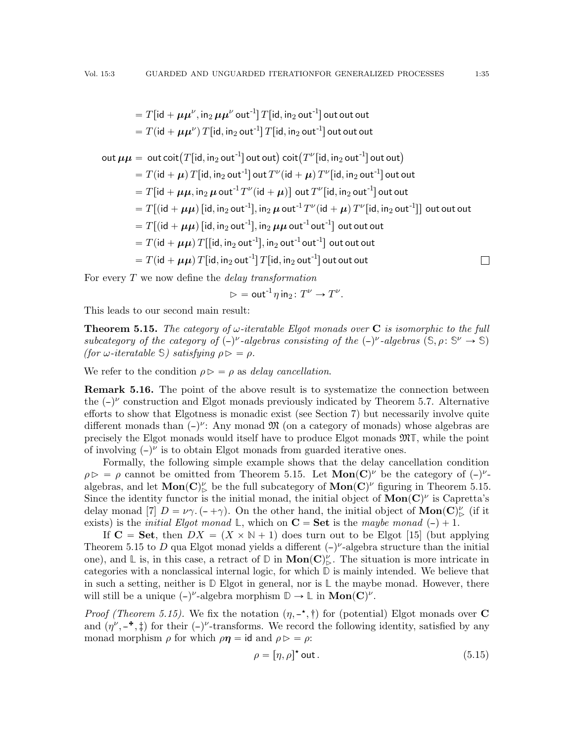$\Box$ 

 $= T[\mathsf{id} + \boldsymbol{\mu}\boldsymbol{\mu}^\nu, \mathsf{in}_2\,\boldsymbol{\mu}\boldsymbol{\mu}^\nu$  out $^{-1}] \,T[\mathsf{id},\mathsf{in}_2\,\mathsf{out}^{-1}]$  out out out  $= T(\mathsf{id} + \boldsymbol{\mu} \boldsymbol{\mu}^\nu) \, T[\mathsf{id}, \mathsf{in}_2\, \mathsf{out}^{\text{-}1}] \, T[\mathsf{id}, \mathsf{in}_2\, \mathsf{out}^{\text{-}1}]$  out out out out  $\boldsymbol{\mu} \boldsymbol{\mu} = \ \textsf{out\,coit} \big(T[\textsf{id},\textsf{in}_2 \, \textsf{out}^{-1}] \, \textsf{out\,out} \big) \, \textsf{coit} \big(T^\nu[\textsf{id},\textsf{in}_2 \, \textsf{out}^{-1}] \, \textsf{out\,out} \big)$  $\mathcal{I} = T(\mathsf{id} + \boldsymbol{\mu}) \, T[\mathsf{id}, \mathsf{in}_2 \, \mathsf{out}^{\text{-}1}]$  out  $T^\nu(\mathsf{id} + \boldsymbol{\mu}) \, T^\nu[\mathsf{id}, \mathsf{in}_2 \, \mathsf{out}^{\text{-}1}]$  out out  $T = T[\operatorname{\sf id} + \boldsymbol \mu \boldsymbol \mu, \operatorname{\sf in}_2 \boldsymbol \mu$  out  ${}^{\text{-}1}T^\nu(\operatorname{\sf id} + \boldsymbol \mu)]\,$  out  $T^\nu[\operatorname{\sf id}, \operatorname{\sf in}_2$  out  ${}^{\text{-}1}]$  out out  $= T [(\mathsf{id} + \boldsymbol \mu \boldsymbol \mu)$   $[\mathsf{id}, \mathsf{in}_2$  out $^{-1} ] , \mathsf{in}_2 \, \boldsymbol \mu$  out $^{-1} T^\nu (\mathsf{id} + \boldsymbol \mu) \, T^\nu [\mathsf{id}, \mathsf{in}_2$  out $^{-1} ] ]$  out out out  $T = T[(id + \mu\mu)]$   $[id, in_2 \text{ out}^{-1}]$ ,  $in_2 \mu\mu$  out<sup>-1</sup> out<sup>-1</sup> out out out  $T = T(\mathsf{id} + \mu\mu) T[\mathsf{Id}, \mathsf{in}_2 \mathsf{out}^{-1}], \mathsf{in}_2 \mathsf{out}^{-1} \mathsf{out}^{-1}]$  out out out  $T = T(\mathsf{id} + \mu\mu) T[\mathsf{id}, \mathsf{in}_2 \mathsf{out}^{-1}] T[\mathsf{id}, \mathsf{in}_2 \mathsf{out}^{-1}]$  out out out

For every  $T$  we now define the *delay transformation* 

$$
\triangleright = \text{out}^{\text{-}1} \eta \,\text{in}_2 \colon T^{\nu} \to T^{\nu}
$$

.

This leads to our second main result:

<span id="page-34-0"></span>**Theorem 5.15.** The category of  $\omega$ -iteratable Elgot monads over C is isomorphic to the full subcategory of the category of  $(-)^{\nu}$ -algebras consisting of the  $(-)^{\nu}$ -algebras  $(\mathbb{S}, \rho : \mathbb{S}^{\nu} \to \mathbb{S})$ (for w-iteratable S) satisfying  $\rho \triangleright = \rho$ .

We refer to the condition  $\rho \triangleright$  =  $\rho$  as delay cancellation.

<span id="page-34-2"></span>Remark 5.16. The point of the above result is to systematize the connection between the  $(-)^\nu$  construction and Elgot monads previously indicated by Theorem [5.7.](#page-26-0) Alternative efforts to show that Elgotness is monadic exist (see Section [7\)](#page-40-0) but necessarily involve quite different monads than  $(-)^{\nu}$ : Any monad M (on a category of monads) whose algebras are precisely the Elgot monads would itself have to produce Elgot monads M**T**, while the point of involving  $(-)^\nu$  is to obtain Elgot monads from guarded iterative ones.

Formally, the following simple example shows that the delay cancellation condition  $\rho \triangleright = \rho$  cannot be omitted from Theorem [5.15.](#page-34-0) Let  $\text{Mon}(C)^{\nu}$  be the category of  $(-)^{\nu}$ . algebras, and let  $\text{Mon}(\mathbf{C})^{\nu}$  be the full subcategory of  $\text{Mon}(\mathbf{C})^{\nu}$  figuring in Theorem [5.15.](#page-34-0) Since the identity functor is the initial monad, the initial object of  $\text{Mon}(C)^{\nu}$  is Capretta's delay monad [\[7\]](#page-41-2)  $D = \nu \gamma$ .  $(- + \gamma)$ . On the other hand, the initial object of **Mon**(C)<sup> $\nu$ </sup> (if it exists) is the *initial Elgot monad*  $\mathbb{L}$ , which on  $\mathbf{C} = \mathbf{Set}$  is the maybe monad  $(-) + 1$ .

If  $C = Set$ , then  $DX = (X \times N + 1)$  does turn out to be Elgot [\[15\]](#page-42-20) (but applying Theorem [5.15](#page-34-0) to D qua Elgot monad yields a different  $(-)$ <sup> $\nu$ </sup>-algebra structure than the initial one), and  $\mathbb{L}$  is, in this case, a retract of  $\mathbb{D}$  in  $\text{Mon}(\mathbf{C})^{\nu}_{\mathbb{D}}$ . The situation is more intricate in categories with a nonclassical internal logic, for which **D** is mainly intended. We believe that in such a setting, neither is **D** Elgot in general, nor is **L** the maybe monad. However, there will still be a unique  $(-)^{\nu}$ -algebra morphism  $\mathbb{D} \to \mathbb{L}$  in **Mon** $(\mathbb{C})^{\nu}$ .

*Proof (Theorem [5.15\)](#page-34-0)*. We fix the notation  $(\eta, -\star, \dagger)$  for (potential) Elgot monads over C and  $(\eta^{\nu}, -^*, \ddagger)$  for their  $(-)^{\nu}$ -transforms. We record the following identity, satisfied by any monad morphism  $\rho$  for which  $\rho \eta = id$  and  $\rho \triangleright = \rho$ :

<span id="page-34-1"></span>
$$
\rho = [\eta, \rho]^\star \text{ out.} \tag{5.15}
$$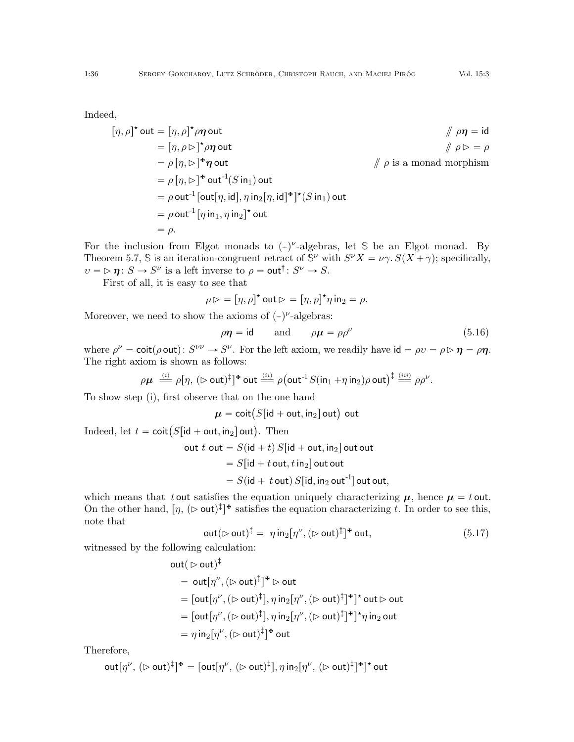Indeed,

$$
[\eta, \rho]^{\star} \text{ out } = [\eta, \rho]^{\star} \rho \eta \text{ out}
$$
\n
$$
= [\eta, \rho \rhd]^{\star} \rho \eta \text{ out}
$$
\n
$$
= \rho [\eta, \rhd]^{\star} \eta \text{ out}
$$
\n
$$
= \rho [\eta, \rhd]^{\star} \eta \text{ out}
$$
\n
$$
= \rho [\eta, \rhd]^{\star} \text{ out}^{-1}(S \text{ in}_1) \text{ out}
$$
\n
$$
= \rho \text{ out}^{-1} [\text{out}[\eta, \text{id}], \eta \text{ in}_2[\eta, \text{id}]^{\star}]^{\star} (S \text{ in}_1) \text{ out}
$$
\n
$$
= \rho \text{ out}^{-1} [\eta \text{ in}_1, \eta \text{ in}_2]^{\star} \text{ out}
$$
\n
$$
= \rho.
$$

For the inclusion from Elgot monads to  $(-)^{\nu}$ -algebras, let S be an Elgot monad. By Theorem [5.7,](#page-26-0) S is an iteration-congruent retract of  $\mathbb{S}^{\nu}$  with  $S^{\nu}X = \nu \gamma$ .  $S(X + \gamma)$ ; specifically,  $v = \triangleright \eta : S \to S^{\nu}$  is a left inverse to  $\rho = \text{out}^{\dagger} : S^{\nu} \to S$ .

First of all, it is easy to see that

$$
\rho \triangleright = [\eta, \rho]^\star \text{ out } \triangleright = [\eta, \rho]^\star \eta \text{ in }_2 = \rho.
$$

Moreover, we need to show the axioms of  $(-)^{\nu}$ -algebras:

<span id="page-35-1"></span>
$$
\rho \eta = \text{id} \qquad \text{and} \qquad \rho \mu = \rho \rho^{\nu} \tag{5.16}
$$

where  $\rho^{\nu} = \text{coit}(\rho \text{ out}) : S^{\nu\nu} \to S^{\nu}$ . For the left axiom, we readily have  $\text{id} = \rho v = \rho \triangleright \eta = \rho \eta$ . The right axiom is shown as follows:

$$
\rho \mu \stackrel{(i)}{=} \rho [\eta, (\rhd \text{out})^{\ddagger}]^{\text{*}} \text{out} \stackrel{(ii)}{=} \rho (\text{out}^{-1} S(\text{in}_1 + \eta \text{in}_2) \rho \text{out})^{\ddagger} \stackrel{(iii)}{=} \rho \rho^{\nu}.
$$

To show step (i), first observe that on the one hand

 $\mu = \operatorname{coit} \left( S[\operatorname{id} + \operatorname{out}, \operatorname{in}_2] \operatorname{out} \right)$  out

Indeed, let  $t = \text{coit}(S[\text{id} + \text{out}, \text{in}_2] \text{out})$ . Then

out 
$$
t
$$
 out =  $S(id + t) S(id + out, in2]$  out out  
=  $S(id + t out, t in2]$  out out  
=  $S(id + t out) S(id, in2 out-1]$  out out,

which means that t out satisfies the equation uniquely characterizing  $\mu$ , hence  $\mu = t$  out. On the other hand,  $[\eta, (\triangleright \text{out})^{\ddagger}]^*$  satisfies the equation characterizing t. In order to see this, note that

<span id="page-35-0"></span>
$$
\operatorname{out}(\rhd \operatorname{out})^{\ddagger} = \eta \operatorname{in}_{2}[\eta^{\nu}, (\rhd \operatorname{out})^{\ddagger}]^{\ast} \operatorname{out}, \tag{5.17}
$$

witnessed by the following calculation:

out(
$$
\triangleright
$$
 out)<sup>‡</sup>  
\n= out[ $\eta^{\nu}$ , ( $\triangleright$  out)<sup>‡</sup>]<sup>\*</sup>  $\triangleright$  out  
\n= [out[ $\eta^{\nu}$ , ( $\triangleright$  out)<sup>‡</sup>],  $\eta$  in<sub>2</sub>[ $\eta^{\nu}$ , ( $\triangleright$  out)<sup>‡</sup>]<sup>\*</sup>]<sup>\*</sup> out  $\triangleright$  out  
\n= [out[ $\eta^{\nu}$ , ( $\triangleright$  out)<sup>‡</sup>],  $\eta$  in<sub>2</sub>[ $\eta^{\nu}$ , ( $\triangleright$  out)<sup>‡</sup>]<sup>\*</sup>]<sup>\*</sup> $\eta$  in<sub>2</sub> out  
\n=  $\eta$  in<sub>2</sub>[ $\eta^{\nu}$ , ( $\triangleright$  out)<sup>‡</sup>]<sup>\*</sup> out

Therefore,

$$
\mathsf{out}[\eta^\nu, (\rhd \mathsf{out})^{\ddagger}]^* = [\mathsf{out}[\eta^\nu, (\rhd \mathsf{out})^{\ddagger}], \eta \mathsf{in}_2[\eta^\nu, (\rhd \mathsf{out})^{\ddagger}]^* ]^* \mathsf{out}
$$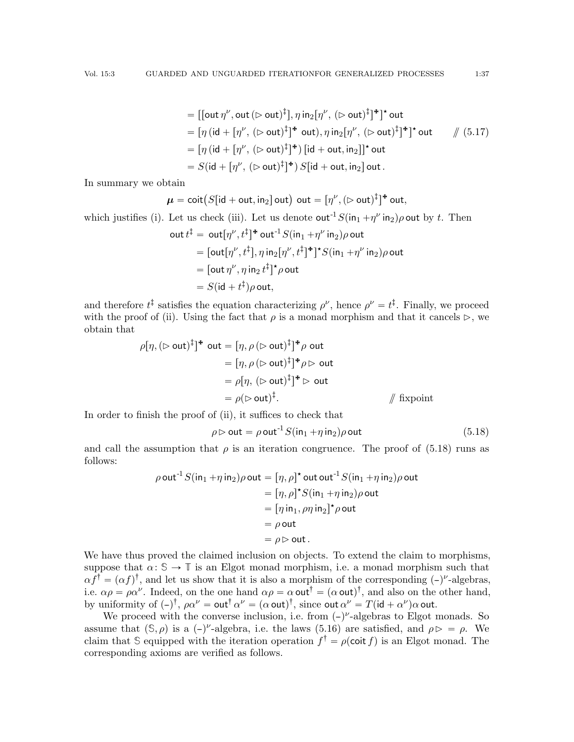$$
= [[\text{out } \eta^{\nu}, \text{out } (\rhd \text{out})^{\ddagger}], \eta \text{ in}_2[\eta^{\nu}, (\rhd \text{out})^{\ddagger}]^{\ast}]^{\star} \text{ out}
$$
  
\n
$$
= [\eta (\text{id} + [\eta^{\nu}, (\rhd \text{out})^{\ddagger}]^{\ast} \text{ out}), \eta \text{ in}_2[\eta^{\nu}, (\rhd \text{out})^{\ddagger}]^{\ast}]^{\star} \text{ out}
$$
  
\n
$$
= [\eta (\text{id} + [\eta^{\nu}, (\rhd \text{out})^{\ddagger}]^{\ast}) [\text{id} + \text{out}, \text{in}_2]]^{\star} \text{ out}
$$
  
\n
$$
= S(\text{id} + [\eta^{\nu}, (\rhd \text{out})^{\ddagger}]^{\ast}) S[\text{id} + \text{out}, \text{in}_2] \text{ out}.
$$

In summary we obtain

$$
\boldsymbol{\mu} = \text{coit}(S[\text{id} + \text{out}, \text{in}_2] \text{ out}) \text{ out} = [\eta^{\nu}, (\rhd \text{out})^{\ddagger}]^{\text{+}} \text{ out},
$$

which justifies (i). Let us check (iii). Let us denote out<sup>-1</sup>  $S(\text{in}_1 + \eta^{\nu} \text{in}_2) \rho$  out by t. Then

out 
$$
t^{\ddagger}
$$
 = out $[\eta^{\nu}, t^{\ddagger}]^*$  out<sup>-1</sup>  $S(in_1 + \eta^{\nu} in_2)\rho$  out  
\n=  $[\text{out}[\eta^{\nu}, t^{\ddagger}], \eta in_2[\eta^{\nu}, t^{\ddagger}]^*]^* S(in_1 + \eta^{\nu} in_2)\rho$  out  
\n=  $[\text{out} \eta^{\nu}, \eta in_2 t^{\ddagger}]^* \rho$  out  
\n=  $S(id + t^{\ddagger})\rho$  out,

and therefore  $t^{\ddagger}$  satisfies the equation characterizing  $\rho^{\nu}$ , hence  $\rho^{\nu} = t^{\ddagger}$ . Finally, we proceed with the proof of (ii). Using the fact that  $\rho$  is a monad morphism and that it cancels  $\rhd$ , we obtain that

$$
\rho[\eta, (\rhd \text{out})^{\ddagger}]^{\text{+}} \text{ out} = [\eta, \rho (\rhd \text{out})^{\ddagger}]^{\text{+}} \rho \text{ out}
$$
  
\n
$$
= [\eta, \rho (\rhd \text{out})^{\ddagger}]^{\text{+}} \rho \rhd \text{ out}
$$
  
\n
$$
= \rho[\eta, (\rhd \text{out})^{\ddagger}]^{\text{+}} \rhd \text{ out}
$$
  
\n
$$
= \rho(\rhd \text{out})^{\ddagger}.
$$
 // fixpoint

In order to finish the proof of (ii), it suffices to check that

<span id="page-36-0"></span>
$$
\rho \triangleright \text{out} = \rho \text{ out}^{-1} S(\text{in}_1 + \eta \text{ in}_2) \rho \text{ out}
$$
\n(5.18)

and call the assumption that  $\rho$  is an iteration congruence. The proof of [\(5.18\)](#page-36-0) runs as follows:

$$
\rho \text{ out}^{-1} S(\text{in}_1 + \eta \text{ in}_2) \rho \text{ out} = [\eta, \rho]^{\star} \text{ out out}^{-1} S(\text{in}_1 + \eta \text{ in}_2) \rho \text{ out}
$$

$$
= [\eta, \rho]^{\star} S(\text{in}_1 + \eta \text{ in}_2) \rho \text{ out}
$$

$$
= [\eta \text{in}_1, \rho \eta \text{ in}_2]^{\star} \rho \text{ out}
$$

$$
= \rho \text{ out}
$$

$$
= \rho \rhd \text{ out}.
$$

We have thus proved the claimed inclusion on objects. To extend the claim to morphisms, suppose that  $\alpha: \mathbb{S} \to \mathbb{T}$  is an Elgot monad morphism, i.e. a monad morphism such that  $\alpha f^{\dagger} = (\alpha f)^{\dagger}$ , and let us show that it is also a morphism of the corresponding  $(-)^{\nu}$ -algebras, i.e.  $\alpha \rho = \rho \alpha^{\nu}$ . Indeed, on the one hand  $\alpha \rho = \alpha$  out<sup>†</sup> = ( $\alpha$  out)<sup>†</sup>, and also on the other hand, by uniformity of  $(-)^{\dagger}$ ,  $\rho \alpha^{\nu} = \text{out}^{\dagger} \alpha^{\nu} = (\alpha \text{ out})^{\dagger}$ , since out  $\alpha^{\nu} = T(\text{id} + \alpha^{\nu})\alpha$  out.

We proceed with the converse inclusion, i.e. from  $(-)^\nu$ -algebras to Elgot monads. So assume that  $(\mathbb{S}, \rho)$  is a  $(-)^{\nu}$ -algebra, i.e. the laws [\(5.16\)](#page-35-1) are satisfied, and  $\rho \triangleright = \rho$ . We claim that S equipped with the iteration operation  $f^{\dagger} = \rho(\text{coit } f)$  is an Elgot monad. The corresponding axioms are verified as follows.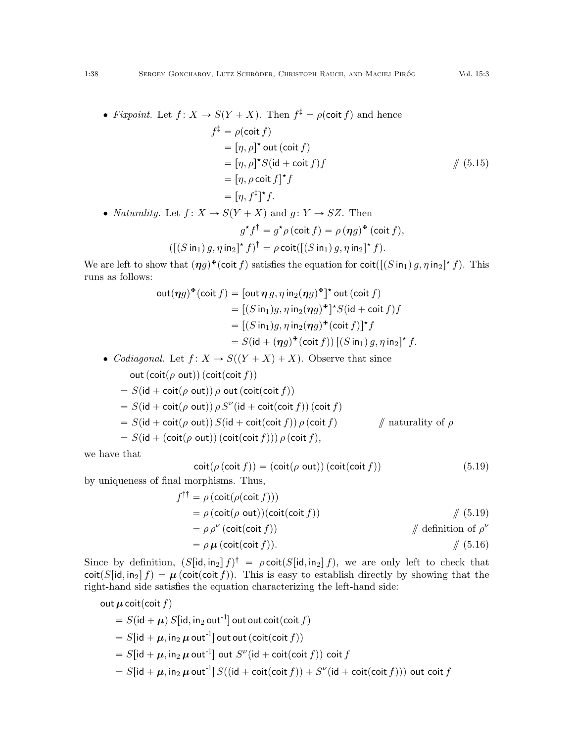$$
f^{\ddagger} = \rho(\text{coit } f)
$$
  
=  $[\eta, \rho]^{\star}$  out (coit  $f$ )  
=  $[\eta, \rho]^{\star} S(\text{id} + \text{coit } f) f$  // (5.15)  
=  $[\eta, \rho \text{ coit } f]^{\star} f$   
=  $[\eta, f^{\ddagger}]^{\star} f$ .

• *Naturality.* Let  $f: X \to S(Y + X)$  and  $g: Y \to SZ$ . Then

$$
g^{\star}f^{\dagger} = g^{\star}\rho(\text{coit } f) = \rho(\eta g)^{\star}(\text{coit } f),
$$

$$
([S \text{ in}_1) g, \eta \text{ in}_2]^{\star} f)^{\dagger} = \rho \text{coit}([S \text{ in}_1) g, \eta \text{ in}_2]^{\star} f).
$$

We are left to show that  $(\eta g)^*$  (coit f) satisfies the equation for coit  $([S \text{ in}_1) g, \eta \text{ in}_2]^* f$ ). This runs as follows:

$$
\begin{aligned}\n\text{out}(\eta g)^* (\text{coit } f) &= [\text{out } \eta g, \eta \text{ in}_2(\eta g)^*]^\star \text{ out } (\text{coit } f) \\
&= [(S \text{ in}_1)g, \eta \text{ in}_2(\eta g)^*]^\star S (\text{id} + \text{coit } f) f \\
&= [(S \text{ in}_1)g, \eta \text{ in}_2(\eta g)^* (\text{coit } f)]^\star f \\
&= S (\text{id} + (\eta g)^* (\text{coit } f)) \left[ (S \text{ in}_1) g, \eta \text{ in}_2 \right]^\star f.\n\end{aligned}
$$

• Codiagonal. Let  $f: X \to S((Y + X) + X)$ . Observe that since out  $(coit(\rho out))(coit(coit f))$ 

$$
= S(\text{id} + \text{coit}(\rho \text{ out})) \rho \text{ out } (\text{coit}(\text{coit } f))
$$
  
= S(\text{id} + \text{coit}(\rho \text{ out})) \rho S''(\text{id} + \text{coit}(\text{coit } f)) (\text{coit } f)  
= S(\text{id} + \text{coit}(\rho \text{ out})) S(\text{id} + \text{coit}(\text{coit } f)) \rho (\text{coit } f) \qquad // \text{ naturally of } \rho  
= S(\text{id} + (\text{coit}(\rho \text{ out})) (\text{coit}(\text{coit } f))) \rho (\text{coit } f),

we have that

<span id="page-37-0"></span>
$$
\operatorname{coit}(\rho(\operatorname{coit} f)) = (\operatorname{coit}(\rho \operatorname{out}))(\operatorname{coit}(\operatorname{coit} f))
$$
\n(5.19)

by uniqueness of final morphisms. Thus,

$$
f^{\dagger\dagger} = \rho (\text{coit}(\rho(\text{coit } f)))
$$
  
=  $\rho (\text{coit}(\rho \text{ out})) (\text{coit}(\text{coit } f))$   
=  $\rho \rho^{\nu} (\text{coit}(\text{coit } f))$   
=  $\rho \mu (\text{coit}(\text{coit } f)).$  // definition of  $\rho^{\nu}$   

$$
= \rho \mu (\text{coit}(\text{coit } f)).
$$

Since by definition,  $(S[\text{id}, \text{in}_2] f)^{\dagger} = \rho \text{coit}(S[\text{id}, \text{in}_2] f)$ , we are only left to check that  $\cot(S[\text{id}, \text{in}_2] f) = \mu(\text{coit}(\text{coit } f)).$  This is easy to establish directly by showing that the right-hand side satisfies the equation characterizing the left-hand side:

out 
$$
\mu
$$
 coit(coit  $f$ )  
\n=  $S(id + \mu) S[id, in_2 out^{-1}]$  out out coit(coit  $f$ )  
\n=  $S[id + \mu, in_2 \mu out^{-1}]$  out out (coit(coit  $f$ ))  
\n=  $S[id + \mu, in_2 \mu out^{-1}]$  out  $S^{\nu}(id + \text{coit}(\text{coit } f))$  coit  $f$   
\n=  $S[id + \mu, in_2 \mu out^{-1}] S((id + \text{coit}(\text{coit } f)) + S^{\nu}(id + \text{coit}(\text{coit } f)))$  out coit  $f$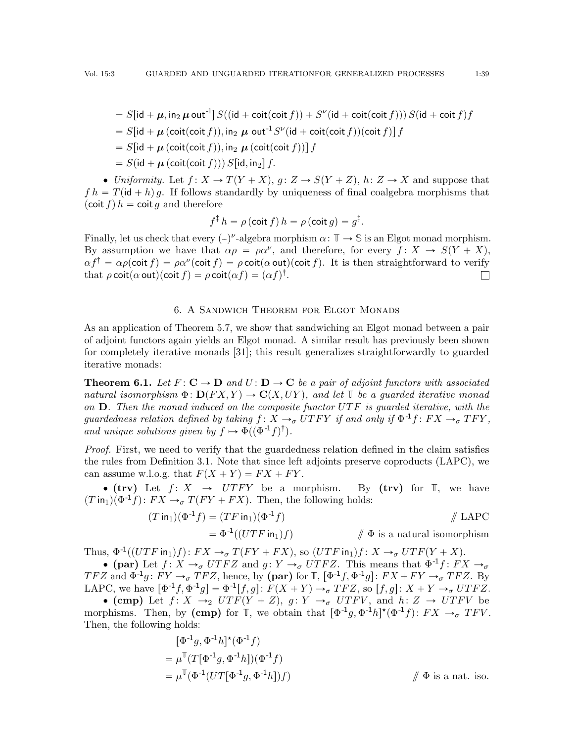$$
= S[\text{id} + \mu, \text{in}_2 \mu \text{ out}^{-1}] S((\text{id} + \text{coit}(\text{coit } f)) + S^{\nu}(\text{id} + \text{coit}(\text{coit } f))) S(\text{id} + \text{coit } f) f
$$
  
= S[\text{id} + \mu (\text{coit}(\text{coit } f)), \text{in}\_2 \mu \text{ out}^{-1} S^{\nu}(\text{id} + \text{coit}(\text{coit } f))(\text{coit } f)] f  
= S[\text{id} + \mu (\text{coit}(\text{coit } f)), \text{in}\_2 \mu (\text{coit}(\text{coit } f))] f

 $S(\mathsf{id} + \boldsymbol{\mu}(\mathsf{coit}(\mathsf{coit} f))) S[\mathsf{id}, \mathsf{in}_2] f.$ 

• Uniformity. Let  $f: X \to T(Y + X), g: Z \to S(Y + Z), h: Z \to X$  and suppose that  $fh = T(id + h)q$ . If follows standardly by uniqueness of final coalgebra morphisms that  $(cot f) h = \text{coit } q$  and therefore

$$
f^{\ddagger} h = \rho (\text{coit } f) h = \rho (\text{coit } g) = g^{\ddagger}.
$$

Finally, let us check that every  $(-)^{\nu}$ -algebra morphism  $\alpha: \mathbb{T} \to \mathbb{S}$  is an Elgot monad morphism. By assumption we have that  $\alpha \rho = \rho \alpha^{\nu}$ , and therefore, for every  $f: X \to S(Y + X)$ ,  $\alpha f^{\dagger} = \alpha \rho(\textsf{coit}\, f) = \rho \alpha^{\nu}(\textsf{coit}\, f) = \rho \, \textsf{coit}(\alpha \, \textsf{out})(\textsf{coit}\, f).$  It is then straightforward to verify that  $\rho \text{ coit}(\alpha \, \text{out})(\text{coit } f) = \rho \, \text{coit}(\alpha f) = (\alpha f)^\dagger.$  $\Box$ 

### 6. A Sandwich Theorem for Elgot Monads

<span id="page-38-0"></span>As an application of Theorem [5.7,](#page-26-0) we show that sandwiching an Elgot monad between a pair of adjoint functors again yields an Elgot monad. A similar result has previously been shown for completely iterative monads [\[31\]](#page-42-3); this result generalizes straightforwardly to guarded iterative monads:

<span id="page-38-1"></span>**Theorem 6.1.** Let  $F: \mathbf{C} \to \mathbf{D}$  and  $U: \mathbf{D} \to \mathbf{C}$  be a pair of adjoint functors with associated natural isomorphism  $\Phi: D(FX, Y) \to C(X, UY)$ , and let **T** be a quarded iterative monad on  $\mathbf{D}$ . Then the monad induced on the composite functor UTF is guarded iterative, with the guardedness relation defined by taking  $f: X \rightarrow_{\sigma} UTFY$  if and only if  $\Phi^{-1}f: FX \rightarrow_{\sigma} TFY$ , and unique solutions given by  $f \mapsto \Phi((\Phi^{-1}f)^{\dagger}).$ 

Proof. First, we need to verify that the guardedness relation defined in the claim satisfies the rules from Definition [3.1.](#page-4-1) Note that since left adjoints preserve coproducts (LAPC), we can assume w.l.o.g. that  $F(X + Y) = FX + FY$ .

 $\bullet$  (trv) Let  $f: X \rightarrow UTFY$  be a morphism. By (trv) for  $\mathbb{T}$ , we have  $(T \mathsf{in}_1)(\Phi^{-1} f) \colon FX \to_\sigma T(FY + FX)$ . Then, the following holds:

$$
(T \text{ in}_1)(\Phi^{-1} f) = (TF \text{ in}_1)(\Phi^{-1} f)
$$
  
=  $\Phi^{-1}((UTF \text{ in}_1)f)$  //  $\Phi$  is a natural isomorphism

Thus,  $\Phi^{-1}((UTF \text{ in}_1)f): FX \to_\sigma T(FY + FX)$ , so  $(UTF \text{ in}_1)f: X \to_\sigma UTF(Y + X)$ .

• (par) Let  $f: X \to_{\sigma} UTFZ$  and  $g: Y \to_{\sigma} UTFZ$ . This means that  $\Phi^{-1}f: FX \to_{\sigma}$ TFZ and  $\Phi^{-1}g: FY \to_{\sigma} TFZ$ , hence, by (par) for  $\mathbb{T}$ ,  $[\Phi^{-1}f, \Phi^{-1}g]: FX + FY \to_{\sigma} TFZ$ . By LAPC, we have  $\left[\Phi^{-1}f, \Phi^{-1}g\right] = \Phi^{-1}[f, g]: F(X + Y) \to_{\sigma} T F Z$ , so  $[f, g]: X + Y \to_{\sigma} U T F Z$ .

• (cmp) Let  $f: X \rightarrow_2 UTF(Y + Z), g: Y \rightarrow_{\sigma} UTFV$ , and  $h: Z \rightarrow UTFV$  be morphisms. Then, by (cmp) for  $\mathbb{T}$ , we obtain that  $[\Phi^{-1}g, \Phi^{-1}h]^*(\Phi^{-1}f)$ :  $FX \to_{\sigma} TFV$ . Then, the following holds:

$$
[\Phi^{-1}g, \Phi^{-1}h]^*(\Phi^{-1}f)
$$
  
=  $\mu^{\mathbb{T}}(T[\Phi^{-1}g, \Phi^{-1}h])(\Phi^{-1}f)$   
=  $\mu^{\mathbb{T}}(\Phi^{-1}(UT[\Phi^{-1}g, \Phi^{-1}h])f)$   $\qquad$   $\#$  is a nat. iso.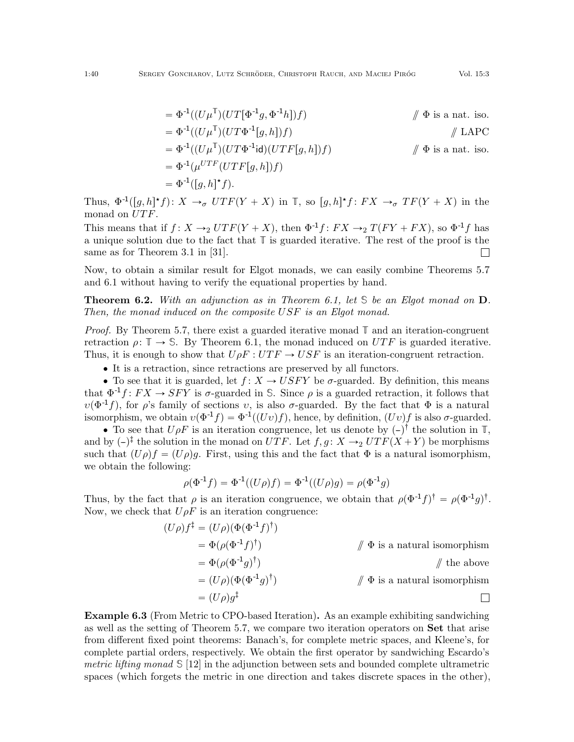$$
\begin{aligned}\n&= \Phi^{-1}((U\mu^{\mathbb{T}})(UT[\Phi^{-1}g, \Phi^{-1}h])f) & \text{if } \Phi \text{ is a nat. iso.} \\
&= \Phi^{-1}((U\mu^{\mathbb{T}})(UT\Phi^{-1}[g, h])f) & \text{if } \Phi \text{ is a nat. iso.} \\
&= \Phi^{-1}((U\mu^{\mathbb{T}})(UT\Phi^{-1}\text{id})(UTF[g, h])f) & \text{if } \Phi \text{ is a nat. iso.} \\
&= \Phi^{-1}(\mu^{UTF}(UTF[g, h])f) & \text{if } \Phi \text{ is a nat. iso.} \\
&= \Phi^{-1}([g, h]^{\star}f).\n\end{aligned}
$$

Thus,  $\Phi^{-1}([g,h]^{\star}f): X \to_{\sigma} UTF(Y+X)$  in  $\mathbb{T}$ , so  $[g,h]^{\star}f: FX \to_{\sigma} TF(Y+X)$  in the monad on  $UTF$ .

This means that if  $f: X \rightarrow_2 UTF(Y+X)$ , then  $\Phi^{-1}f: FX \rightarrow_2 T(FY + FX)$ , so  $\Phi^{-1}f$  has a unique solution due to the fact that **T** is guarded iterative. The rest of the proof is the same as for Theorem 3.1 in [\[31\]](#page-42-3).  $\Box$ 

Now, to obtain a similar result for Elgot monads, we can easily combine Theorems [5.7](#page-26-0) and [6.1](#page-38-1) without having to verify the equational properties by hand.

<span id="page-39-0"></span>Theorem 6.2. With an adjunction as in Theorem [6.1,](#page-38-1) let **S** be an Elgot monad on D. Then, the monad induced on the composite USF is an Elgot monad.

Proof. By Theorem [5.7,](#page-26-0) there exist a guarded iterative monad  $\mathbb{T}$  and an iteration-congruent retraction  $\rho: \mathbb{T} \to \mathbb{S}$ . By Theorem [6.1,](#page-38-1) the monad induced on UTF is guarded iterative. Thus, it is enough to show that  $U \rho F : UTF \to USF$  is an iteration-congruent retraction.

• It is a retraction, since retractions are preserved by all functors.

• To see that it is guarded, let  $f: X \to USFY$  be  $\sigma$ -guarded. By definition, this means that  $\Phi^{-1}f: FX \to SFY$  is  $\sigma$ -guarded in S. Since  $\rho$  is a guarded retraction, it follows that  $v(\Phi^{-1}f)$ , for  $\rho$ 's family of sections v, is also  $\sigma$ -guarded. By the fact that  $\Phi$  is a natural isomorphism, we obtain  $v(\Phi^{-1} f) = \Phi^{-1}((Uv) f)$ , hence, by definition,  $(Uv) f$  is also  $\sigma$ -guarded.

• To see that  $U \rho F$  is an iteration congruence, let us denote by  $(-)^{\dagger}$  the solution in  $\mathbb{T}$ , and by  $(-)^{\ddagger}$  the solution in the monad on UTF. Let  $f, g : X \rightarrow_2 UTF(X + Y)$  be morphisms such that  $(U \rho) f = (U \rho) q$ . First, using this and the fact that  $\Phi$  is a natural isomorphism, we obtain the following:

$$
\rho(\Phi^{-1}f) = \Phi^{-1}((U\rho)f) = \Phi^{-1}((U\rho)g) = \rho(\Phi^{-1}g)
$$

Thus, by the fact that  $\rho$  is an iteration congruence, we obtain that  $\rho(\Phi^{-1}f)^{\dagger} = \rho(\Phi^{-1}g)^{\dagger}$ . Now, we check that  $U \rho F$  is an iteration congruence:

$$
(U\rho)f^{\ddagger} = (U\rho)(\Phi(\Phi^{-1}f)^{\dagger})
$$
  
=  $\Phi(\rho(\Phi^{-1}f)^{\dagger})$  //  $\Phi$  is a natural isomorphism  
=  $\Phi(\rho(\Phi^{-1}g)^{\dagger})$  // the above  
=  $(U\rho)(\Phi(\Phi^{-1}g)^{\dagger})$  //  $\Phi$  is a natural isomorphism  
=  $(U\rho)g^{\ddagger}$ 

<span id="page-39-1"></span>Example 6.3 (From Metric to CPO-based Iteration). As an example exhibiting sandwiching as well as the setting of Theorem [5.7,](#page-26-0) we compare two iteration operators on Set that arise from different fixed point theorems: Banach's, for complete metric spaces, and Kleene's, for complete partial orders, respectively. We obtain the first operator by sandwiching Escardo's metric lifting monad **S** [\[12\]](#page-42-9) in the adjunction between sets and bounded complete ultrametric spaces (which forgets the metric in one direction and takes discrete spaces in the other),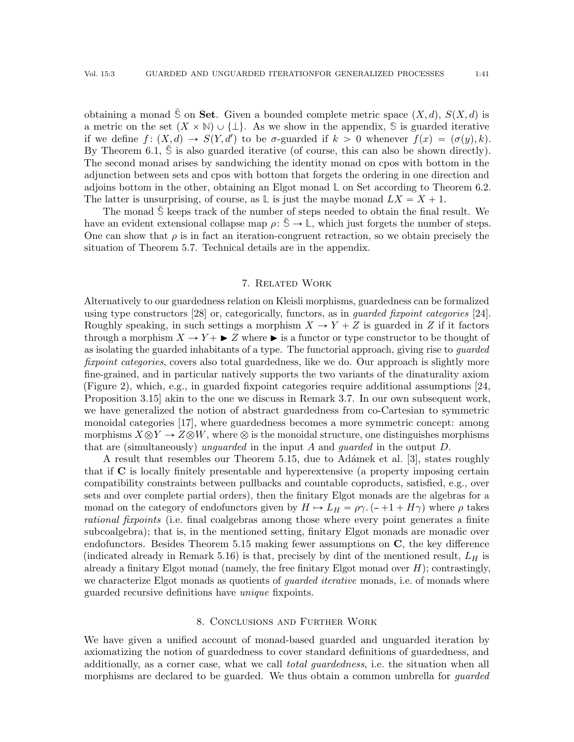obtaining a monad S on Set. Given a bounded complete metric space  $(X, d)$ ,  $S(X, d)$  is a metric on the set  $(X \times \mathbb{N}) \cup \{\perp\}$ . As we show in the appendix, S is guarded iterative if we define  $f: (X, d) \to S(Y, d')$  to be  $\sigma$ -guarded if  $k > 0$  whenever  $f(x) = (\sigma(y), k)$ . By Theorem  $6.1$ ,  $\Im$  is also guarded iterative (of course, this can also be shown directly). The second monad arises by sandwiching the identity monad on cpos with bottom in the adjunction between sets and cpos with bottom that forgets the ordering in one direction and adjoins bottom in the other, obtaining an Elgot monad **L** on Set according to Theorem [6.2.](#page-39-0) The latter is unsurprising, of course, as  $\mathbb{L}$  is just the maybe monad  $LX = X + 1$ .

The monad S keeps track of the number of steps needed to obtain the final result. We have an evident extensional collapse map  $\rho: \overline{S} \to \mathbb{L}$ , which just forgets the number of steps. One can show that  $\rho$  is in fact an iteration-congruent retraction, so we obtain precisely the situation of Theorem [5.7.](#page-26-0) Technical details are in the appendix.

### 7. Related Work

<span id="page-40-0"></span>Alternatively to our guardedness relation on Kleisli morphisms, guardedness can be formalized using type constructors [\[28\]](#page-42-21) or, categorically, functors, as in guarded fixpoint categories [\[24\]](#page-42-22). Roughly speaking, in such settings a morphism  $X \to Y + Z$  is guarded in Z if it factors through a morphism  $X \to Y + \triangleright Z$  where  $\triangleright$  is a functor or type constructor to be thought of as isolating the guarded inhabitants of a type. The functorial approach, giving rise to *guarded* fixpoint categories, covers also total guardedness, like we do. Our approach is slightly more fine-grained, and in particular natively supports the two variants of the dinaturality axiom (Figure [2\)](#page-20-1), which, e.g., in guarded fixpoint categories require additional assumptions [\[24,](#page-42-22) Proposition 3.15] akin to the one we discuss in Remark [3.7.](#page-6-0) In our own subsequent work, we have generalized the notion of abstract guardedness from co-Cartesian to symmetric monoidal categories [\[17\]](#page-42-15), where guardedness becomes a more symmetric concept: among morphisms  $X \otimes Y \to Z \otimes W$ , where  $\otimes$  is the monoidal structure, one distinguishes morphisms that are (simultaneously) unquarded in the input A and quarded in the output  $D$ .

A result that resembles our Theorem [5.15,](#page-34-0) due to Adámek et al. [\[3\]](#page-41-6), states roughly that if C is locally finitely presentable and hyperextensive (a property imposing certain compatibility constraints between pullbacks and countable coproducts, satisfied, e.g., over sets and over complete partial orders), then the finitary Elgot monads are the algebras for a monad on the category of endofunctors given by  $H \mapsto L_H = \rho \gamma$ .  $\left(-+1 + H\gamma\right)$  where  $\rho$  takes rational fixpoints (i.e. final coalgebras among those where every point generates a finite subcoalgebra); that is, in the mentioned setting, finitary Elgot monads are monadic over endofunctors. Besides Theorem [5.15](#page-34-0) making fewer assumptions on C, the key difference (indicated already in Remark [5.16\)](#page-34-2) is that, precisely by dint of the mentioned result,  $L_H$  is already a finitary Elgot monad (namely, the free finitary Elgot monad over  $H$ ); contrastingly, we characterize Elgot monads as quotients of *quarded iterative* monads, i.e. of monads where guarded recursive definitions have unique fixpoints.

#### 8. Conclusions and Further Work

<span id="page-40-1"></span>We have given a unified account of monad-based guarded and unguarded iteration by axiomatizing the notion of guardedness to cover standard definitions of guardedness, and additionally, as a corner case, what we call *total guardedness*, i.e. the situation when all morphisms are declared to be guarded. We thus obtain a common umbrella for *guarded*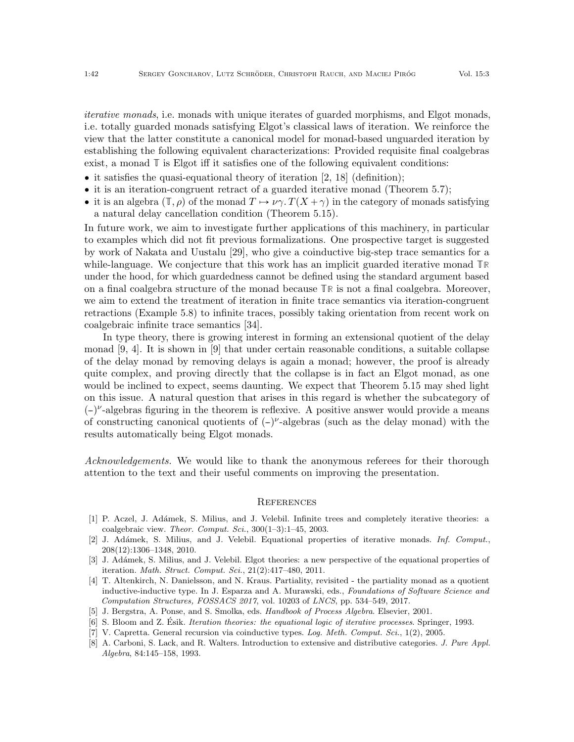iterative monads, i.e. monads with unique iterates of guarded morphisms, and Elgot monads, i.e. totally guarded monads satisfying Elgot's classical laws of iteration. We reinforce the view that the latter constitute a canonical model for monad-based unguarded iteration by establishing the following equivalent characterizations: Provided requisite final coalgebras exist, a monad **T** is Elgot iff it satisfies one of the following equivalent conditions:

- $\bullet$  it satisfies the quasi-equational theory of iteration [\[2,](#page-41-3) [18\]](#page-42-6) (definition);
- ' it is an iteration-congruent retract of a guarded iterative monad (Theorem [5.7\)](#page-26-0);
- it is an algebra  $(\mathbb{T}, \rho)$  of the monad  $T \mapsto \nu \gamma$ .  $T(X + \gamma)$  in the category of monads satisfying a natural delay cancellation condition (Theorem [5.15\)](#page-34-0).

In future work, we aim to investigate further applications of this machinery, in particular to examples which did not fit previous formalizations. One prospective target is suggested by work of Nakata and Uustalu [\[29\]](#page-42-23), who give a coinductive big-step trace semantics for a while-language. We conjecture that this work has an implicit guarded iterative monad **TR** under the hood, for which guardedness cannot be defined using the standard argument based on a final coalgebra structure of the monad because **TR** is not a final coalgebra. Moreover, we aim to extend the treatment of iteration in finite trace semantics via iteration-congruent retractions (Example [5.8\)](#page-27-0) to infinite traces, possibly taking orientation from recent work on coalgebraic infinite trace semantics [\[34\]](#page-42-24).

In type theory, there is growing interest in forming an extensional quotient of the delay monad [\[9,](#page-42-25) [4\]](#page-41-7). It is shown in [\[9\]](#page-42-25) that under certain reasonable conditions, a suitable collapse of the delay monad by removing delays is again a monad; however, the proof is already quite complex, and proving directly that the collapse is in fact an Elgot monad, as one would be inclined to expect, seems daunting. We expect that Theorem [5.15](#page-34-0) may shed light on this issue. A natural question that arises in this regard is whether the subcategory of  $(-)^{\nu}$ -algebras figuring in the theorem is reflexive. A positive answer would provide a means of constructing canonical quotients of  $(-)^{\nu}$ -algebras (such as the delay monad) with the results automatically being Elgot monads.

Acknowledgements. We would like to thank the anonymous referees for their thorough attention to the text and their useful comments on improving the presentation.

#### **REFERENCES**

- <span id="page-41-1"></span>[1] P. Aczel, J. Ad´amek, S. Milius, and J. Velebil. Infinite trees and completely iterative theories: a coalgebraic view. Theor. Comput. Sci.,  $300(1-3):1-45$ ,  $2003$ .
- <span id="page-41-3"></span>[2] J. Adámek, S. Milius, and J. Velebil. Equational properties of iterative monads. Inf. Comput., 208(12):1306–1348, 2010.
- <span id="page-41-6"></span>[3] J. Adámek, S. Milius, and J. Velebil. Elgot theories: a new perspective of the equational properties of iteration. Math. Struct. Comput. Sci., 21(2):417–480, 2011.
- <span id="page-41-7"></span>[4] T. Altenkirch, N. Danielsson, and N. Kraus. Partiality, revisited - the partiality monad as a quotient inductive-inductive type. In J. Esparza and A. Murawski, eds., Foundations of Software Science and Computation Structures, FOSSACS 2017, vol. 10203 of LNCS, pp. 534–549, 2017.
- <span id="page-41-0"></span>[5] J. Bergstra, A. Ponse, and S. Smolka, eds. Handbook of Process Algebra. Elsevier, 2001.
- <span id="page-41-4"></span>[6] S. Bloom and Z. Ésik. *Iteration theories: the equational logic of iterative processes*. Springer, 1993.
- <span id="page-41-2"></span>[7] V. Capretta. General recursion via coinductive types. Log. Meth. Comput. Sci., 1(2), 2005.
- <span id="page-41-5"></span>[8] A. Carboni, S. Lack, and R. Walters. Introduction to extensive and distributive categories. J. Pure Appl. Algebra, 84:145–158, 1993.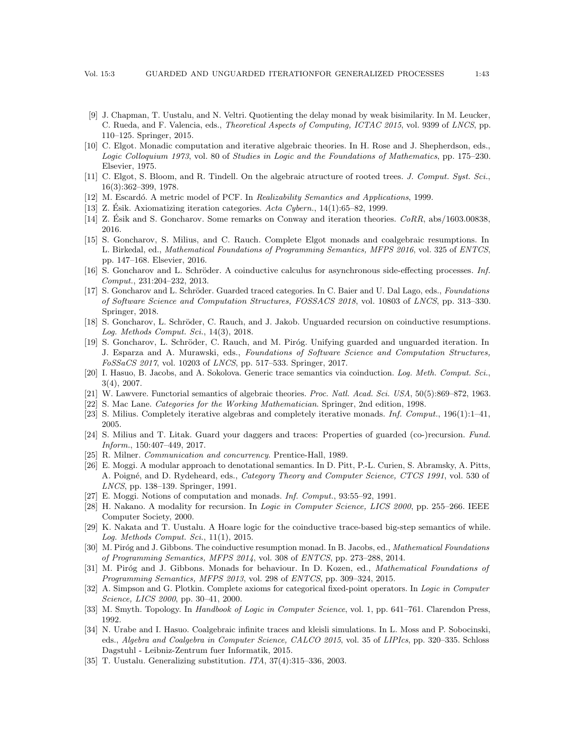- <span id="page-42-25"></span>[9] J. Chapman, T. Uustalu, and N. Veltri. Quotienting the delay monad by weak bisimilarity. In M. Leucker, C. Rueda, and F. Valencia, eds., Theoretical Aspects of Computing, ICTAC 2015, vol. 9399 of LNCS, pp. 110–125. Springer, 2015.
- <span id="page-42-18"></span>[10] C. Elgot. Monadic computation and iterative algebraic theories. In H. Rose and J. Shepherdson, eds., Logic Colloquium 1973, vol. 80 of Studies in Logic and the Foundations of Mathematics, pp. 175–230. Elsevier, 1975.
- <span id="page-42-0"></span>[11] C. Elgot, S. Bloom, and R. Tindell. On the algebraic atructure of rooted trees. J. Comput. Syst. Sci., 16(3):362–399, 1978.
- <span id="page-42-9"></span>[12] M. Escardó. A metric model of PCF. In Realizability Semantics and Applications, 1999.
- <span id="page-42-7"></span>[13] Z. Esik. Axiomatizing iteration categories.  $Acta Cybern.$ , 14(1):65–82, 1999.
- <span id="page-42-19"></span>[14] Z. Esik and S. Goncharov. Some remarks on Conway and iteration theories.  $CoRR$ , abs/1603.00838, 2016.
- <span id="page-42-20"></span>[15] S. Goncharov, S. Milius, and C. Rauch. Complete Elgot monads and coalgebraic resumptions. In L. Birkedal, ed., Mathematical Foundations of Programming Semantics, MFPS 2016, vol. 325 of ENTCS, pp. 147–168. Elsevier, 2016.
- <span id="page-42-2"></span>[16] S. Goncharov and L. Schröder. A coinductive calculus for asynchronous side-effecting processes. Inf. Comput., 231:204–232, 2013.
- <span id="page-42-15"></span>[17] S. Goncharov and L. Schröder. Guarded traced categories. In C. Baier and U. Dal Lago, eds., Foundations of Software Science and Computation Structures, FOSSACS 2018, vol. 10803 of LNCS, pp. 313–330. Springer, 2018.
- <span id="page-42-6"></span>[18] S. Goncharov, L. Schröder, C. Rauch, and J. Jakob. Unguarded recursion on coinductive resumptions. Log. Methods Comput. Sci., 14(3), 2018.
- <span id="page-42-11"></span>[19] S. Goncharov, L. Schröder, C. Rauch, and M. Piróg. Unifying guarded and unguarded iteration. In J. Esparza and A. Murawski, eds., Foundations of Software Science and Computation Structures, FoSSaCS 2017, vol. 10203 of LNCS, pp. 517–533. Springer, 2017.
- <span id="page-42-16"></span>[20] I. Hasuo, B. Jacobs, and A. Sokolova. Generic trace semantics via coinduction. Log. Meth. Comput. Sci., 3(4), 2007.
- <span id="page-42-14"></span>[21] W. Lawvere. Functorial semantics of algebraic theories. Proc. Natl. Acad. Sci. USA, 50(5):869–872, 1963.
- <span id="page-42-12"></span>[22] S. Mac Lane. Categories for the Working Mathematician. Springer, 2nd edition, 1998.
- <span id="page-42-1"></span>[23] S. Milius. Completely iterative algebras and completely iterative monads. Inf. Comput., 196(1):1–41, 2005.
- <span id="page-42-22"></span>[24] S. Milius and T. Litak. Guard your daggers and traces: Properties of guarded (co-)recursion. Fund. Inform., 150:407–449, 2017.
- <span id="page-42-17"></span>[25] R. Milner. Communication and concurrency. Prentice-Hall, 1989.
- <span id="page-42-5"></span>[26] E. Moggi. A modular approach to denotational semantics. In D. Pitt, P.-L. Curien, S. Abramsky, A. Pitts, A. Poigné, and D. Rydeheard, eds., Category Theory and Computer Science, CTCS 1991, vol. 530 of LNCS, pp. 138–139. Springer, 1991.
- <span id="page-42-13"></span>[27] E. Moggi. Notions of computation and monads. Inf. Comput., 93:55–92, 1991.
- <span id="page-42-21"></span>[28] H. Nakano. A modality for recursion. In Logic in Computer Science, LICS 2000, pp. 255–266. IEEE Computer Society, 2000.
- <span id="page-42-23"></span>[29] K. Nakata and T. Uustalu. A Hoare logic for the coinductive trace-based big-step semantics of while. Log. Methods Comput. Sci., 11(1), 2015.
- <span id="page-42-4"></span>[30] M. Piróg and J. Gibbons. The coinductive resumption monad. In B. Jacobs, ed., Mathematical Foundations of Programming Semantics, MFPS 2014, vol. 308 of ENTCS, pp. 273–288, 2014.
- <span id="page-42-3"></span>[31] M. Piróg and J. Gibbons. Monads for behaviour. In D. Kozen, ed., *Mathematical Foundations of* Programming Semantics, MFPS 2013, vol. 298 of ENTCS, pp. 309–324, 2015.
- <span id="page-42-8"></span>[32] A. Simpson and G. Plotkin. Complete axioms for categorical fixed-point operators. In Logic in Computer Science, LICS 2000, pp. 30–41, 2000.
- <span id="page-42-26"></span>[33] M. Smyth. Topology. In Handbook of Logic in Computer Science, vol. 1, pp. 641–761. Clarendon Press, 1992.
- <span id="page-42-24"></span>[34] N. Urabe and I. Hasuo. Coalgebraic infinite traces and kleisli simulations. In L. Moss and P. Sobocinski, eds., Algebra and Coalgebra in Computer Science, CALCO 2015, vol. 35 of LIPIcs, pp. 320–335. Schloss Dagstuhl - Leibniz-Zentrum fuer Informatik, 2015.
- <span id="page-42-10"></span>[35] T. Uustalu. Generalizing substitution. ITA, 37(4):315–336, 2003.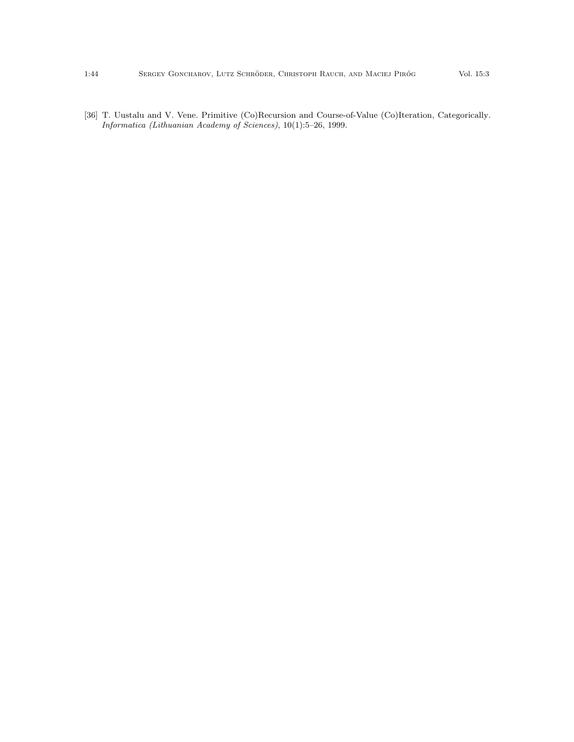<span id="page-43-0"></span>[36] T. Uustalu and V. Vene. Primitive (Co)Recursion and Course-of-Value (Co)Iteration, Categorically. Informatica (Lithuanian Academy of Sciences), 10(1):5–26, 1999.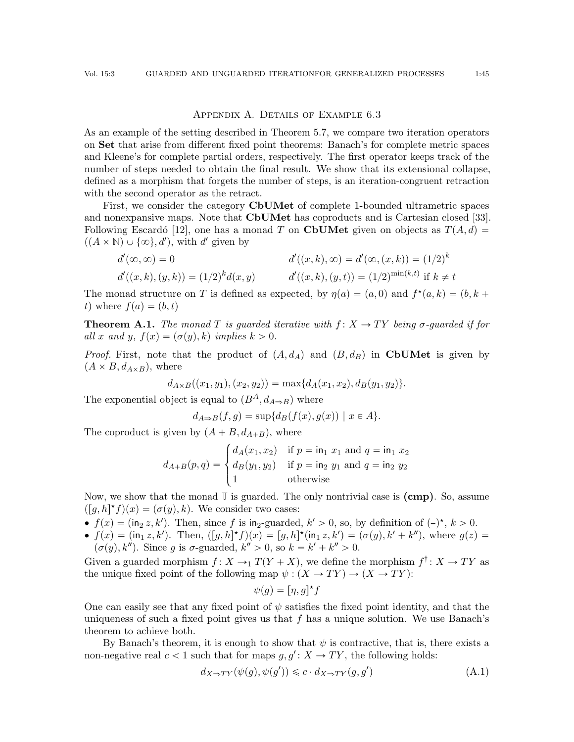### APPENDIX A. DETAILS OF EXAMPLE [6.3](#page-39-1)

As an example of the setting described in Theorem [5.7,](#page-26-0) we compare two iteration operators on Set that arise from different fixed point theorems: Banach's for complete metric spaces and Kleene's for complete partial orders, respectively. The first operator keeps track of the number of steps needed to obtain the final result. We show that its extensional collapse, defined as a morphism that forgets the number of steps, is an iteration-congruent retraction with the second operator as the retract.

First, we consider the category CbUMet of complete 1-bounded ultrametric spaces and nonexpansive maps. Note that CbUMet has coproducts and is Cartesian closed [\[33\]](#page-42-26). Following Escardó [\[12\]](#page-42-9), one has a monad T on CbUMet given on objects as  $T(A, d) =$  $((A \times \mathbb{N}) \cup \{\infty\}, d')$ , with d' given by

$$
d'(\infty, \infty) = 0
$$
  
\n
$$
d'((x, k), \infty) = d'(\infty, (x, k)) = (1/2)^k
$$
  
\n
$$
d'((x, k), (y, k)) = (1/2)^k d(x, y)
$$
  
\n
$$
d'((x, k), (y, t)) = (1/2)^{\min(k, t)} \text{ if } k \neq t
$$

The monad structure on T is defined as expected, by  $\eta(a) = (a, 0)$  and  $f^*(a, k) = (b, k +$ t) where  $f(a) = (b, t)$ 

<span id="page-44-1"></span>**Theorem A.1.** The monad T is guarded iterative with  $f: X \rightarrow TY$  being  $\sigma$ -guarded if for all x and y,  $f(x) = (\sigma(y), k)$  implies  $k > 0$ .

*Proof.* First, note that the product of  $(A, d<sub>A</sub>)$  and  $(B, d<sub>B</sub>)$  in CbUMet is given by  $(A \times B, d_{A \times B})$ , where

$$
d_{A\times B}((x_1,y_1),(x_2,y_2)) = \max\{d_A(x_1,x_2),d_B(y_1,y_2)\}.
$$

The exponential object is equal to  $(B^A, d_{A\Rightarrow B})$  where

$$
d_{A\Rightarrow B}(f,g)=\sup\{d_B(f(x),g(x))\mid x\in A\}.
$$

The coproduct is given by  $(A + B, d_{A+B})$ , where

$$
d_{A+B}(p,q) = \begin{cases} d_A(x_1, x_2) & \text{if } p = \text{in}_1 \ x_1 \text{ and } q = \text{in}_1 \ x_2 \\ d_B(y_1, y_2) & \text{if } p = \text{in}_2 \ y_1 \text{ and } q = \text{in}_2 \ y_2 \\ 1 & \text{otherwise} \end{cases}
$$

Now, we show that the monad  $\mathbb T$  is guarded. The only nontrivial case is  $(\mathbf{cmp})$ . So, assume  $([g,h]^*f)(x) = (\sigma(y), k)$ . We consider two cases:

- $f(x) = (\text{in}_2 z, k')$ . Then, since f is in<sub>2</sub>-guarded,  $k' > 0$ , so, by definition of  $(-)^{\star}$ ,  $k > 0$ .
- $f(x) = (\text{in}_1 z, k')$ . Then,  $([g, h]^* f)(x) = [g, h]^* (\text{in}_1 z, k') = (\sigma(y), k' + k'')$ , where  $g(z) =$  $(\sigma(y), k'')$ . Since g is  $\sigma$ -guarded,  $k'' > 0$ , so  $k = k' + k'' > 0$ .

Given a guarded morphism  $f: X \to T(Y+X)$ , we define the morphism  $f^{\dagger}: X \to TY$  as the unique fixed point of the following map  $\psi : (X \to TY) \to (X \to TY)$ :

$$
\psi(g) = [\eta, g]^\star f
$$

One can easily see that any fixed point of  $\psi$  satisfies the fixed point identity, and that the uniqueness of such a fixed point gives us that  $f$  has a unique solution. We use Banach's theorem to achieve both.

By Banach's theorem, it is enough to show that  $\psi$  is contractive, that is, there exists a non-negative real  $c < 1$  such that for maps  $g, g' : X \to TY$ , the following holds:

<span id="page-44-0"></span>
$$
d_{X \Rightarrow TY}(\psi(g), \psi(g')) \leq c \cdot d_{X \Rightarrow TY}(g, g')
$$
\n(A.1)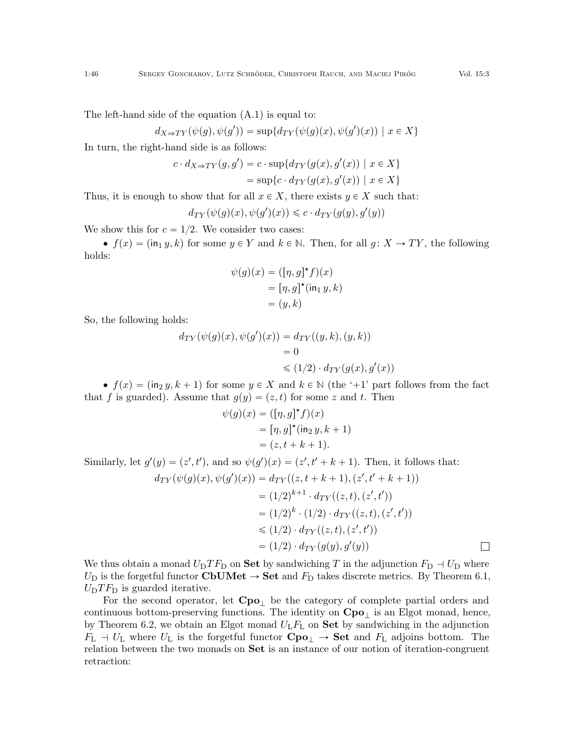The left-hand side of the equation [\(A.1\)](#page-44-0) is equal to:

$$
d_{X \Rightarrow TY}(\psi(g), \psi(g')) = \sup \{ d_{TY}(\psi(g)(x), \psi(g')(x)) \mid x \in X \}
$$

In turn, the right-hand side is as follows:

$$
c \cdot d_{X \Rightarrow TY}(g, g') = c \cdot \sup \{ d_{TY}(g(x), g'(x)) \mid x \in X \}
$$
  
= 
$$
\sup \{ c \cdot d_{TY}(g(x), g'(x)) \mid x \in X \}
$$

Thus, it is enough to show that for all  $x \in X$ , there exists  $y \in X$  such that:

$$
d_{TY}(\psi(g)(x), \psi(g')(x)) \leq c \cdot d_{TY}(g(y), g'(y))
$$

We show this for  $c = 1/2$ . We consider two cases:

 $\bullet$   $f(x) = (\text{in}_1 y, k)$  for some  $y \in Y$  and  $k \in \mathbb{N}$ . Then, for all  $g: X \to TY$ , the following holds:

$$
\psi(g)(x) = ([\eta, g]^\star f)(x)
$$
  
=  $[\eta, g]^\star (\text{in}_1 y, k)$   
=  $(y, k)$ 

So, the following holds:

$$
d_{TY}(\psi(g)(x), \psi(g')(x)) = d_{TY}((y,k), (y,k))
$$
  
= 0  

$$
\leq (1/2) \cdot d_{TY}(g(x), g'(x))
$$

 $\bullet$   $f(x) = \left(\ln_2 y, k + 1\right)$  for some  $y \in X$  and  $k \in \mathbb{N}$  (the '+1' part follows from the fact that f is guarded). Assume that  $g(y) = (z, t)$  for some z and t. Then

$$
\psi(g)(x) = ([\eta, g]^{\star} f)(x)
$$
  
=  $[\eta, g]^{\star} (\text{in}_2 y, k+1)$   
=  $(z, t+k+1).$ 

Similarly, let  $g'(y) = (z', t')$ , and so  $\psi(g')(x) = (z', t' + k + 1)$ . Then, it follows that:

$$
d_{TY}(\psi(g)(x), \psi(g')(x)) = d_{TY}((z, t+k+1), (z', t'+k+1))
$$
  
= (1/2)^{k+1} \cdot d\_{TY}((z, t), (z', t'))  
= (1/2)^{k} \cdot (1/2) \cdot d\_{TY}((z, t), (z', t'))  

$$
\leq (1/2) \cdot d_{TY}((z, t), (z', t'))= (1/2) \cdot d_{TY}(g(y), g'(y))
$$

We thus obtain a monad  $U_D T F_D$  on **Set** by sandwiching T in the adjunction  $F_D \to U_D$  where  $U_D$  is the forgetful functor CbUMet  $\rightarrow$  Set and  $F_D$  takes discrete metrics. By Theorem [6.1,](#page-38-1)  $U_{\rm D} T F_{\rm D}$  is guarded iterative.

For the second operator, let  $Cpo<sub>+</sub>$  be the category of complete partial orders and continuous bottom-preserving functions. The identity on  $Cpo<sub>⊥</sub>$  is an Elgot monad, hence, by Theorem [6.2,](#page-39-0) we obtain an Elgot monad  $U_L F_L$  on **Set** by sandwiching in the adjunction  $F_L$  +  $U_L$  where  $U_L$  is the forgetful functor  $Cpo_\perp \rightarrow$  Set and  $F_L$  adjoins bottom. The relation between the two monads on Set is an instance of our notion of iteration-congruent retraction: